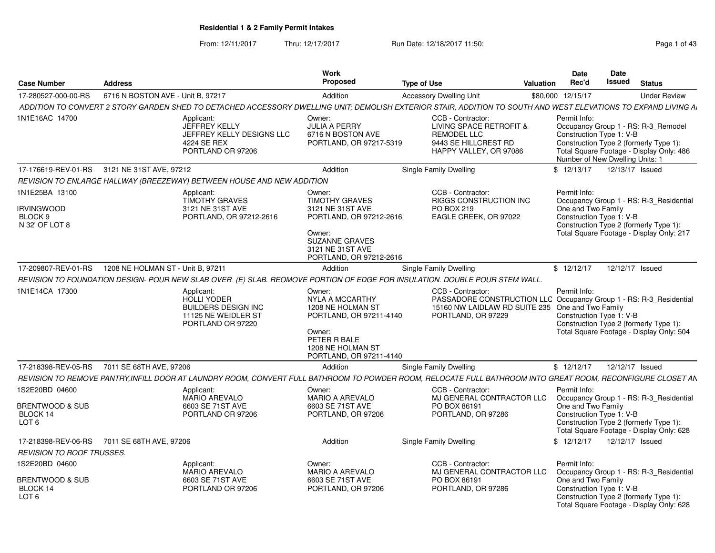From: 12/11/2017Thru: 12/17/2017 **Run Date: 12/18/2017 11:50: Page 1 of 43** Page 1 of 43

|                                  |                                                                                                     | Work                                                                                                                                                                                                                                         |                                                                                                                      | Date                                                                                                                                                                                                                                                                                                                        | Date                                                                                                                                                                                                                                                                                                                                                                                                                                                                                                                   |
|----------------------------------|-----------------------------------------------------------------------------------------------------|----------------------------------------------------------------------------------------------------------------------------------------------------------------------------------------------------------------------------------------------|----------------------------------------------------------------------------------------------------------------------|-----------------------------------------------------------------------------------------------------------------------------------------------------------------------------------------------------------------------------------------------------------------------------------------------------------------------------|------------------------------------------------------------------------------------------------------------------------------------------------------------------------------------------------------------------------------------------------------------------------------------------------------------------------------------------------------------------------------------------------------------------------------------------------------------------------------------------------------------------------|
| <b>Address</b>                   |                                                                                                     |                                                                                                                                                                                                                                              | <b>Type of Use</b>                                                                                                   | Rec'd                                                                                                                                                                                                                                                                                                                       | <b>Issued</b><br><b>Status</b>                                                                                                                                                                                                                                                                                                                                                                                                                                                                                         |
|                                  |                                                                                                     | Addition                                                                                                                                                                                                                                     | <b>Accessory Dwelling Unit</b>                                                                                       |                                                                                                                                                                                                                                                                                                                             | <b>Under Review</b>                                                                                                                                                                                                                                                                                                                                                                                                                                                                                                    |
|                                  |                                                                                                     |                                                                                                                                                                                                                                              |                                                                                                                      |                                                                                                                                                                                                                                                                                                                             |                                                                                                                                                                                                                                                                                                                                                                                                                                                                                                                        |
|                                  | Applicant:<br>JEFFREY KELLY<br>JEFFREY KELLY DESIGNS LLC<br>4224 SE REX<br>PORTLAND OR 97206        | Owner:<br><b>JULIA A PERRY</b><br>6716 N BOSTON AVE                                                                                                                                                                                          | CCB - Contractor:<br>LIVING SPACE RETROFIT &<br><b>REMODEL LLC</b><br>9443 SE HILLCREST RD<br>HAPPY VALLEY, OR 97086 | Permit Info:<br>Construction Type 1: V-B                                                                                                                                                                                                                                                                                    | Occupancy Group 1 - RS: R-3_Remodel<br>Construction Type 2 (formerly Type 1):<br>Total Square Footage - Display Only: 486<br>Number of New Dwelling Units: 1                                                                                                                                                                                                                                                                                                                                                           |
|                                  |                                                                                                     | Addition                                                                                                                                                                                                                                     | Single Family Dwelling                                                                                               | \$12/13/17                                                                                                                                                                                                                                                                                                                  | 12/13/17 Issued                                                                                                                                                                                                                                                                                                                                                                                                                                                                                                        |
|                                  |                                                                                                     |                                                                                                                                                                                                                                              |                                                                                                                      |                                                                                                                                                                                                                                                                                                                             |                                                                                                                                                                                                                                                                                                                                                                                                                                                                                                                        |
|                                  | Applicant:<br><b>TIMOTHY GRAVES</b><br>3121 NE 31ST AVE<br>PORTLAND, OR 97212-2616                  | Owner:<br><b>TIMOTHY GRAVES</b><br>3121 NE 31ST AVE<br>Owner:<br><b>SUZANNE GRAVES</b><br>3121 NE 31ST AVE                                                                                                                                   | CCB - Contractor:<br><b>RIGGS CONSTRUCTION INC.</b><br>PO BOX 219<br>EAGLE CREEK, OR 97022                           | Permit Info:<br>One and Two Family<br>Construction Type 1: V-B                                                                                                                                                                                                                                                              | Occupancy Group 1 - RS: R-3_Residential<br>Construction Type 2 (formerly Type 1):<br>Total Square Footage - Display Only: 217                                                                                                                                                                                                                                                                                                                                                                                          |
|                                  |                                                                                                     | Addition                                                                                                                                                                                                                                     |                                                                                                                      | \$12/12/17                                                                                                                                                                                                                                                                                                                  | 12/12/17 Issued                                                                                                                                                                                                                                                                                                                                                                                                                                                                                                        |
|                                  |                                                                                                     |                                                                                                                                                                                                                                              |                                                                                                                      |                                                                                                                                                                                                                                                                                                                             |                                                                                                                                                                                                                                                                                                                                                                                                                                                                                                                        |
|                                  | Applicant:<br>HOLLI YODER<br><b>BUILDERS DESIGN INC</b><br>11125 NE WEIDLER ST<br>PORTLAND OR 97220 | Owner:<br><b>NYLA A MCCARTHY</b><br>1208 NE HOLMAN ST<br>Owner:<br>PETER R BALE<br>1208 NE HOLMAN ST                                                                                                                                         | CCB - Contractor:<br>PORTLAND, OR 97229                                                                              | Permit Info:<br>Construction Type 1: V-B                                                                                                                                                                                                                                                                                    | Construction Type 2 (formerly Type 1):<br>Total Square Footage - Display Only: 504                                                                                                                                                                                                                                                                                                                                                                                                                                     |
|                                  |                                                                                                     | Addition                                                                                                                                                                                                                                     |                                                                                                                      | \$12/12/17                                                                                                                                                                                                                                                                                                                  | 12/12/17 Issued                                                                                                                                                                                                                                                                                                                                                                                                                                                                                                        |
|                                  |                                                                                                     |                                                                                                                                                                                                                                              |                                                                                                                      |                                                                                                                                                                                                                                                                                                                             |                                                                                                                                                                                                                                                                                                                                                                                                                                                                                                                        |
|                                  | Applicant:<br>MARIO AREVALO<br>6603 SE 71ST AVE<br>PORTLAND OR 97206                                | Owner:<br><b>MARIO A AREVALO</b><br>6603 SE 71ST AVE<br>PORTLAND, OR 97206                                                                                                                                                                   | CCB - Contractor:<br>PO BOX 86191<br>PORTLAND, OR 97286                                                              | Permit Info:<br>One and Two Family<br>Construction Type 1: V-B                                                                                                                                                                                                                                                              | Occupancy Group 1 - RS: R-3_Residential<br>Construction Type 2 (formerly Type 1):<br>Total Square Footage - Display Only: 628                                                                                                                                                                                                                                                                                                                                                                                          |
|                                  |                                                                                                     | Addition                                                                                                                                                                                                                                     | Single Family Dwelling                                                                                               | \$12/12/17                                                                                                                                                                                                                                                                                                                  | 12/12/17 Issued                                                                                                                                                                                                                                                                                                                                                                                                                                                                                                        |
| <b>REVISION TO ROOF TRUSSES.</b> |                                                                                                     |                                                                                                                                                                                                                                              |                                                                                                                      |                                                                                                                                                                                                                                                                                                                             |                                                                                                                                                                                                                                                                                                                                                                                                                                                                                                                        |
|                                  |                                                                                                     |                                                                                                                                                                                                                                              |                                                                                                                      |                                                                                                                                                                                                                                                                                                                             |                                                                                                                                                                                                                                                                                                                                                                                                                                                                                                                        |
|                                  | 17-280527-000-00-RS                                                                                 | 6716 N BOSTON AVE - Unit B. 97217<br>17-176619-REV-01-RS 3121 NE 31ST AVE, 97212<br>17-209807-REV-01-RS  1208 NE HOLMAN ST - Unit B. 97211<br>17-218398-REV-05-RS     7011 SE 68TH AVE, 97206<br>17-218398-REV-06-RS 7011 SE 68TH AVE, 97206 | Proposed<br>REVISION TO ENLARGE HALLWAY (BREEZEWAY) BETWEEN HOUSE AND NEW ADDITION                                   | PORTLAND, OR 97217-5319<br>PORTLAND, OR 97212-2616<br>PORTLAND, OR 97212-2616<br><b>Single Family Dwelling</b><br>REVISION TO FOUNDATION DESIGN- POUR NEW SLAB OVER (E) SLAB. REOMOVE PORTION OF EDGE FOR INSULATION. DOUBLE POUR STEM WALL<br>PORTLAND, OR 97211-4140<br>PORTLAND, OR 97211-4140<br>Single Family Dwelling | Valuation<br>\$80,000 12/15/17<br>ADDITION TO CONVERT 2 STORY GARDEN SHED TO DETACHED ACCESSORY DWELLING UNIT; DEMOLISH EXTERIOR STAIR, ADDITION TO SOUTH AND WEST ELEVATIONS TO EXPAND LIVING A<br>PASSADORE CONSTRUCTION LLC Occupancy Group 1 - RS: R-3_Residential<br>15160 NW LAIDLAW RD SUITE 235 One and Two Family<br>REVISION TO REMOVE PANTRY, INFILL DOOR AT LAUNDRY ROOM, CONVERT FULL BATHROOM TO POWDER ROOM, RELOCATE FULL BATHROOM INTO GREAT ROOM, RECONFIGURE CLOSET AN<br>MJ GENERAL CONTRACTOR LLC |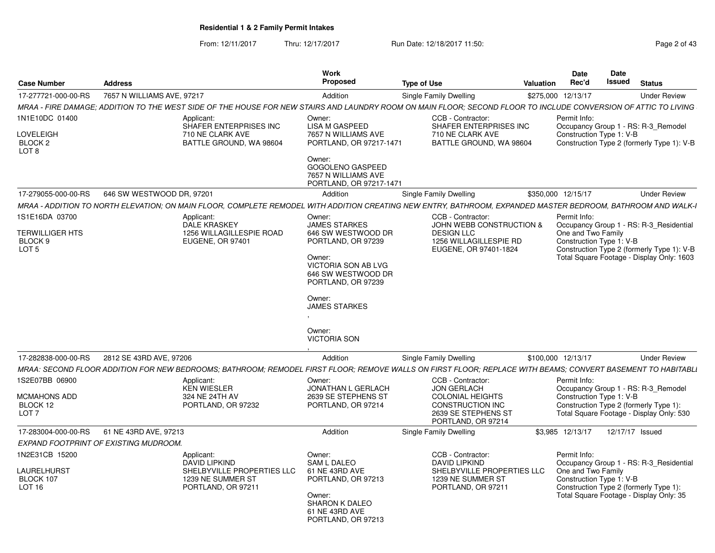From: 12/11/2017Thru: 12/17/2017 **Run Date: 12/18/2017 11:50: Page 2 of 43** Page 2 of 43

| 7-277721-000-00-RS 7657 N WILLIAMS AVE, 97217<br>MRAA - FIRE DAMAGE; ADDITION TO THE WEST SIDE OF THE HOUSE FOR NEW STAIRS AND LAUNDRY ROOM ON MAIN FLOOR; SECOND FLOOR TO INCLUDE CONVERSION OF ATTIC TO LIVING<br>1N1E10DC 01400<br>Applicant:<br>SHAFER ENTERPRISES INC<br><b>LOVELEIGH</b><br>710 NE CLARK AVE<br>BLOCK <sub>2</sub><br>BATTLE GROUND, WA 98604<br>8 TO_<br>17-279055-000-00-RS    646 SW WESTWOOD DR, 97201<br>MRAA - ADDITION TO NORTH ELEVATION; ON MAIN FLOOR, COMPLETE REMODEL WITH ADDITION CREATING NEW ENTRY, BATHROOM, EXPANDED MASTER BEDROOM, BATHROOM AND WALK-I<br>1S1E16DA 03700<br>Applicant:<br>DALE KRASKEY<br><b>TERWILLIGER HTS</b><br>1256 WILLAGILLESPIE ROAD<br>BLOCK 9<br>EUGENE, OR 97401<br>LOT 5<br>MRAA: SECOND FLOOR ADDITION FOR NEW BEDROOMS; BATHROOM; REMODEL FIRST FLOOR; REMOVE WALLS ON FIRST FLOOR; REPLACE WITH BEAMS; CONVERT BASEMENT TO HABITABLI<br>1S2E07BB 06900<br>Applicant:<br>KEN WIESLER<br>MCMAHONS ADD<br>324 NE 24TH AV<br>BLOCK 12<br>PORTLAND, OR 97232<br>LOT <sub>7</sub><br>17-283004-000-00-RS 61 NE 43RD AVE, 97213<br>EXPAND FOOTPRINT OF EXISTING MUDROOM.<br>1N2E31CB 15200<br>Applicant:<br>DAVID LIPKIND | Addition<br>Owner:                                                                                                                                                                                                                | Single Family Dwelling                                                                                                              | \$275,000 12/13/17                                                                                                                                                                                   | <b>Under Review</b>                     |
|---------------------------------------------------------------------------------------------------------------------------------------------------------------------------------------------------------------------------------------------------------------------------------------------------------------------------------------------------------------------------------------------------------------------------------------------------------------------------------------------------------------------------------------------------------------------------------------------------------------------------------------------------------------------------------------------------------------------------------------------------------------------------------------------------------------------------------------------------------------------------------------------------------------------------------------------------------------------------------------------------------------------------------------------------------------------------------------------------------------------------------------------------------------------------------------------|-----------------------------------------------------------------------------------------------------------------------------------------------------------------------------------------------------------------------------------|-------------------------------------------------------------------------------------------------------------------------------------|------------------------------------------------------------------------------------------------------------------------------------------------------------------------------------------------------|-----------------------------------------|
|                                                                                                                                                                                                                                                                                                                                                                                                                                                                                                                                                                                                                                                                                                                                                                                                                                                                                                                                                                                                                                                                                                                                                                                             |                                                                                                                                                                                                                                   |                                                                                                                                     |                                                                                                                                                                                                      |                                         |
|                                                                                                                                                                                                                                                                                                                                                                                                                                                                                                                                                                                                                                                                                                                                                                                                                                                                                                                                                                                                                                                                                                                                                                                             |                                                                                                                                                                                                                                   |                                                                                                                                     |                                                                                                                                                                                                      |                                         |
|                                                                                                                                                                                                                                                                                                                                                                                                                                                                                                                                                                                                                                                                                                                                                                                                                                                                                                                                                                                                                                                                                                                                                                                             | LISA M GASPEED<br>7657 N WILLIAMS AVE<br>PORTLAND, OR 97217-1471<br>Owner:<br><b>GOGOLENO GASPEED</b><br>7657 N WILLIAMS AVE<br>PORTLAND, OR 97217-1471                                                                           | CCB - Contractor:<br>SHAFER ENTERPRISES INC<br>710 NE CLARK AVE<br>BATTLE GROUND, WA 98604                                          | Permit Info:<br>Occupancy Group 1 - RS: R-3_Remodel<br>Construction Type 1: V-B<br>Construction Type 2 (formerly Type 1): V-B                                                                        |                                         |
|                                                                                                                                                                                                                                                                                                                                                                                                                                                                                                                                                                                                                                                                                                                                                                                                                                                                                                                                                                                                                                                                                                                                                                                             | Addition                                                                                                                                                                                                                          | Single Family Dwelling                                                                                                              | \$350,000 12/15/17                                                                                                                                                                                   | <b>Under Review</b>                     |
|                                                                                                                                                                                                                                                                                                                                                                                                                                                                                                                                                                                                                                                                                                                                                                                                                                                                                                                                                                                                                                                                                                                                                                                             |                                                                                                                                                                                                                                   |                                                                                                                                     |                                                                                                                                                                                                      |                                         |
|                                                                                                                                                                                                                                                                                                                                                                                                                                                                                                                                                                                                                                                                                                                                                                                                                                                                                                                                                                                                                                                                                                                                                                                             | Owner:<br><b>JAMES STARKES</b><br>646 SW WESTWOOD DR<br>PORTLAND, OR 97239<br>Owner:<br><b>VICTORIA SON AB LVG</b><br>646 SW WESTWOOD DR<br>PORTLAND, OR 97239<br>Owner:<br><b>JAMES STARKES</b><br>Owner:<br><b>VICTORIA SON</b> | CCB - Contractor:<br>JOHN WEBB CONSTRUCTION &<br><b>DESIGN LLC</b><br>1256 WILLAGILLESPIE RD<br>EUGENE, OR 97401-1824               | Permit Info:<br>Occupancy Group 1 - RS: R-3_Residential<br>One and Two Family<br>Construction Type 1: V-B<br>Construction Type 2 (formerly Type 1): V-B<br>Total Square Footage - Display Only: 1603 |                                         |
|                                                                                                                                                                                                                                                                                                                                                                                                                                                                                                                                                                                                                                                                                                                                                                                                                                                                                                                                                                                                                                                                                                                                                                                             | Addition                                                                                                                                                                                                                          | <b>Single Family Dwelling</b>                                                                                                       | \$100,000 12/13/17                                                                                                                                                                                   | <b>Under Review</b>                     |
|                                                                                                                                                                                                                                                                                                                                                                                                                                                                                                                                                                                                                                                                                                                                                                                                                                                                                                                                                                                                                                                                                                                                                                                             |                                                                                                                                                                                                                                   |                                                                                                                                     |                                                                                                                                                                                                      |                                         |
|                                                                                                                                                                                                                                                                                                                                                                                                                                                                                                                                                                                                                                                                                                                                                                                                                                                                                                                                                                                                                                                                                                                                                                                             | Owner:<br>JONATHAN L GERLACH<br>2639 SE STEPHENS ST<br>PORTLAND, OR 97214                                                                                                                                                         | CCB - Contractor:<br>JON GERLACH<br><b>COLONIAL HEIGHTS</b><br><b>CONSTRUCTION INC</b><br>2639 SE STEPHENS ST<br>PORTLAND, OR 97214 | Permit Info:<br>Occupancy Group 1 - RS: R-3 Remodel<br>Construction Type 1: V-B<br>Construction Type 2 (formerly Type 1):<br>Total Square Footage - Display Only: 530                                |                                         |
|                                                                                                                                                                                                                                                                                                                                                                                                                                                                                                                                                                                                                                                                                                                                                                                                                                                                                                                                                                                                                                                                                                                                                                                             | Addition                                                                                                                                                                                                                          | <b>Single Family Dwelling</b>                                                                                                       | \$3,985 12/13/17  12/17/17  Issued                                                                                                                                                                   |                                         |
|                                                                                                                                                                                                                                                                                                                                                                                                                                                                                                                                                                                                                                                                                                                                                                                                                                                                                                                                                                                                                                                                                                                                                                                             |                                                                                                                                                                                                                                   |                                                                                                                                     |                                                                                                                                                                                                      |                                         |
| LAURELHURST<br>SHELBYVILLE PROPERTIES LLC<br>BLOCK 107<br>1239 NE SUMMER ST<br><b>LOT 16</b><br>PORTLAND, OR 97211<br>Owner:<br>SHARON K DALEO<br>61 NE 43RD AVE<br>PORTLAND, OR 97213                                                                                                                                                                                                                                                                                                                                                                                                                                                                                                                                                                                                                                                                                                                                                                                                                                                                                                                                                                                                      | Owner:<br>SAM L DALEO<br>61 NE 43RD AVE<br>PORTLAND, OR 97213                                                                                                                                                                     | CCB - Contractor:<br>DAVID LIPKIND<br>SHELBYVILLE PROPERTIES LLC<br>1239 NE SUMMER ST<br>PORTLAND, OR 97211                         | Permit Info:<br>Occupancy Group 1 - RS: R-3_Residential<br>One and Two Family<br>Construction Type 1: V-B<br>Construction Type 2 (formerly Type 1):                                                  | Total Square Footage - Display Only: 35 |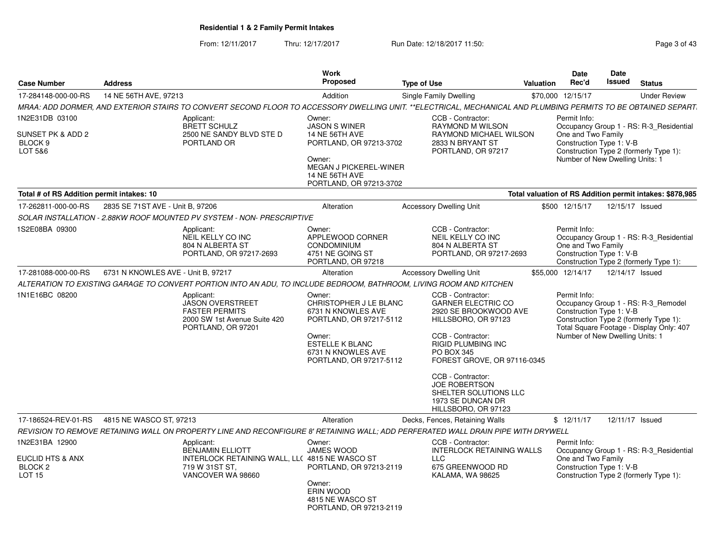From: 12/11/2017Thru: 12/17/2017 **Run Date: 12/18/2017 11:50: Page 3 of 43** Page 3 of 43

| <b>Case Number</b>                                 | <b>Address</b>                     |                                                                                                                                                                | <b>Work</b><br>Proposed                                                                                              | <b>Type of Use</b>                                                                                             | Valuation | Date<br>Rec'd                                                                     | Date<br>Issued  | <b>Status</b>                                                                                                             |
|----------------------------------------------------|------------------------------------|----------------------------------------------------------------------------------------------------------------------------------------------------------------|----------------------------------------------------------------------------------------------------------------------|----------------------------------------------------------------------------------------------------------------|-----------|-----------------------------------------------------------------------------------|-----------------|---------------------------------------------------------------------------------------------------------------------------|
| 17-284148-000-00-RS                                | 14 NE 56TH AVE, 97213              |                                                                                                                                                                | Addition                                                                                                             | Single Family Dwelling                                                                                         |           | \$70,000 12/15/17                                                                 |                 | <b>Under Review</b>                                                                                                       |
|                                                    |                                    | MRAA: ADD DORMER, AND EXTERIOR STAIRS TO CONVERT SECOND FLOOR TO ACCESSORY DWELLING UNIT. **ELECTRICAL, MECHANICAL AND PLUMBING PERMITS TO BE OBTAINED SEPART. |                                                                                                                      |                                                                                                                |           |                                                                                   |                 |                                                                                                                           |
| 1N2E31DB 03100                                     |                                    | Applicant:<br><b>BRETT SCHULZ</b>                                                                                                                              | Owner:<br><b>JASON S WINER</b>                                                                                       | CCB - Contractor:<br><b>RAYMOND M WILSON</b>                                                                   |           | Permit Info:                                                                      |                 | Occupancy Group 1 - RS: R-3 Residential                                                                                   |
| SUNSET PK & ADD 2<br>BLOCK <sub>9</sub><br>LOT 5&6 |                                    | 2500 NE SANDY BLVD STE D<br>PORTLAND OR                                                                                                                        | <b>14 NE 56TH AVE</b><br>PORTLAND, OR 97213-3702<br>Owner:<br><b>MEGAN J PICKEREL-WINER</b><br><b>14 NE 56TH AVE</b> | RAYMOND MICHAEL WILSON<br>2833 N BRYANT ST<br>PORTLAND, OR 97217                                               |           | One and Two Family<br>Construction Type 1: V-B<br>Number of New Dwelling Units: 1 |                 | Construction Type 2 (formerly Type 1):                                                                                    |
| Total # of RS Addition permit intakes: 10          |                                    |                                                                                                                                                                | PORTLAND, OR 97213-3702                                                                                              |                                                                                                                |           |                                                                                   |                 | Total valuation of RS Addition permit intakes: \$878,985                                                                  |
| 17-262811-000-00-RS                                | 2835 SE 71ST AVE - Unit B, 97206   |                                                                                                                                                                | Alteration                                                                                                           | <b>Accessory Dwelling Unit</b>                                                                                 |           | \$500 12/15/17                                                                    | 12/15/17 Issued |                                                                                                                           |
|                                                    |                                    | SOLAR INSTALLATION - 2.88KW ROOF MOUNTED PV SYSTEM - NON- PRESCRIPTIVE                                                                                         |                                                                                                                      |                                                                                                                |           |                                                                                   |                 |                                                                                                                           |
| 1S2E08BA 09300                                     |                                    | Applicant:<br>NEIL KELLY CO INC<br>804 N ALBERTA ST<br>PORTLAND, OR 97217-2693                                                                                 | Owner:<br>APPLEWOOD CORNER<br><b>CONDOMINIUM</b><br>4751 NE GOING ST<br>PORTLAND, OR 97218                           | CCB - Contractor:<br>NEIL KELLY CO INC<br>804 N ALBERTA ST<br>PORTLAND, OR 97217-2693                          |           | Permit Info:<br>One and Two Family<br>Construction Type 1: V-B                    |                 | Occupancy Group 1 - RS: R-3 Residential<br>Construction Type 2 (formerly Type 1):                                         |
| 17-281088-000-00-RS                                | 6731 N KNOWLES AVE - Unit B, 97217 |                                                                                                                                                                | Alteration                                                                                                           | <b>Accessory Dwelling Unit</b>                                                                                 |           | \$55,000 12/14/17                                                                 | 12/14/17 Issued |                                                                                                                           |
|                                                    |                                    | ALTERATION TO EXISTING GARAGE TO CONVERT PORTION INTO AN ADU. TO INCLUDE BEDROOM, BATHROOM, LIVING ROOM AND KITCHEN                                            |                                                                                                                      |                                                                                                                |           |                                                                                   |                 |                                                                                                                           |
| 1N1E16BC 08200                                     |                                    | Applicant:<br>JASON OVERSTREET<br><b>FASTER PERMITS</b><br>2000 SW 1st Avenue Suite 420<br>PORTLAND, OR 97201                                                  | Owner:<br>CHRISTOPHER J LE BLANC<br>6731 N KNOWLES AVE<br>PORTLAND, OR 97217-5112                                    | CCB - Contractor:<br><b>GARNER ELECTRIC CO</b><br>2920 SE BROOKWOOD AVE<br>HILLSBORO, OR 97123                 |           | Permit Info:<br>Construction Type 1: V-B                                          |                 | Occupancy Group 1 - RS: R-3_Remodel<br>Construction Type 2 (formerly Type 1):<br>Total Square Footage - Display Only: 407 |
|                                                    |                                    |                                                                                                                                                                | Owner:<br><b>ESTELLE K BLANC</b><br>6731 N KNOWLES AVE<br>PORTLAND, OR 97217-5112                                    | CCB - Contractor:<br><b>RIGID PLUMBING INC</b><br><b>PO BOX 345</b><br>FOREST GROVE, OR 97116-0345             |           | Number of New Dwelling Units: 1                                                   |                 |                                                                                                                           |
|                                                    |                                    |                                                                                                                                                                |                                                                                                                      | CCB - Contractor:<br><b>JOE ROBERTSON</b><br>SHELTER SOLUTIONS LLC<br>1973 SE DUNCAN DR<br>HILLSBORO, OR 97123 |           |                                                                                   |                 |                                                                                                                           |
| 17-186524-REV-01-RS                                | 4815 NE WASCO ST, 97213            |                                                                                                                                                                | Alteration                                                                                                           | Decks, Fences, Retaining Walls                                                                                 |           | \$12/11/17                                                                        | 12/11/17 Issued |                                                                                                                           |
|                                                    |                                    | REVISION TO REMOVE RETAINING WALL ON PROPERTY LINE AND RECONFIGURE 8' RETAINING WALL; ADD PERFERATED WALL DRAIN PIPE WITH DRYWELL                              |                                                                                                                      |                                                                                                                |           |                                                                                   |                 |                                                                                                                           |
| 1N2E31BA 12900<br>EUCLID HTS & ANX                 |                                    | Applicant:<br><b>BENJAMIN ELLIOTT</b><br>INTERLOCK RETAINING WALL, LLC 4815 NE WASCO ST                                                                        | Owner:<br>JAMES WOOD                                                                                                 | CCB - Contractor:<br><b>INTERLOCK RETAINING WALLS</b><br>$\sqcup$ C                                            |           | Permit Info:<br>One and Two Family                                                |                 | Occupancy Group 1 - RS: R-3 Residential                                                                                   |
| BLOCK <sub>2</sub><br><b>LOT 15</b>                |                                    | 719 W 31ST ST,<br>VANCOVER WA 98660                                                                                                                            | PORTLAND, OR 97213-2119<br>Owner:<br>ERIN WOOD<br>4815 NE WASCO ST<br>PORTLAND, OR 97213-2119                        | 675 GREENWOOD RD<br>KALAMA, WA 98625                                                                           |           | Construction Type 1: V-B                                                          |                 | Construction Type 2 (formerly Type 1):                                                                                    |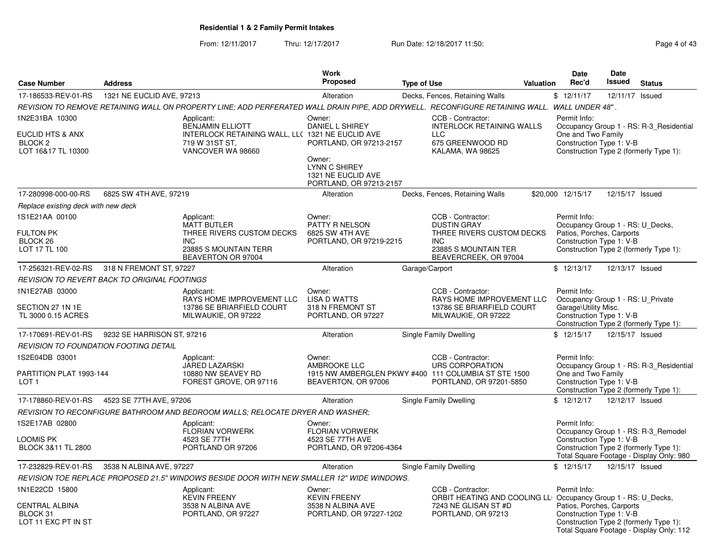From: 12/11/2017Thru: 12/17/2017 **Run Date: 12/18/2017 11:50: Page 4 of 43** 

|                                                                                |                            |                                                                                                                                               | <b>Work</b>                                                                                                                                    |                    |                                                                                                                                     |           | <b>Date</b>                                                                                               | <b>Date</b>     |                                                                                                                           |
|--------------------------------------------------------------------------------|----------------------------|-----------------------------------------------------------------------------------------------------------------------------------------------|------------------------------------------------------------------------------------------------------------------------------------------------|--------------------|-------------------------------------------------------------------------------------------------------------------------------------|-----------|-----------------------------------------------------------------------------------------------------------|-----------------|---------------------------------------------------------------------------------------------------------------------------|
| <b>Case Number</b>                                                             | <b>Address</b>             |                                                                                                                                               | <b>Proposed</b>                                                                                                                                | <b>Type of Use</b> |                                                                                                                                     | Valuation | Rec'd                                                                                                     | <b>Issued</b>   | <b>Status</b>                                                                                                             |
| 17-186533-REV-01-RS                                                            | 1321 NE EUCLID AVE, 97213  |                                                                                                                                               | Alteration                                                                                                                                     |                    | Decks, Fences, Retaining Walls                                                                                                      |           | \$12/11/17                                                                                                | 12/11/17 Issued |                                                                                                                           |
|                                                                                |                            | REVISION TO REMOVE RETAINING WALL ON PROPERTY LINE; ADD PERFERATED WALL DRAIN PIPE, ADD DRYWELL. RECONFIGURE RETAINING WALL. WALL UNDER 48" . |                                                                                                                                                |                    |                                                                                                                                     |           |                                                                                                           |                 |                                                                                                                           |
| 1N2E31BA 10300<br><b>EUCLID HTS &amp; ANX</b><br>BLOCK 2<br>LOT 16&17 TL 10300 |                            | Applicant:<br><b>BENJAMIN ELLIOTT</b><br>INTERLOCK RETAINING WALL, LL( 1321 NE EUCLID AVE<br>719 W 31ST ST,<br>VANCOVER WA 98660              | Owner:<br><b>DANIEL L SHIREY</b><br>PORTLAND, OR 97213-2157<br>Owner:<br><b>LYNN C SHIREY</b><br>1321 NE EUCLID AVE<br>PORTLAND, OR 97213-2157 |                    | CCB - Contractor:<br><b>INTERLOCK RETAINING WALLS</b><br><b>LLC</b><br>675 GREENWOOD RD<br>KALAMA, WA 98625                         |           | Permit Info:<br>One and Two Family<br>Construction Type 1: V-B                                            |                 | Occupancy Group 1 - RS: R-3_Residential<br>Construction Type 2 (formerly Type 1):                                         |
| 17-280998-000-00-RS                                                            | 6825 SW 4TH AVE, 97219     |                                                                                                                                               | Alteration                                                                                                                                     |                    | Decks, Fences, Retaining Walls                                                                                                      |           | \$20,000 12/15/17                                                                                         | 12/15/17 Issued |                                                                                                                           |
| Replace existing deck with new deck                                            |                            |                                                                                                                                               |                                                                                                                                                |                    |                                                                                                                                     |           |                                                                                                           |                 |                                                                                                                           |
| 1S1E21AA 00100<br>FULTON PK<br>BLOCK 26<br>LOT 17 TL 100                       |                            | Applicant:<br><b>MATT BUTLER</b><br>THREE RIVERS CUSTOM DECKS<br><b>INC</b><br>23885 S MOUNTAIN TERR<br>BEAVERTON OR 97004                    | Owner:<br>PATTY R NELSON<br>6825 SW 4TH AVE<br>PORTLAND, OR 97219-2215                                                                         |                    | CCB - Contractor:<br><b>DUSTIN GRAY</b><br>THREE RIVERS CUSTOM DECKS<br><b>INC</b><br>23885 S MOUNTAIN TER<br>BEAVERCREEK, OR 97004 |           | Permit Info:<br>Occupancy Group 1 - RS: U_Decks,<br>Patios, Porches, Carports<br>Construction Type 1: V-B |                 | Construction Type 2 (formerly Type 1):                                                                                    |
| 17-256321-REV-02-RS                                                            | 318 N FREMONT ST, 97227    |                                                                                                                                               | Alteration                                                                                                                                     | Garage/Carport     |                                                                                                                                     |           | \$12/13/17                                                                                                | 12/13/17 Issued |                                                                                                                           |
| REVISION TO REVERT BACK TO ORIGINAL FOOTINGS                                   |                            |                                                                                                                                               |                                                                                                                                                |                    |                                                                                                                                     |           |                                                                                                           |                 |                                                                                                                           |
| 1N1E27AB 03000<br>SECTION 27 1N 1E<br>TL 3000 0.15 ACRES                       |                            | Applicant:<br><b>RAYS HOME IMPROVEMENT LLC</b><br>13786 SE BRIARFIELD COURT<br>MILWAUKIE, OR 97222                                            | Owner:<br><b>LISA D WATTS</b><br>318 N FREMONT ST<br>PORTLAND, OR 97227                                                                        |                    | CCB - Contractor:<br>RAYS HOME IMPROVEMENT LLC<br>13786 SE BRIARFIELD COURT<br>MILWAUKIE, OR 97222                                  |           | Permit Info:<br>Occupancy Group 1 - RS: U Private<br>Garage\Utility Misc.<br>Construction Type 1: V-B     |                 | Construction Type 2 (formerly Type 1):                                                                                    |
| 17-170691-REV-01-RS                                                            | 9232 SE HARRISON ST, 97216 |                                                                                                                                               | Alteration                                                                                                                                     |                    | Single Family Dwelling                                                                                                              |           | \$12/15/17                                                                                                | 12/15/17 Issued |                                                                                                                           |
| <b>REVISION TO FOUNDATION FOOTING DETAIL</b>                                   |                            |                                                                                                                                               |                                                                                                                                                |                    |                                                                                                                                     |           |                                                                                                           |                 |                                                                                                                           |
| 1S2E04DB 03001<br>PARTITION PLAT 1993-144<br>LOT <sub>1</sub>                  |                            | Applicant:<br><b>JARED LAZARSKI</b><br>10880 NW SEAVEY RD<br>FOREST GROVE, OR 97116                                                           | Owner:<br>AMBROOKE LLC<br>BEAVERTON, OR 97006                                                                                                  |                    | CCB - Contractor:<br>URS CORPORATION<br>1915 NW AMBERGLEN PKWY #400 111 COLUMBIA ST STE 1500<br>PORTLAND, OR 97201-5850             |           | Permit Info:<br>One and Two Family<br>Construction Type 1: V-B                                            |                 | Occupancy Group 1 - RS: R-3_Residential<br>Construction Type 2 (formerly Type 1):                                         |
| 17-178860-REV-01-RS                                                            | 4523 SE 77TH AVE, 97206    |                                                                                                                                               | Alteration                                                                                                                                     |                    | <b>Single Family Dwelling</b>                                                                                                       |           | \$12/12/17                                                                                                | 12/12/17 Issued |                                                                                                                           |
|                                                                                |                            | REVISION TO RECONFIGURE BATHROOM AND BEDROOM WALLS: RELOCATE DRYER AND WASHER:                                                                |                                                                                                                                                |                    |                                                                                                                                     |           |                                                                                                           |                 |                                                                                                                           |
| 1S2E17AB 02800<br>LOOMIS PK<br>BLOCK 3&11 TL 2800                              |                            | Applicant:<br><b>FLORIAN VORWERK</b><br>4523 SE 77TH<br>PORTLAND OR 97206                                                                     | Owner:<br><b>FLORIAN VORWERK</b><br>4523 SE 77TH AVE<br>PORTLAND, OR 97206-4364                                                                |                    |                                                                                                                                     |           | Permit Info:<br>Construction Type 1: V-B                                                                  |                 | Occupancy Group 1 - RS: R-3_Remodel<br>Construction Type 2 (formerly Type 1):<br>Total Square Footage - Display Only: 980 |
| 17-232829-REV-01-RS                                                            | 3538 N ALBINA AVE, 97227   |                                                                                                                                               | Alteration                                                                                                                                     |                    | Single Family Dwelling                                                                                                              |           | \$12/15/17                                                                                                | 12/15/17 Issued |                                                                                                                           |
|                                                                                |                            | REVISION TOE REPLACE PROPOSED 21.5" WINDOWS BESIDE DOOR WITH NEW SMALLER 12" WIDE WINDOWS.                                                    |                                                                                                                                                |                    |                                                                                                                                     |           |                                                                                                           |                 |                                                                                                                           |
| 1N1E22CD 15800                                                                 |                            | Applicant:                                                                                                                                    | Owner:                                                                                                                                         |                    | CCB - Contractor:                                                                                                                   |           | Permit Info:                                                                                              |                 |                                                                                                                           |
| CENTRAL ALBINA<br>BLOCK 31<br>LOT 11 EXC PT IN ST                              |                            | <b>KEVIN FREENY</b><br>3538 N ALBINA AVE<br>PORTLAND, OR 97227                                                                                | <b>KEVIN FREENY</b><br>3538 N ALBINA AVE<br>PORTLAND, OR 97227-1202                                                                            |                    | ORBIT HEATING AND COOLING LL Occupancy Group 1 - RS: U_Decks,<br>7243 NE GLISAN ST #D<br>PORTLAND, OR 97213                         |           | Patios, Porches, Carports<br>Construction Type 1: V-B                                                     |                 | Construction Type 2 (formerly Type 1):<br>Total Square Footage - Display Only: 112                                        |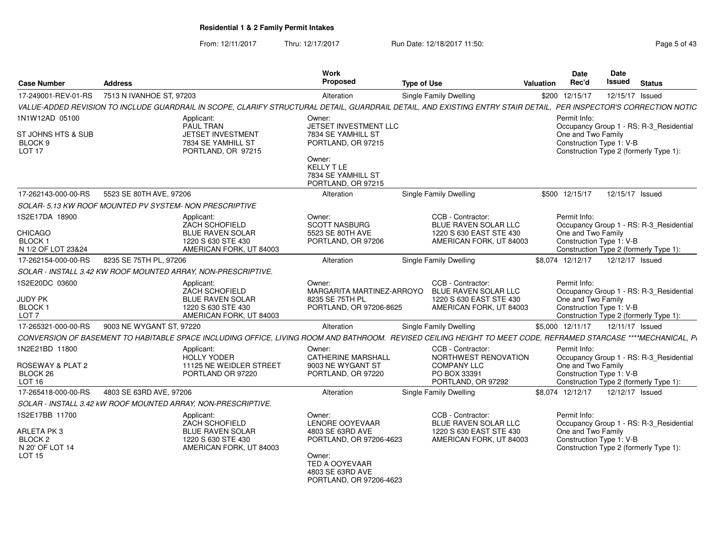From: 12/11/2017Thru: 12/17/2017 **Run Date: 12/18/2017 11:50: Page 5 of 43** Page 5 of 43

| <b>Case Number</b>                                                    | <b>Address</b>                                                                                                                                                     | <b>Work</b><br><b>Proposed</b>                                                                    | <b>Type of Use</b>                                                   | Valuation               | Date<br>Rec'd                                                  | Date<br><b>Issued</b> | <b>Status</b>                                                                     |
|-----------------------------------------------------------------------|--------------------------------------------------------------------------------------------------------------------------------------------------------------------|---------------------------------------------------------------------------------------------------|----------------------------------------------------------------------|-------------------------|----------------------------------------------------------------|-----------------------|-----------------------------------------------------------------------------------|
| 17-249001-REV-01-RS                                                   | 7513 N IVANHOE ST, 97203                                                                                                                                           | Alteration                                                                                        | Single Family Dwelling                                               |                         | \$200 12/15/17                                                 | 12/15/17 Issued       |                                                                                   |
|                                                                       | VALUE-ADDED REVISION TO INCLUDE GUARDRAIL IN SCOPE, CLARIFY STRUCTURAL DETAIL, GUARDRAIL DETAIL, AND EXISTING ENTRY STAIR DETAIL, PER INSPECTOR'S CORRECTION NOTIC |                                                                                                   |                                                                      |                         |                                                                |                       |                                                                                   |
| 1N1W12AD 05100                                                        | Applicant:<br><b>PAUL TRAN</b>                                                                                                                                     | Owner:<br>JETSET INVESTMENT LLC                                                                   |                                                                      |                         | Permit Info:                                                   |                       | Occupancy Group 1 - RS: R-3_Residential                                           |
| ST JOHNS HTS & SUB<br>BLOCK <sub>9</sub><br>LOT <sub>17</sub>         | <b>JETSET INVESTMENT</b><br>7834 SE YAMHILL ST<br>PORTLAND, OR 97215                                                                                               | 7834 SE YAMHILL ST<br>PORTLAND, OR 97215                                                          |                                                                      |                         | One and Two Family<br>Construction Type 1: V-B                 |                       | Construction Type 2 (formerly Type 1):                                            |
|                                                                       |                                                                                                                                                                    | Owner:<br><b>KELLY T LE</b><br>7834 SE YAMHILL ST<br>PORTLAND, OR 97215                           |                                                                      |                         |                                                                |                       |                                                                                   |
| 17-262143-000-00-RS                                                   | 5523 SE 80TH AVE, 97206                                                                                                                                            | Alteration                                                                                        | Single Family Dwelling                                               |                         | \$500 12/15/17                                                 | 12/15/17 Issued       |                                                                                   |
|                                                                       | SOLAR- 5.13 KW ROOF MOUNTED PV SYSTEM- NON PRESCRIPTIVE                                                                                                            |                                                                                                   |                                                                      |                         |                                                                |                       |                                                                                   |
| 1S2E17DA 18900<br>CHICAGO<br>BLOCK 1                                  | Applicant:<br>ZACH SCHOFIELD<br><b>BLUE RAVEN SOLAR</b><br>1220 S 630 STE 430                                                                                      | Owner:<br><b>SCOTT NASBURG</b><br>5523 SE 80TH AVE<br>PORTLAND, OR 97206                          | CCB - Contractor:<br>BLUE RAVEN SOLAR LLC<br>1220 S 630 EAST STE 430 | AMERICAN FORK, UT 84003 | Permit Info:<br>One and Two Family<br>Construction Type 1: V-B |                       | Occupancy Group 1 - RS: R-3_Residential                                           |
| N 1/2 OF LOT 23&24<br>17-262154-000-00-RS                             | AMERICAN FORK, UT 84003<br>8235 SE 75TH PL, 97206                                                                                                                  | Alteration                                                                                        | Single Family Dwelling                                               |                         | \$8,074 12/12/17                                               | 12/12/17 Issued       | Construction Type 2 (formerly Type 1):                                            |
|                                                                       | SOLAR - INSTALL 3.42 KW ROOF MOUNTED ARRAY, NON-PRESCRIPTIVE.                                                                                                      |                                                                                                   |                                                                      |                         |                                                                |                       |                                                                                   |
| 1S2E20DC 03600                                                        | Applicant:                                                                                                                                                         | Owner:                                                                                            | CCB - Contractor:                                                    |                         | Permit Info:                                                   |                       |                                                                                   |
| JUDY PK<br>BLOCK <sub>1</sub><br>LOT <sub>7</sub>                     | ZACH SCHOFIELD<br><b>BLUE RAVEN SOLAR</b><br>1220 S 630 STE 430<br>AMERICAN FORK, UT 84003                                                                         | MARGARITA MARTINEZ-ARROYO<br>8235 SE 75TH PL<br>PORTLAND, OR 97206-8625                           | BLUE RAVEN SOLAR LLC<br>1220 S 630 EAST STE 430                      | AMERICAN FORK, UT 84003 | One and Two Family<br>Construction Type 1: V-B                 |                       | Occupancy Group 1 - RS: R-3_Residential<br>Construction Type 2 (formerly Type 1): |
| 17-265321-000-00-RS                                                   | 9003 NE WYGANT ST, 97220                                                                                                                                           | Alteration                                                                                        | Single Family Dwelling                                               |                         | \$5,000 12/11/17                                               | 12/11/17 Issued       |                                                                                   |
|                                                                       | CONVERSION OF BASEMENT TO HABITABLE SPACE INCLUDING OFFICE, LIVING ROOM AND BATHROOM. REVISED CEILING HEIGHT TO MEET CODE, REFRAMED STARCASE ****MECHANICAL, P.    |                                                                                                   |                                                                      |                         |                                                                |                       |                                                                                   |
| 1N2E21BD 11800<br>ROSEWAY & PLAT 2<br>BLOCK <sub>26</sub>             | Applicant:<br><b>HOLLY YODER</b><br>11125 NE WEIDLER STREET<br>PORTLAND OR 97220                                                                                   | Owner:<br><b>CATHERINE MARSHALL</b><br>9003 NE WYGANT ST<br>PORTLAND, OR 97220                    | CCB - Contractor:<br><b>COMPANY LLC</b><br>PO BOX 33391              | NORTHWEST RENOVATION    | Permit Info:<br>One and Two Family<br>Construction Type 1: V-B |                       | Occupancy Group 1 - RS: R-3_Residential                                           |
| LOT 16<br>17-265418-000-00-RS                                         | 4803 SE 63RD AVE, 97206                                                                                                                                            |                                                                                                   | PORTLAND, OR 97292<br>Single Family Dwelling                         |                         | \$8,074 12/12/17                                               | 12/12/17 Issued       | Construction Type 2 (formerly Type 1):                                            |
|                                                                       | SOLAR - INSTALL 3.42 kW ROOF MOUNTED ARRAY, NON-PRESCRIPTIVE.                                                                                                      | Alteration                                                                                        |                                                                      |                         |                                                                |                       |                                                                                   |
| 1S2E17BB 11700                                                        | Applicant:                                                                                                                                                         | Owner:                                                                                            | CCB - Contractor:                                                    |                         | Permit Info:                                                   |                       |                                                                                   |
| ARLETA PK 3<br>BLOCK <sub>2</sub><br>N 20' OF LOT 14<br><b>LOT 15</b> | ZACH SCHOFIELD<br>BLUE RAVEN SOLAR<br>1220 S 630 STE 430<br>AMERICAN FORK, UT 84003                                                                                | <b>LENORE OOYEVAAR</b><br>4803 SE 63RD AVE<br>PORTLAND, OR 97206-4623<br>Owner:<br>TED A OOYEVAAR | BLUE RAVEN SOLAR LLC<br>1220 S 630 EAST STE 430                      | AMERICAN FORK, UT 84003 | One and Two Family<br>Construction Type 1: V-B                 |                       | Occupancy Group 1 - RS: R-3_Residential<br>Construction Type 2 (formerly Type 1): |
|                                                                       |                                                                                                                                                                    | 4803 SE 63RD AVE<br>PORTLAND, OR 97206-4623                                                       |                                                                      |                         |                                                                |                       |                                                                                   |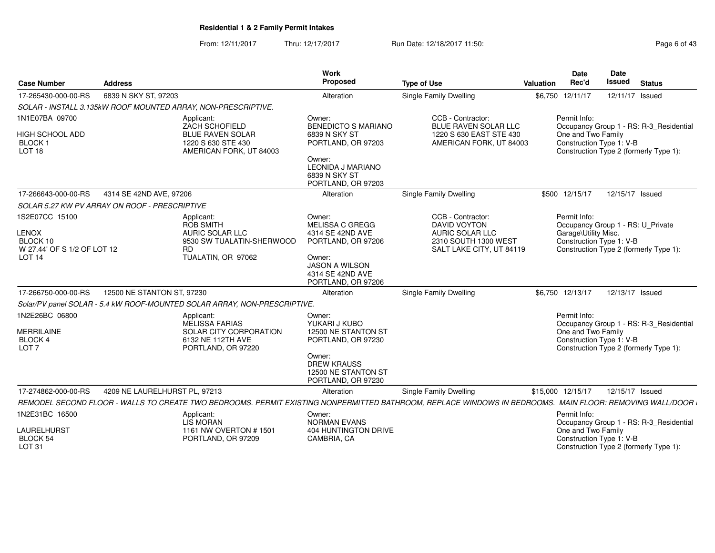From: 12/11/2017Thru: 12/17/2017 **Run Date: 12/18/2017 11:50: Page 6 of 43** 

| <b>Case Number</b>                                                                      | <b>Address</b>                |                                                                                                             | <b>Work</b><br>Proposed                                                                                                                           | <b>Type of Use</b>                                                                                                                                      | Valuation | <b>Date</b><br>Rec'd                                             | <b>Date</b><br>Issued | <b>Status</b>                                                                     |
|-----------------------------------------------------------------------------------------|-------------------------------|-------------------------------------------------------------------------------------------------------------|---------------------------------------------------------------------------------------------------------------------------------------------------|---------------------------------------------------------------------------------------------------------------------------------------------------------|-----------|------------------------------------------------------------------|-----------------------|-----------------------------------------------------------------------------------|
| 17-265430-000-00-RS                                                                     | 6839 N SKY ST, 97203          |                                                                                                             | Alteration                                                                                                                                        | <b>Single Family Dwelling</b>                                                                                                                           |           | \$6,750 12/11/17                                                 |                       | 12/11/17 Issued                                                                   |
|                                                                                         |                               | SOLAR - INSTALL 3.135kW ROOF MOUNTED ARRAY, NON-PRESCRIPTIVE.                                               |                                                                                                                                                   |                                                                                                                                                         |           |                                                                  |                       |                                                                                   |
| 1N1E07BA 09700<br><b>HIGH SCHOOL ADD</b><br>BLOCK <sub>1</sub><br>LOT <sub>18</sub>     |                               | Applicant:<br>ZACH SCHOFIELD<br><b>BLUE RAVEN SOLAR</b><br>1220 S 630 STE 430<br>AMERICAN FORK, UT 84003    | Owner:<br><b>BENEDICTO S MARIANO</b><br>6839 N SKY ST<br>PORTLAND, OR 97203<br>Owner:<br>LEONIDA J MARIANO<br>6839 N SKY ST<br>PORTLAND, OR 97203 | CCB - Contractor:<br>BLUE RAVEN SOLAR LLC<br>1220 S 630 EAST STE 430<br>AMERICAN FORK, UT 84003                                                         |           | Permit Info:<br>One and Two Family<br>Construction Type 1: V-B   |                       | Occupancy Group 1 - RS: R-3_Residential<br>Construction Type 2 (formerly Type 1): |
| 17-266643-000-00-RS                                                                     | 4314 SE 42ND AVE, 97206       |                                                                                                             | Alteration                                                                                                                                        | <b>Single Family Dwelling</b>                                                                                                                           |           | \$500 12/15/17                                                   |                       | 12/15/17 Issued                                                                   |
| SOLAR 5.27 KW PV ARRAY ON ROOF - PRESCRIPTIVE                                           |                               |                                                                                                             |                                                                                                                                                   |                                                                                                                                                         |           |                                                                  |                       |                                                                                   |
| 1S2E07CC 15100<br>LENOX<br>BLOCK 10<br>W 27.44' OF S 1/2 OF LOT 12<br>LOT <sub>14</sub> |                               | Applicant:<br>ROB SMITH<br><b>AURIC SOLAR LLC</b><br>9530 SW TUALATIN-SHERWOOD<br>RD.<br>TUALATIN, OR 97062 | Owner:<br>MELISSA C GREGG<br>4314 SE 42ND AVE<br>PORTLAND, OR 97206<br>Owner:<br>JASON A WILSON<br>4314 SE 42ND AVE<br>PORTLAND, OR 97206         | CCB - Contractor:<br>DAVID VOYTON<br>AURIC SOLAR LLC<br>2310 SOUTH 1300 WEST<br>SALT LAKE CITY, UT 84119                                                |           | Permit Info:<br>Garage\Utility Misc.<br>Construction Type 1: V-B |                       | Occupancy Group 1 - RS: U Private<br>Construction Type 2 (formerly Type 1):       |
| 17-266750-000-00-RS                                                                     | 12500 NE STANTON ST, 97230    |                                                                                                             | Alteration                                                                                                                                        | Single Family Dwelling                                                                                                                                  |           | \$6,750 12/13/17                                                 |                       | 12/13/17 Issued                                                                   |
|                                                                                         |                               | Solar/PV panel SOLAR - 5.4 kW ROOF-MOUNTED SOLAR ARRAY, NON-PRESCRIPTIVE.                                   |                                                                                                                                                   |                                                                                                                                                         |           |                                                                  |                       |                                                                                   |
| 1N2E26BC 06800<br><b>MERRILAINE</b><br>BLOCK 4<br>LOT <sub>7</sub>                      |                               | Applicant:<br>MELISSA FARIAS<br>SOLAR CITY CORPORATION<br>6132 NE 112TH AVE<br>PORTLAND, OR 97220           | Owner:<br>YUKARI J KUBO<br>12500 NE STANTON ST<br>PORTLAND, OR 97230<br>Owner:<br><b>DREW KRAUSS</b><br>12500 NE STANTON ST<br>PORTLAND, OR 97230 |                                                                                                                                                         |           | Permit Info:<br>One and Two Family<br>Construction Type 1: V-B   |                       | Occupancy Group 1 - RS: R-3_Residential<br>Construction Type 2 (formerly Type 1): |
| 17-274862-000-00-RS                                                                     | 4209 NE LAURELHURST PL, 97213 |                                                                                                             | Alteration                                                                                                                                        | Single Family Dwelling                                                                                                                                  |           | \$15,000 12/15/17                                                |                       | 12/15/17 Issued                                                                   |
|                                                                                         |                               |                                                                                                             |                                                                                                                                                   | REMODEL SECOND FLOOR - WALLS TO CREATE TWO BEDROOMS. PERMIT EXISTING NONPERMITTED BATHROOM, REPLACE WINDOWS IN BEDROOMS. MAIN FLOOR: REMOVING WALL/DOOR |           |                                                                  |                       |                                                                                   |
| 1N2E31BC 16500<br>LAURELHURST<br><b>BLOCK 54</b><br><b>LOT 31</b>                       |                               | Applicant:<br>LIS MORAN<br>1161 NW OVERTON #1501<br>PORTLAND, OR 97209                                      | Owner:<br><b>NORMAN EVANS</b><br>404 HUNTINGTON DRIVE<br>CAMBRIA, CA                                                                              |                                                                                                                                                         |           | Permit Info:<br>One and Two Family<br>Construction Type 1: V-B   |                       | Occupancy Group 1 - RS: R-3_Residential<br>Construction Type 2 (formerly Type 1): |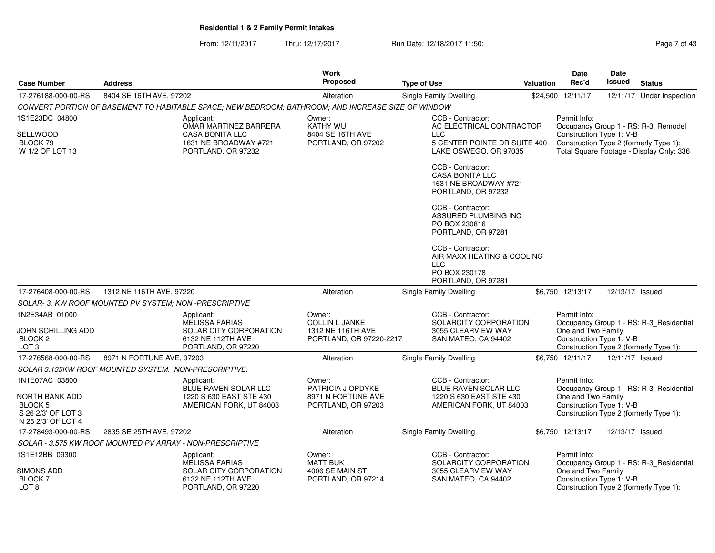From: 12/11/2017Thru: 12/17/2017 **Run Date: 12/18/2017 11:50: Page 7 of 43** Page 7 of 43

| <b>Case Number</b>                                                               | <b>Address</b>                                         |                                                                                                          | <b>Work</b><br><b>Proposed</b>                                                  | <b>Type of Use</b>                                                                             | <b>Valuation</b> | Date<br>Rec'd                                                  | Date<br>Issued  | <b>Status</b>                                                                                                             |
|----------------------------------------------------------------------------------|--------------------------------------------------------|----------------------------------------------------------------------------------------------------------|---------------------------------------------------------------------------------|------------------------------------------------------------------------------------------------|------------------|----------------------------------------------------------------|-----------------|---------------------------------------------------------------------------------------------------------------------------|
| 17-276188-000-00-RS                                                              | 8404 SE 16TH AVE, 97202                                |                                                                                                          | Alteration                                                                      | Single Family Dwelling                                                                         |                  | \$24,500 12/11/17                                              |                 | 12/11/17 Under Inspection                                                                                                 |
|                                                                                  |                                                        | CONVERT PORTION OF BASEMENT TO HABITABLE SPACE; NEW BEDROOM; BATHROOM; AND INCREASE SIZE OF WINDOW       |                                                                                 |                                                                                                |                  |                                                                |                 |                                                                                                                           |
| 1S1E23DC 04800                                                                   |                                                        | Applicant:                                                                                               | Owner:                                                                          | CCB - Contractor:                                                                              |                  | Permit Info:                                                   |                 |                                                                                                                           |
| SELLWOOD<br>BLOCK 79<br>W 1/2 OF LOT 13                                          |                                                        | OMAR MARTINEZ BARRERA<br><b>CASA BONITA LLC</b><br>1631 NE BROADWAY #721<br>PORTLAND, OR 97232           | <b>KATHY WU</b><br>8404 SE 16TH AVE<br>PORTLAND, OR 97202                       | AC ELECTRICAL CONTRACTOR<br>LLC<br>5 CENTER POINTE DR SUITE 400<br>LAKE OSWEGO, OR 97035       |                  | Construction Type 1: V-B                                       |                 | Occupancy Group 1 - RS: R-3_Remodel<br>Construction Type 2 (formerly Type 1):<br>Total Square Footage - Display Only: 336 |
|                                                                                  |                                                        |                                                                                                          |                                                                                 | CCB - Contractor:<br><b>CASA BONITA LLC</b><br>1631 NE BROADWAY #721<br>PORTLAND, OR 97232     |                  |                                                                |                 |                                                                                                                           |
|                                                                                  |                                                        |                                                                                                          |                                                                                 | CCB - Contractor:<br>ASSURED PLUMBING INC<br>PO BOX 230816<br>PORTLAND, OR 97281               |                  |                                                                |                 |                                                                                                                           |
|                                                                                  |                                                        |                                                                                                          |                                                                                 | CCB - Contractor:<br>AIR MAXX HEATING & COOLING<br>LLC.<br>PO BOX 230178<br>PORTLAND, OR 97281 |                  |                                                                |                 |                                                                                                                           |
| 17-276408-000-00-RS                                                              | 1312 NE 116TH AVE, 97220                               |                                                                                                          | Alteration                                                                      | <b>Single Family Dwelling</b>                                                                  |                  | \$6,750 12/13/17                                               | 12/13/17 Issued |                                                                                                                           |
|                                                                                  | SOLAR- 3. KW ROOF MOUNTED PV SYSTEM: NON -PRESCRIPTIVE |                                                                                                          |                                                                                 |                                                                                                |                  |                                                                |                 |                                                                                                                           |
| 1N2E34AB 01000<br>JOHN SCHILLING ADD<br>BLOCK <sub>2</sub><br>LOT <sub>3</sub>   |                                                        | Applicant:<br><b>MELISSA FARIAS</b><br>SOLAR CITY CORPORATION<br>6132 NE 112TH AVE<br>PORTLAND, OR 97220 | Owner:<br><b>COLLIN L JANKE</b><br>1312 NE 116TH AVE<br>PORTLAND, OR 97220-2217 | CCB - Contractor:<br>SOLARCITY CORPORATION<br>3055 CLEARVIEW WAY<br>SAN MATEO, CA 94402        |                  | Permit Info:<br>One and Two Family<br>Construction Type 1: V-B |                 | Occupancy Group 1 - RS: R-3_Residential<br>Construction Type 2 (formerly Type 1):                                         |
| 17-276568-000-00-RS                                                              | 8971 N FORTUNE AVE, 97203                              |                                                                                                          | Alteration                                                                      | <b>Single Family Dwelling</b>                                                                  |                  | \$6,750 12/11/17                                               | 12/11/17 Issued |                                                                                                                           |
|                                                                                  | SOLAR 3.135KW ROOF MOUNTED SYSTEM. NON-PRESCRIPTIVE.   |                                                                                                          |                                                                                 |                                                                                                |                  |                                                                |                 |                                                                                                                           |
| 1N1E07AC 03800                                                                   |                                                        | Applicant:<br>BLUE RAVEN SOLAR LLC                                                                       | Owner:<br>PATRICIA J OPDYKE                                                     | CCB - Contractor:<br>BLUE RAVEN SOLAR LLC                                                      |                  | Permit Info:                                                   |                 | Occupancy Group 1 - RS: R-3_Residential                                                                                   |
| NORTH BANK ADD<br>BLOCK <sub>5</sub><br>S 26 2/3' OF LOT 3<br>N 26 2/3' OF LOT 4 |                                                        | 1220 S 630 EAST STE 430<br>AMERICAN FORK, UT 84003                                                       | 8971 N FORTUNE AVE<br>PORTLAND, OR 97203                                        | 1220 S 630 EAST STE 430<br>AMERICAN FORK, UT 84003                                             |                  | One and Two Family<br>Construction Type 1: V-B                 |                 | Construction Type 2 (formerly Type 1):                                                                                    |
| 17-278493-000-00-RS                                                              | 2835 SE 25TH AVE, 97202                                |                                                                                                          | Alteration                                                                      | <b>Single Family Dwelling</b>                                                                  |                  | \$6,750 12/13/17                                               | 12/13/17 Issued |                                                                                                                           |
|                                                                                  |                                                        | SOLAR - 3.575 KW ROOF MOUNTED PV ARRAY - NON-PRESCRIPTIVE                                                |                                                                                 |                                                                                                |                  |                                                                |                 |                                                                                                                           |
| 1S1E12BB 09300                                                                   |                                                        | Applicant:<br><b>MELISSA FARIAS</b>                                                                      | Owner:<br><b>MATT BUK</b>                                                       | CCB - Contractor:<br>SOLARCITY CORPORATION                                                     |                  | Permit Info:                                                   |                 | Occupancy Group 1 - RS: R-3 Residential                                                                                   |
| SIMONS ADD<br><b>BLOCK7</b><br>LOT <sub>8</sub>                                  |                                                        | SOLAR CITY CORPORATION<br>6132 NE 112TH AVE<br>PORTLAND, OR 97220                                        | 4006 SE MAIN ST<br>PORTLAND, OR 97214                                           | 3055 CLEARVIEW WAY<br>SAN MATEO, CA 94402                                                      |                  | One and Two Family<br>Construction Type 1: V-B                 |                 | Construction Type 2 (formerly Type 1):                                                                                    |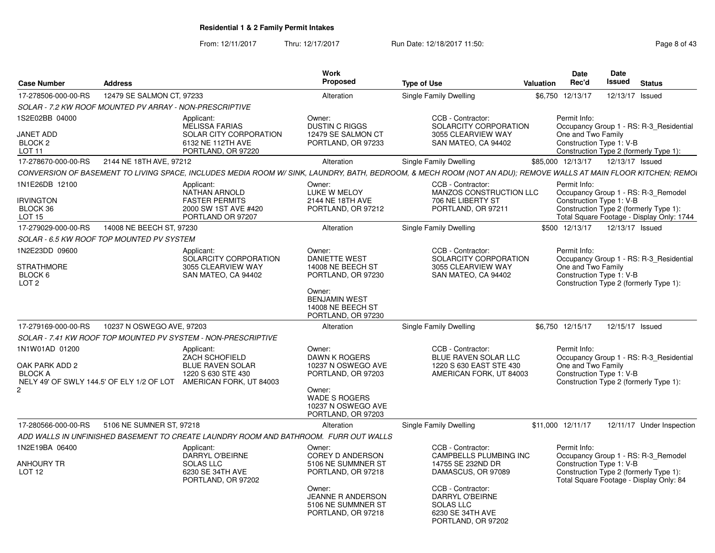From: 12/11/2017Thru: 12/17/2017 **Run Date: 12/18/2017 11:50: Page 8 of 43** Page 8 of 43

| <b>Case Number</b>           | <b>Address</b>                                                                                                                                                   | <b>Work</b><br><b>Proposed</b>                                                 | <b>Type of Use</b>                                                                                        | <b>Valuation</b> | Date<br>Rec'd                                                                     | Date<br>Issued  | <b>Status</b>   |                                           |
|------------------------------|------------------------------------------------------------------------------------------------------------------------------------------------------------------|--------------------------------------------------------------------------------|-----------------------------------------------------------------------------------------------------------|------------------|-----------------------------------------------------------------------------------|-----------------|-----------------|-------------------------------------------|
| 17-278506-000-00-RS          | 12479 SE SALMON CT, 97233                                                                                                                                        | Alteration                                                                     | Single Family Dwelling                                                                                    | \$6,750          | 12/13/17                                                                          |                 | 12/13/17 Issued |                                           |
|                              | SOLAR - 7.2 KW ROOF MOUNTED PV ARRAY - NON-PRESCRIPTIVE                                                                                                          |                                                                                |                                                                                                           |                  |                                                                                   |                 |                 |                                           |
| 1S2E02BB 04000               | Applicant:<br><b>MELISSA FARIAS</b>                                                                                                                              | Owner:<br><b>DUSTIN C RIGGS</b>                                                | CCB - Contractor:<br>SOLARCITY CORPORATION                                                                |                  | Permit Info:                                                                      |                 |                 | Occupancy Group 1 - RS: R-3_Residential   |
| <b>JANET ADD</b>             | SOLAR CITY CORPORATION                                                                                                                                           | 12479 SE SALMON CT                                                             | 3055 CLEARVIEW WAY                                                                                        |                  | One and Two Family                                                                |                 |                 |                                           |
| BLOCK 2<br>LOT <sub>11</sub> | 6132 NE 112TH AVE<br>PORTLAND, OR 97220                                                                                                                          | PORTLAND, OR 97233                                                             | SAN MATEO, CA 94402                                                                                       |                  | Construction Type 1: V-B<br>Construction Type 2 (formerly Type 1):                |                 |                 |                                           |
| 17-278670-000-00-RS          | 2144 NE 18TH AVE, 97212                                                                                                                                          | Alteration                                                                     | Single Family Dwelling                                                                                    |                  | \$85,000 12/13/17                                                                 | 12/13/17 Issued |                 |                                           |
|                              |                                                                                                                                                                  |                                                                                |                                                                                                           |                  |                                                                                   |                 |                 |                                           |
|                              | CONVERSION OF BASEMENT TO LIVING SPACE, INCLUDES MEDIA ROOM W/ SINK, LAUNDRY, BATH, BEDROOM, & MECH ROOM (NOT AN ADU); REMOVE WALLS AT MAIN FLOOR KITCHEN; REMOI |                                                                                |                                                                                                           |                  |                                                                                   |                 |                 |                                           |
| 1N1E26DB 12100               | Applicant:<br><b>NATHAN ARNOLD</b>                                                                                                                               | Owner:<br>LUKE W MELOY                                                         | CCB - Contractor:<br>MANZOS CONSTRUCTION LLC                                                              |                  | Permit Info:<br>Occupancy Group 1 - RS: R-3 Remodel                               |                 |                 |                                           |
| <b>IRVINGTON</b><br>BLOCK 36 | <b>FASTER PERMITS</b><br>2000 SW 1ST AVE #420                                                                                                                    | 2144 NE 18TH AVE<br>PORTLAND, OR 97212                                         | 706 NE LIBERTY ST<br>PORTLAND, OR 97211                                                                   |                  | Construction Type 1: V-B<br>Construction Type 2 (formerly Type 1):                |                 |                 |                                           |
| <b>LOT 15</b>                | PORTLAND OR 97207                                                                                                                                                |                                                                                |                                                                                                           |                  |                                                                                   |                 |                 | Total Square Footage - Display Only: 1744 |
| 17-279029-000-00-RS          | 14008 NE BEECH ST. 97230                                                                                                                                         | Alteration                                                                     | Single Family Dwelling                                                                                    |                  | \$500 12/13/17                                                                    | 12/13/17 Issued |                 |                                           |
|                              | SOLAR - 6.5 KW ROOF TOP MOUNTED PV SYSTEM                                                                                                                        |                                                                                |                                                                                                           |                  |                                                                                   |                 |                 |                                           |
| 1N2E23DD 09600               | Applicant:<br>SOLARCITY CORPORATION                                                                                                                              | Owner:<br><b>DANIETTE WEST</b>                                                 | CCB - Contractor:<br>SOLARCITY CORPORATION                                                                |                  | Permit Info:                                                                      |                 |                 | Occupancy Group 1 - RS: R-3_Residential   |
| <b>STRATHMORE</b>            | 3055 CLEARVIEW WAY                                                                                                                                               | 14008 NE BEECH ST                                                              | 3055 CLEARVIEW WAY                                                                                        |                  | One and Two Family                                                                |                 |                 |                                           |
| BLOCK 6                      | SAN MATEO, CA 94402                                                                                                                                              | PORTLAND, OR 97230                                                             | SAN MATEO, CA 94402                                                                                       |                  | Construction Type 1: V-B                                                          |                 |                 |                                           |
| LOT <sub>2</sub>             |                                                                                                                                                                  |                                                                                |                                                                                                           |                  | Construction Type 2 (formerly Type 1):                                            |                 |                 |                                           |
|                              |                                                                                                                                                                  | Owner:<br><b>BENJAMIN WEST</b><br>14008 NE BEECH ST<br>PORTLAND, OR 97230      |                                                                                                           |                  |                                                                                   |                 |                 |                                           |
| 17-279169-000-00-RS          | 10237 N OSWEGO AVE, 97203                                                                                                                                        | Alteration                                                                     | <b>Single Family Dwelling</b>                                                                             |                  | \$6,750 12/15/17                                                                  | 12/15/17 Issued |                 |                                           |
|                              | SOLAR - 7.41 KW ROOF TOP MOUNTED PV SYSTEM - NON-PRESCRIPTIVE                                                                                                    |                                                                                |                                                                                                           |                  |                                                                                   |                 |                 |                                           |
| 1N1W01AD 01200               | Applicant:                                                                                                                                                       | Owner:                                                                         | CCB - Contractor:                                                                                         |                  | Permit Info:                                                                      |                 |                 |                                           |
|                              | ZACH SCHOFIELD                                                                                                                                                   | DAWN K ROGERS                                                                  | BLUE RAVEN SOLAR LLC                                                                                      |                  |                                                                                   |                 |                 | Occupancy Group 1 - RS: R-3 Residential   |
| OAK PARK ADD 2               | <b>BLUE RAVEN SOLAR</b>                                                                                                                                          | 10237 N OSWEGO AVE                                                             | 1220 S 630 EAST STE 430                                                                                   |                  | One and Two Family                                                                |                 |                 |                                           |
| <b>BLOCK A</b>               | 1220 S 630 STE 430<br>NELY 49' OF SWLY 144.5' OF ELY 1/2 OF LOT<br>AMERICAN FORK, UT 84003                                                                       | PORTLAND, OR 97203                                                             | AMERICAN FORK, UT 84003                                                                                   |                  | Construction Type 1: V-B<br>Construction Type 2 (formerly Type 1):                |                 |                 |                                           |
| $\mathbf{2}$                 |                                                                                                                                                                  | Owner:<br><b>WADE S ROGERS</b><br>10237 N OSWEGO AVE<br>PORTLAND, OR 97203     |                                                                                                           |                  |                                                                                   |                 |                 |                                           |
| 17-280566-000-00-RS          | 5106 NE SUMNER ST, 97218                                                                                                                                         | Alteration                                                                     | Single Family Dwelling                                                                                    |                  | \$11.000 12/11/17                                                                 |                 |                 | 12/11/17 Under Inspection                 |
|                              | ADD WALLS IN UNFINISHED BASEMENT TO CREATE LAUNDRY ROOM AND BATHROOM. FURR OUT WALLS                                                                             |                                                                                |                                                                                                           |                  |                                                                                   |                 |                 |                                           |
| 1N2E19BA 06400               | Applicant:<br><b>DARRYL O'BEIRNE</b>                                                                                                                             | Owner:<br><b>COREY D ANDERSON</b>                                              | CCB - Contractor:<br>CAMPBELLS PLUMBING INC                                                               |                  | Permit Info:<br>Occupancy Group 1 - RS: R-3_Remodel                               |                 |                 |                                           |
| <b>ANHOURY TR</b>            | <b>SOLAS LLC</b>                                                                                                                                                 | 5106 NE SUMMNER ST                                                             | 14755 SE 232ND DR                                                                                         |                  | Construction Type 1: V-B                                                          |                 |                 |                                           |
| LOT <sub>12</sub>            | 6230 SE 34TH AVE<br>PORTLAND, OR 97202                                                                                                                           | PORTLAND, OR 97218                                                             | DAMASCUS, OR 97089                                                                                        |                  | Construction Type 2 (formerly Type 1):<br>Total Square Footage - Display Only: 84 |                 |                 |                                           |
|                              |                                                                                                                                                                  | Owner:<br><b>JEANNE R ANDERSON</b><br>5106 NE SUMMNER ST<br>PORTLAND, OR 97218 | CCB - Contractor:<br><b>DARRYL O'BEIRNE</b><br><b>SOLAS LLC</b><br>6230 SE 34TH AVE<br>PORTLAND, OR 97202 |                  |                                                                                   |                 |                 |                                           |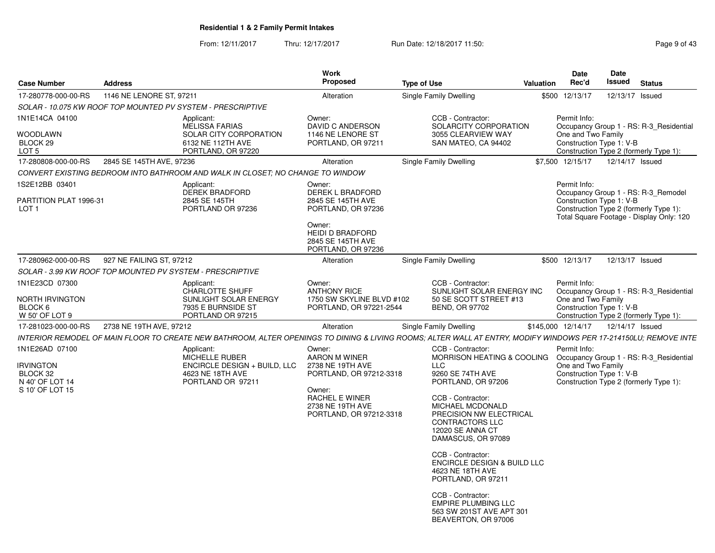From: 12/11/2017Thru: 12/17/2017 **Run Date: 12/18/2017 11:50: Page 9 of 43** Page 9 of 43

| <b>Case Number</b>                                                    | <b>Address</b>           |                                                                                                          | Work<br>Proposed                                                                                                                               | <b>Type of Use</b>                                                                                                                                                                                                                                                                                                                                                    | Date<br>Rec'd<br>Valuation                                     | <b>Date</b><br>Issued<br><b>Status</b>                                                                                                                |
|-----------------------------------------------------------------------|--------------------------|----------------------------------------------------------------------------------------------------------|------------------------------------------------------------------------------------------------------------------------------------------------|-----------------------------------------------------------------------------------------------------------------------------------------------------------------------------------------------------------------------------------------------------------------------------------------------------------------------------------------------------------------------|----------------------------------------------------------------|-------------------------------------------------------------------------------------------------------------------------------------------------------|
| 17-280778-000-00-RS                                                   | 1146 NE LENORE ST. 97211 |                                                                                                          | Alteration                                                                                                                                     | Single Family Dwelling                                                                                                                                                                                                                                                                                                                                                | \$500 12/13/17                                                 | 12/13/17 Issued                                                                                                                                       |
|                                                                       |                          | SOLAR - 10.075 KW ROOF TOP MOUNTED PV SYSTEM - PRESCRIPTIVE                                              |                                                                                                                                                |                                                                                                                                                                                                                                                                                                                                                                       |                                                                |                                                                                                                                                       |
| 1N1E14CA 04100<br>WOODLAWN<br>BLOCK 29<br>LOT <sub>5</sub>            |                          | Applicant:<br><b>MELISSA FARIAS</b><br>SOLAR CITY CORPORATION<br>6132 NE 112TH AVE<br>PORTLAND, OR 97220 | Owner:<br>DAVID C ANDERSON<br>1146 NE LENORE ST<br>PORTLAND, OR 97211                                                                          | CCB - Contractor:<br>SOLARCITY CORPORATION<br>3055 CLEARVIEW WAY<br>SAN MATEO, CA 94402                                                                                                                                                                                                                                                                               | Permit Info:<br>One and Two Family<br>Construction Type 1: V-B | Occupancy Group 1 - RS: R-3_Residential<br>Construction Type 2 (formerly Type 1):                                                                     |
| 17-280808-000-00-RS                                                   | 2845 SE 145TH AVE, 97236 |                                                                                                          | Alteration                                                                                                                                     | Single Family Dwelling                                                                                                                                                                                                                                                                                                                                                | \$7.500 12/15/17                                               | 12/14/17 Issued                                                                                                                                       |
|                                                                       |                          | CONVERT EXISTING BEDROOM INTO BATHROOM AND WALK IN CLOSET; NO CHANGE TO WINDOW                           |                                                                                                                                                |                                                                                                                                                                                                                                                                                                                                                                       |                                                                |                                                                                                                                                       |
| 1S2E12BB 03401                                                        |                          | Applicant:                                                                                               | Owner:                                                                                                                                         |                                                                                                                                                                                                                                                                                                                                                                       | Permit Info:                                                   |                                                                                                                                                       |
| PARTITION PLAT 1996-31<br>LOT <sub>1</sub>                            |                          | <b>DEREK BRADFORD</b><br>2845 SE 145TH<br>PORTLAND OR 97236                                              | <b>DEREK L BRADFORD</b><br>2845 SE 145TH AVE<br>PORTLAND, OR 97236<br>Owner:<br>HEIDI D BRADFORD<br>2845 SE 145TH AVE<br>PORTLAND, OR 97236    |                                                                                                                                                                                                                                                                                                                                                                       |                                                                | Occupancy Group 1 - RS: R-3_Remodel<br>Construction Type 1: V-B<br>Construction Type 2 (formerly Type 1):<br>Total Square Footage - Display Only: 120 |
| 17-280962-000-00-RS                                                   | 927 NE FAILING ST. 97212 |                                                                                                          | Alteration                                                                                                                                     | <b>Single Family Dwelling</b>                                                                                                                                                                                                                                                                                                                                         | \$500 12/13/17                                                 | 12/13/17 Issued                                                                                                                                       |
|                                                                       |                          | SOLAR - 3.99 KW ROOF TOP MOUNTED PV SYSTEM - PRESCRIPTIVE                                                |                                                                                                                                                |                                                                                                                                                                                                                                                                                                                                                                       |                                                                |                                                                                                                                                       |
| 1N1E23CD 07300<br><b>NORTH IRVINGTON</b><br>BLOCK 6<br>W 50' OF LOT 9 |                          | Applicant:<br>CHARLOTTE SHUFF<br>SUNLIGHT SOLAR ENERGY<br>7935 E BURNSIDE ST<br>PORTLAND OR 97215        | Owner:<br><b>ANTHONY RICE</b><br>1750 SW SKYLINE BLVD #102<br>PORTLAND, OR 97221-2544                                                          | CCB - Contractor:<br>SUNLIGHT SOLAR ENERGY INC<br>50 SE SCOTT STREET #13<br><b>BEND, OR 97702</b>                                                                                                                                                                                                                                                                     | Permit Info:<br>One and Two Family<br>Construction Type 1: V-B | Occupancy Group 1 - RS: R-3 Residential<br>Construction Type 2 (formerly Type 1):                                                                     |
| 17-281023-000-00-RS   2738 NE 19TH AVE, 97212                         |                          |                                                                                                          | Alteration                                                                                                                                     | Single Family Dwelling                                                                                                                                                                                                                                                                                                                                                | \$145,000 12/14/17                                             | 12/14/17 Issued                                                                                                                                       |
|                                                                       |                          |                                                                                                          |                                                                                                                                                | INTERIOR REMODEL OF MAIN FLOOR TO CREATE NEW BATHROOM, ALTER OPENINGS TO DINING & LIVING ROOMS; ALTER WALL AT ENTRY, MODIFY WINDOWS PER 17-214150LU; REMOVE INTE                                                                                                                                                                                                      |                                                                |                                                                                                                                                       |
| 1N1E26AD 07100                                                        |                          | Applicant:                                                                                               | Owner:                                                                                                                                         | CCB - Contractor:                                                                                                                                                                                                                                                                                                                                                     | Permit Info:                                                   |                                                                                                                                                       |
| <b>IRVINGTON</b><br>BLOCK 32<br>N 40' OF LOT 14<br>S 10' OF LOT 15    |                          | MICHELLE RUBER<br>ENCIRCLE DESIGN + BUILD, LLC<br>4623 NE 18TH AVE<br>PORTLAND OR 97211                  | <b>AARON M WINER</b><br>2738 NE 19TH AVE<br>PORTLAND, OR 97212-3318<br>Owner:<br>RACHEL E WINER<br>2738 NE 19TH AVE<br>PORTLAND, OR 97212-3318 | MORRISON HEATING & COOLING  Occupancy Group 1 - RS: R-3_Residential<br>LLC<br>9260 SE 74TH AVE<br>PORTLAND, OR 97206<br>CCB - Contractor:<br>MICHAEL MCDONALD<br>PRECISION NW ELECTRICAL<br><b>CONTRACTORS LLC</b><br>12020 SE ANNA CT<br>DAMASCUS, OR 97089<br>CCB - Contractor:<br><b>ENCIRCLE DESIGN &amp; BUILD LLC</b><br>4623 NE 18TH AVE<br>PORTLAND, OR 97211 | One and Two Family<br>Construction Type 1: V-B                 | Construction Type 2 (formerly Type 1):                                                                                                                |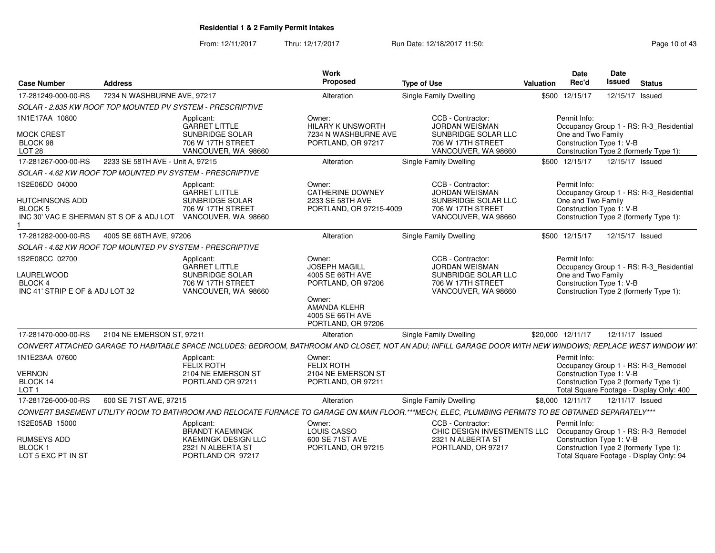From: 12/11/2017Thru: 12/17/2017 **Run Date: 12/18/2017 11:50: Page 10 of 43** 

| <b>Case Number</b>                                                                                    | <b>Address</b>                   |                                                                                                   | <b>Work</b><br>Proposed                                                                                                                      | <b>Type of Use</b>                                                                                                                                         | Valuation         | <b>Date</b><br>Rec'd                                                                                                                                | Date<br>Issued  | <b>Status</b> |  |
|-------------------------------------------------------------------------------------------------------|----------------------------------|---------------------------------------------------------------------------------------------------|----------------------------------------------------------------------------------------------------------------------------------------------|------------------------------------------------------------------------------------------------------------------------------------------------------------|-------------------|-----------------------------------------------------------------------------------------------------------------------------------------------------|-----------------|---------------|--|
| 17-281249-000-00-RS                                                                                   | 7234 N WASHBURNE AVE, 97217      |                                                                                                   | Alteration                                                                                                                                   | <b>Single Family Dwelling</b>                                                                                                                              |                   | \$500 12/15/17                                                                                                                                      | 12/15/17 Issued |               |  |
|                                                                                                       |                                  | SOLAR - 2.835 KW ROOF TOP MOUNTED PV SYSTEM - PRESCRIPTIVE                                        |                                                                                                                                              |                                                                                                                                                            |                   |                                                                                                                                                     |                 |               |  |
| 1N1E17AA 10800<br><b>MOCK CREST</b><br>BLOCK 98<br><b>LOT 28</b>                                      |                                  | Applicant:<br><b>GARRET LITTLE</b><br>SUNBRIDGE SOLAR<br>706 W 17TH STREET<br>VANCOUVER, WA 98660 | Owner:<br><b>HILARY K UNSWORTH</b><br>7234 N WASHBURNE AVE<br>PORTLAND, OR 97217                                                             | CCB - Contractor:<br><b>JORDAN WEISMAN</b><br>SUNBRIDGE SOLAR LLC<br>706 W 17TH STREET<br>VANCOUVER, WA 98660                                              |                   | Permit Info:<br>Occupancy Group 1 - RS: R-3_Residential<br>One and Two Family<br>Construction Type 1: V-B<br>Construction Type 2 (formerly Type 1): |                 |               |  |
| 17-281267-000-00-RS                                                                                   | 2233 SE 58TH AVE - Unit A. 97215 |                                                                                                   | Alteration                                                                                                                                   | Single Family Dwelling                                                                                                                                     |                   | \$500 12/15/17                                                                                                                                      | 12/15/17 Issued |               |  |
|                                                                                                       |                                  | SOLAR - 4.62 KW ROOF TOP MOUNTED PV SYSTEM - PRESCRIPTIVE                                         |                                                                                                                                              |                                                                                                                                                            |                   |                                                                                                                                                     |                 |               |  |
| 1S2E06DD 04000<br><b>HUTCHINSONS ADD</b><br><b>BLOCK 5</b><br>INC 30' VAC E SHERMAN ST S OF & ADJ LOT |                                  | Applicant:<br><b>GARRET LITTLE</b><br>SUNBRIDGE SOLAR<br>706 W 17TH STREET<br>VANCOUVER, WA 98660 | Owner:<br><b>CATHERINE DOWNEY</b><br>2233 SE 58TH AVE<br>PORTLAND, OR 97215-4009                                                             | CCB - Contractor:<br><b>JORDAN WEISMAN</b><br>SUNBRIDGE SOLAR LLC<br>706 W 17TH STREET<br>VANCOUVER, WA 98660                                              |                   | Permit Info:<br>Occupancy Group 1 - RS: R-3 Residential<br>One and Two Family<br>Construction Type 1: V-B<br>Construction Type 2 (formerly Type 1): |                 |               |  |
| 17-281282-000-00-RS                                                                                   | 4005 SE 66TH AVE, 97206          |                                                                                                   | Alteration                                                                                                                                   | Single Family Dwelling                                                                                                                                     |                   | \$500 12/15/17                                                                                                                                      | 12/15/17 Issued |               |  |
|                                                                                                       |                                  | SOLAR - 4.62 KW ROOF TOP MOUNTED PV SYSTEM - PRESCRIPTIVE                                         |                                                                                                                                              |                                                                                                                                                            |                   |                                                                                                                                                     |                 |               |  |
| 1S2E08CC 02700<br>LAURELWOOD<br>BLOCK 4<br>INC 41' STRIP E OF & ADJ LOT 32                            |                                  | Applicant:<br><b>GARRET LITTLE</b><br>SUNBRIDGE SOLAR<br>706 W 17TH STREET<br>VANCOUVER, WA 98660 | Owner:<br><b>JOSEPH MAGILL</b><br>4005 SE 66TH AVE<br>PORTLAND, OR 97206<br>Owner:<br>AMANDA KLEHR<br>4005 SE 66TH AVE<br>PORTLAND, OR 97206 | CCB - Contractor:<br><b>JORDAN WEISMAN</b><br>SUNBRIDGE SOLAR LLC<br>706 W 17TH STREET<br>VANCOUVER, WA 98660                                              |                   | Permit Info:<br>Occupancy Group 1 - RS: R-3_Residential<br>One and Two Family<br>Construction Type 1: V-B<br>Construction Type 2 (formerly Type 1): |                 |               |  |
| 17-281470-000-00-RS                                                                                   | 2104 NE EMERSON ST. 97211        |                                                                                                   | Alteration                                                                                                                                   | Single Family Dwelling                                                                                                                                     | \$20,000 12/11/17 |                                                                                                                                                     | 12/11/17 Issued |               |  |
|                                                                                                       |                                  |                                                                                                   |                                                                                                                                              | CONVERT ATTACHED GARAGE TO HABITABLE SPACE INCLUDES: BEDROOM, BATHROOM AND CLOSET, NOT AN ADU; INFILL GARAGE DOOR WITH NEW WINDOWS; REPLACE WEST WINDOW WI |                   |                                                                                                                                                     |                 |               |  |
| 1N1E23AA 07600                                                                                        |                                  | Applicant:<br><b>FELIX ROTH</b>                                                                   | Owner:<br><b>FELIX ROTH</b>                                                                                                                  |                                                                                                                                                            |                   | Permit Info:<br>Occupancy Group 1 - RS: R-3 Remodel                                                                                                 |                 |               |  |
| <b>VERNON</b><br>BLOCK 14                                                                             |                                  | 2104 NE EMERSON ST<br>PORTLAND OR 97211                                                           | 2104 NE EMERSON ST<br>PORTLAND, OR 97211                                                                                                     |                                                                                                                                                            |                   | Construction Type 1: V-B<br>Construction Type 2 (formerly Type 1):                                                                                  |                 |               |  |
| LOT <sub>1</sub>                                                                                      |                                  |                                                                                                   |                                                                                                                                              |                                                                                                                                                            |                   | Total Square Footage - Display Only: 400                                                                                                            |                 |               |  |
| 17-281726-000-00-RS                                                                                   | 600 SE 71ST AVE, 97215           |                                                                                                   | Alteration                                                                                                                                   | Single Family Dwelling                                                                                                                                     | \$8,000 12/11/17  |                                                                                                                                                     | 12/11/17 Issued |               |  |
|                                                                                                       |                                  |                                                                                                   |                                                                                                                                              | CONVERT BASEMENT UTILITY ROOM TO BATHROOM AND RELOCATE FURNACE TO GARAGE ON MAIN FLOOR.***MECH. ELEC. PLUMBING PERMITS TO BE OBTAINED SEPARATELY***        |                   |                                                                                                                                                     |                 |               |  |
| 1S2E05AB 15000                                                                                        |                                  | Applicant:<br>BRANDT KAEMINGK                                                                     | Owner:<br><b>LOUIS CASSO</b>                                                                                                                 | CCB - Contractor:<br>CHIC DESIGN INVESTMENTS LLC                                                                                                           |                   | Permit Info:<br>Occupancy Group 1 - RS: R-3_Remodel                                                                                                 |                 |               |  |
| RUMSEYS ADD                                                                                           |                                  | <b>KAEMINGK DESIGN LLC</b>                                                                        | 600 SE 71ST AVE                                                                                                                              | 2321 N ALBERTA ST                                                                                                                                          |                   | Construction Type 1: V-B                                                                                                                            |                 |               |  |
| <b>BLOCK1</b><br>LOT 5 EXC PT IN ST                                                                   |                                  | 2321 N ALBERTA ST<br>PORTLAND OR 97217                                                            | PORTLAND, OR 97215                                                                                                                           | PORTLAND, OR 97217                                                                                                                                         |                   | Construction Type 2 (formerly Type 1):<br>Total Square Footage - Display Only: 94                                                                   |                 |               |  |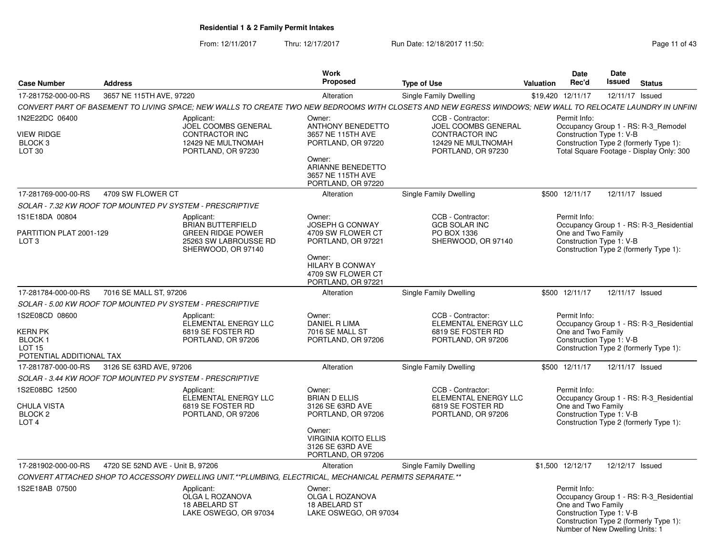From: 12/11/2017Thru: 12/17/2017 **Run Date: 12/18/2017 11:50: Page 11 of 43** 

| Case Number                                                                                  | <b>Address</b>                   |                                                                                                                   | Work<br>Proposed                                                                                                                                            | <b>Type of Use</b>                                                                                                                                         | <b>Valuation</b>  | <b>Date</b><br>Rec'd                                                                              | <b>Date</b><br>Issued | <b>Status</b>                                                                                                             |
|----------------------------------------------------------------------------------------------|----------------------------------|-------------------------------------------------------------------------------------------------------------------|-------------------------------------------------------------------------------------------------------------------------------------------------------------|------------------------------------------------------------------------------------------------------------------------------------------------------------|-------------------|---------------------------------------------------------------------------------------------------|-----------------------|---------------------------------------------------------------------------------------------------------------------------|
| 17-281752-000-00-RS                                                                          | 3657 NE 115TH AVE, 97220         |                                                                                                                   | Alteration                                                                                                                                                  | Single Family Dwelling                                                                                                                                     | \$19,420 12/11/17 |                                                                                                   | 12/11/17 Issued       |                                                                                                                           |
|                                                                                              |                                  |                                                                                                                   |                                                                                                                                                             | CONVERT PART OF BASEMENT TO LIVING SPACE; NEW WALLS TO CREATE TWO NEW BEDROOMS WITH CLOSETS AND NEW EGRESS WINDOWS; NEW WALL TO RELOCATE LAUNDRY IN UNFINI |                   |                                                                                                   |                       |                                                                                                                           |
| 1N2E22DC 06400<br><b>VIEW RIDGE</b><br>BLOCK <sub>3</sub><br>LOT 30                          |                                  | Applicant:<br>JOEL COOMBS GENERAL<br><b>CONTRACTOR INC</b><br>12429 NE MULTNOMAH<br>PORTLAND, OR 97230            | Owner:<br><b>ANTHONY BENEDETTO</b><br>3657 NE 115TH AVE<br>PORTLAND, OR 97220<br>Owner:<br>ARIANNE BENEDETTO<br>3657 NE 115TH AVE<br>PORTLAND, OR 97220     | CCB - Contractor:<br>JOEL COOMBS GENERAL<br><b>CONTRACTOR INC</b><br>12429 NE MULTNOMAH<br>PORTLAND, OR 97230                                              |                   | Permit Info:<br>Construction Type 1: V-B                                                          |                       | Occupancy Group 1 - RS: R-3_Remodel<br>Construction Type 2 (formerly Type 1):<br>Total Square Footage - Display Only: 300 |
| 17-281769-000-00-RS                                                                          | 4709 SW FLOWER CT                |                                                                                                                   | Alteration                                                                                                                                                  | Single Family Dwelling                                                                                                                                     |                   | \$500 12/11/17                                                                                    | 12/11/17 Issued       |                                                                                                                           |
|                                                                                              |                                  | SOLAR - 7.32 KW ROOF TOP MOUNTED PV SYSTEM - PRESCRIPTIVE                                                         |                                                                                                                                                             |                                                                                                                                                            |                   |                                                                                                   |                       |                                                                                                                           |
| 1S1E18DA 00804<br>PARTITION PLAT 2001-129<br>LOT <sub>3</sub>                                |                                  | Applicant:<br><b>BRIAN BUTTERFIELD</b><br><b>GREEN RIDGE POWER</b><br>25263 SW LABROUSSE RD<br>SHERWOOD, OR 97140 | Owner:<br>JOSEPH G CONWAY<br>4709 SW FLOWER CT<br>PORTLAND, OR 97221<br>Owner:<br><b>HILARY B CONWAY</b><br>4709 SW FLOWER CT<br>PORTLAND, OR 97221         | CCB - Contractor:<br><b>GCB SOLAR INC</b><br>PO BOX 1336<br>SHERWOOD, OR 97140                                                                             |                   | Permit Info:<br>One and Two Family<br>Construction Type 1: V-B                                    |                       | Occupancy Group 1 - RS: R-3_Residential<br>Construction Type 2 (formerly Type 1):                                         |
| 17-281784-000-00-RS                                                                          | 7016 SE MALL ST, 97206           |                                                                                                                   | Alteration                                                                                                                                                  | Single Family Dwelling                                                                                                                                     |                   | \$500 12/11/17                                                                                    | 12/11/17 Issued       |                                                                                                                           |
|                                                                                              |                                  | SOLAR - 5.00 KW ROOF TOP MOUNTED PV SYSTEM - PRESCRIPTIVE                                                         |                                                                                                                                                             |                                                                                                                                                            |                   |                                                                                                   |                       |                                                                                                                           |
| 1S2E08CD 08600<br>KERN PK<br>BLOCK <sub>1</sub><br><b>LOT 15</b><br>POTENTIAL ADDITIONAL TAX |                                  | Applicant:<br>ELEMENTAL ENERGY LLC<br>6819 SE FOSTER RD<br>PORTLAND, OR 97206                                     | Owner:<br><b>DANIEL R LIMA</b><br>7016 SE MALL ST<br>PORTLAND, OR 97206                                                                                     | CCB - Contractor:<br>ELEMENTAL ENERGY LLC<br>6819 SE FOSTER RD<br>PORTLAND, OR 97206                                                                       |                   | Permit Info:<br>One and Two Family<br>Construction Type 1: V-B                                    |                       | Occupancy Group 1 - RS: R-3 Residential<br>Construction Type 2 (formerly Type 1):                                         |
| 17-281787-000-00-RS                                                                          | 3126 SE 63RD AVE, 97206          |                                                                                                                   | Alteration                                                                                                                                                  | Single Family Dwelling                                                                                                                                     |                   | \$500 12/11/17                                                                                    | 12/11/17 Issued       |                                                                                                                           |
|                                                                                              |                                  | SOLAR - 3.44 KW ROOF TOP MOUNTED PV SYSTEM - PRESCRIPTIVE                                                         |                                                                                                                                                             |                                                                                                                                                            |                   |                                                                                                   |                       |                                                                                                                           |
| IS2E08BC 12500<br>CHULA VISTA<br>BLOCK <sub>2</sub><br>LOT <sub>4</sub>                      |                                  | Applicant:<br>ELEMENTAL ENERGY LLC<br>6819 SE FOSTER RD<br>PORTLAND, OR 97206                                     | Owner:<br><b>BRIAN D ELLIS</b><br>3126 SE 63RD AVE<br>PORTLAND, OR 97206<br>Owner:<br><b>VIRGINIA KOITO ELLIS</b><br>3126 SE 63RD AVE<br>PORTLAND, OR 97206 | CCB - Contractor:<br>ELEMENTAL ENERGY LLC<br>6819 SE FOSTER RD<br>PORTLAND, OR 97206                                                                       |                   | Permit Info:<br>One and Two Family<br>Construction Type 1: V-B                                    |                       | Occupancy Group 1 - RS: R-3 Residential<br>Construction Type 2 (formerly Type 1):                                         |
| 17-281902-000-00-RS                                                                          | 4720 SE 52ND AVE - Unit B, 97206 |                                                                                                                   | Alteration                                                                                                                                                  | Single Family Dwelling                                                                                                                                     | \$1,500 12/12/17  |                                                                                                   | 12/12/17 Issued       |                                                                                                                           |
|                                                                                              |                                  | CONVERT ATTACHED SHOP TO ACCESSORY DWELLING UNIT.**PLUMBING, ELECTRICAL, MECHANICAL PERMITS SEPARATE.**           |                                                                                                                                                             |                                                                                                                                                            |                   |                                                                                                   |                       |                                                                                                                           |
| 1S2E18AB 07500                                                                               |                                  | Applicant:<br>OLGA L ROZANOVA<br>18 ABELARD ST<br>LAKE OSWEGO, OR 97034                                           | Owner:<br>OLGA L ROZANOVA<br>18 ABELARD ST<br>LAKE OSWEGO, OR 97034                                                                                         |                                                                                                                                                            |                   | Permit Info:<br>One and Two Family<br>Construction Type 1: V-B<br>Number of New Dwelling Units: 1 |                       | Occupancy Group 1 - RS: R-3_Residential<br>Construction Type 2 (formerly Type 1):                                         |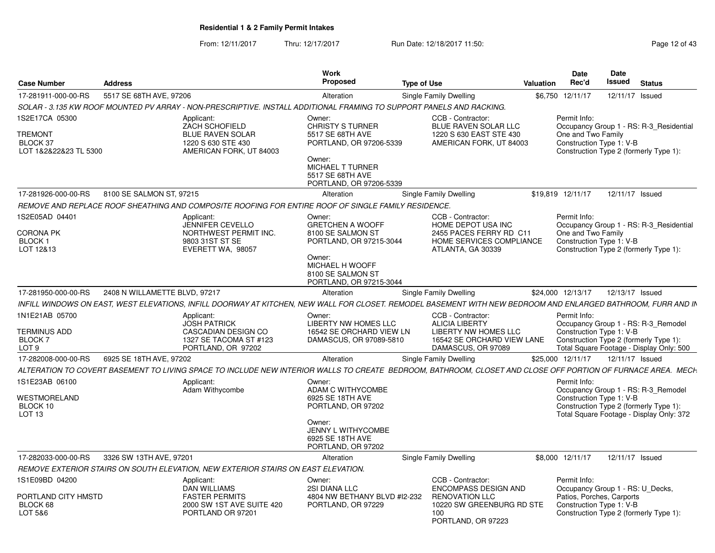From: 12/11/2017Thru: 12/17/2017 **Run Date: 12/18/2017 11:50: Page 12 of 43** 

| <b>Case Number</b>                                              | <b>Address</b>                |                                                                                                                                                               | Work<br><b>Proposed</b>                                                                                                                                              | <b>Type of Use</b> |                                                                                                                                     | Valuation | <b>Date</b><br>Rec'd                                                  | Date<br><b>Issued</b> | <b>Status</b>                                                                                                             |
|-----------------------------------------------------------------|-------------------------------|---------------------------------------------------------------------------------------------------------------------------------------------------------------|----------------------------------------------------------------------------------------------------------------------------------------------------------------------|--------------------|-------------------------------------------------------------------------------------------------------------------------------------|-----------|-----------------------------------------------------------------------|-----------------------|---------------------------------------------------------------------------------------------------------------------------|
| 17-281911-000-00-RS                                             | 5517 SE 68TH AVE, 97206       |                                                                                                                                                               | Alteration                                                                                                                                                           |                    | Single Family Dwelling                                                                                                              | \$6,750   | 12/11/17                                                              |                       | 12/11/17 Issued                                                                                                           |
|                                                                 |                               | SOLAR - 3.135 KW ROOF MOUNTED PV ARRAY - NON-PRESCRIPTIVE. INSTALL ADDITIONAL FRAMING TO SUPPORT PANELS AND RACKING.                                          |                                                                                                                                                                      |                    |                                                                                                                                     |           |                                                                       |                       |                                                                                                                           |
| 1S2E17CA 05300<br>TREMONT<br>BLOCK 37<br>LOT 1&2&22&23 TL 5300  |                               | Applicant:<br><b>ZACH SCHOFIELD</b><br><b>BLUE RAVEN SOLAR</b><br>1220 S 630 STE 430<br>AMERICAN FORK, UT 84003                                               | Owner:<br><b>CHRISTY S TURNER</b><br>5517 SE 68TH AVE<br>PORTLAND, OR 97206-5339<br>Owner:<br><b>MICHAEL T TURNER</b><br>5517 SE 68TH AVE<br>PORTLAND, OR 97206-5339 |                    | CCB - Contractor:<br><b>BLUE RAVEN SOLAR LLC</b><br>1220 S 630 EAST STE 430<br>AMERICAN FORK, UT 84003                              |           | Permit Info:<br>One and Two Family<br>Construction Type 1: V-B        |                       | Occupancy Group 1 - RS: R-3 Residential<br>Construction Type 2 (formerly Type 1):                                         |
| 17-281926-000-00-RS                                             | 8100 SE SALMON ST, 97215      |                                                                                                                                                               | Alteration                                                                                                                                                           |                    | Single Family Dwelling                                                                                                              |           | \$19,819 12/11/17                                                     |                       | 12/11/17 Issued                                                                                                           |
|                                                                 |                               | REMOVE AND REPLACE ROOF SHEATHING AND COMPOSITE ROOFING FOR ENTIRE ROOF OF SINGLE FAMILY RESIDENCE.                                                           |                                                                                                                                                                      |                    |                                                                                                                                     |           |                                                                       |                       |                                                                                                                           |
| 1S2E05AD 04401<br>CORONA PK<br>BLOCK 1<br>LOT 12&13             |                               | Applicant:<br><b>JENNIFER CEVELLO</b><br>NORTHWEST PERMIT INC.<br>9803 31ST ST SE<br>EVERETT WA, 98057                                                        | Owner:<br><b>GRETCHEN A WOOFF</b><br>8100 SE SALMON ST<br>PORTLAND, OR 97215-3044<br>Owner:<br>MICHAEL H WOOFF<br>8100 SE SALMON ST<br>PORTLAND, OR 97215-3044       |                    | CCB - Contractor:<br>HOME DEPOT USA INC<br>2455 PACES FERRY RD C11<br>HOME SERVICES COMPLIANCE<br>ATLANTA, GA 30339                 |           | Permit Info:<br>One and Two Family<br>Construction Type 1: V-B        |                       | Occupancy Group 1 - RS: R-3 Residential<br>Construction Type 2 (formerly Type 1):                                         |
| 17-281950-000-00-RS                                             | 2408 N WILLAMETTE BLVD, 97217 |                                                                                                                                                               | Alteration                                                                                                                                                           |                    | Single Family Dwelling                                                                                                              |           | \$24,000 12/13/17                                                     |                       | 12/13/17 Issued                                                                                                           |
|                                                                 |                               | INFILL WINDOWS ON EAST, WEST ELEVATIONS, INFILL DOORWAY AT KITCHEN, NEW WALL FOR CLOSET. REMODEL BASEMENT WITH NEW BEDROOM AND ENLARGED BATHROOM, FURR AND IN |                                                                                                                                                                      |                    |                                                                                                                                     |           |                                                                       |                       |                                                                                                                           |
| 1N1E21AB 05700<br>TERMINUS ADD<br>BLOCK 7<br>LOT <sub>9</sub>   |                               | Applicant:<br><b>JOSH PATRICK</b><br><b>CASCADIAN DESIGN CO</b><br>1327 SE TACOMA ST #123<br>PORTLAND, OR 97202                                               | Owner:<br>LIBERTY NW HOMES LLC<br>16542 SE ORCHARD VIEW LN<br>DAMASCUS, OR 97089-5810                                                                                |                    | CCB - Contractor:<br><b>ALICIA LIBERTY</b><br>LIBERTY NW HOMES LLC<br>16542 SE ORCHARD VIEW LANE<br>DAMASCUS, OR 97089              |           | Permit Info:<br>Construction Type 1: V-B                              |                       | Occupancy Group 1 - RS: R-3 Remodel<br>Construction Type 2 (formerly Type 1):<br>Total Square Footage - Display Only: 500 |
| 17-282008-000-00-RS                                             | 6925 SE 18TH AVE, 97202       |                                                                                                                                                               | Alteration                                                                                                                                                           |                    | Single Family Dwelling                                                                                                              |           | \$25,000 12/11/17                                                     |                       | 12/11/17 Issued                                                                                                           |
|                                                                 |                               | ALTERATION TO COVERT BASEMENT TO LIVING SPACE TO INCLUDE NEW INTERIOR WALLS TO CREATE BEDROOM, BATHROOM, CLOSET AND CLOSE OFF PORTION OF FURNACE AREA. MECH   |                                                                                                                                                                      |                    |                                                                                                                                     |           |                                                                       |                       |                                                                                                                           |
| IS1E23AB 06100<br>WESTMORELAND<br>BLOCK 10<br>LOT <sub>13</sub> |                               | Applicant:<br>Adam Withycombe                                                                                                                                 | Owner:<br>ADAM C WITHYCOMBE<br>6925 SE 18TH AVE<br>PORTLAND, OR 97202<br>Owner:                                                                                      |                    |                                                                                                                                     |           | Permit Info:<br>Construction Type 1: V-B                              |                       | Occupancy Group 1 - RS: R-3 Remodel<br>Construction Type 2 (formerly Type 1):<br>Total Square Footage - Display Only: 372 |
|                                                                 |                               |                                                                                                                                                               | JENNY L WITHYCOMBE<br>6925 SE 18TH AVE<br>PORTLAND, OR 97202                                                                                                         |                    |                                                                                                                                     |           |                                                                       |                       |                                                                                                                           |
| 17-282033-000-00-RS                                             | 3326 SW 13TH AVE, 97201       |                                                                                                                                                               | Alteration                                                                                                                                                           |                    | Single Family Dwelling                                                                                                              |           | \$8,000 12/11/17                                                      |                       | 12/11/17 Issued                                                                                                           |
|                                                                 |                               | REMOVE EXTERIOR STAIRS ON SOUTH ELEVATION, NEW EXTERIOR STAIRS ON EAST ELEVATION.                                                                             |                                                                                                                                                                      |                    |                                                                                                                                     |           |                                                                       |                       |                                                                                                                           |
| IS1E09BD 04200<br>PORTLAND CITY HMSTD<br>BLOCK 68<br>LOT 5&6    |                               | Applicant:<br><b>DAN WILLIAMS</b><br><b>FASTER PERMITS</b><br>2000 SW 1ST AVE SUITE 420<br>PORTLAND OR 97201                                                  | Owner:<br>2SI DIANA LLC<br>4804 NW BETHANY BLVD #12-232<br>PORTLAND, OR 97229                                                                                        |                    | CCB - Contractor:<br><b>ENCOMPASS DESIGN AND</b><br><b>RENOVATION LLC</b><br>10220 SW GREENBURG RD STE<br>100<br>PORTLAND, OR 97223 |           | Permit Info:<br>Patios, Porches, Carports<br>Construction Type 1: V-B |                       | Occupancy Group 1 - RS: U_Decks,<br>Construction Type 2 (formerly Type 1):                                                |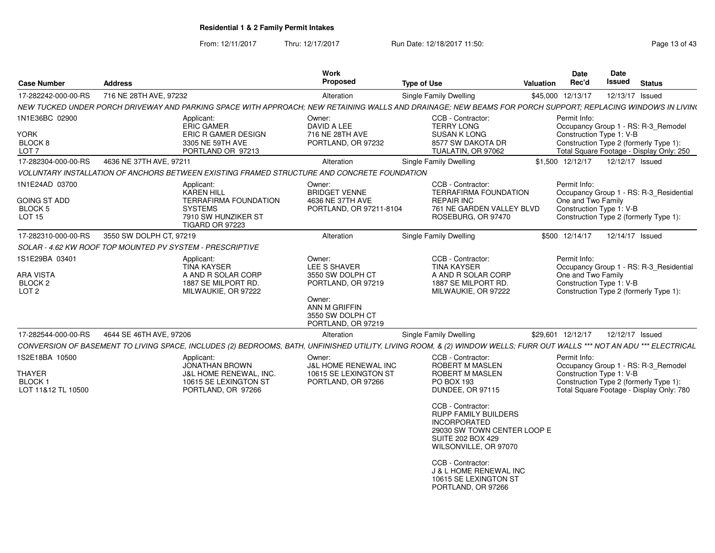From: 12/11/2017Thru: 12/17/2017 **Run Date: 12/18/2017 11:50: Page 13 of 43** 

| <b>Case Number</b>                                                       | <b>Address</b>                                                                                                                                                         | <b>Work</b><br>Proposed                                                                                                               | <b>Type of Use</b>                                                                                                                                                                                                                                                                                                                                    | <b>Valuation</b> | <b>Date</b><br>Rec'd                                           | Date<br>Issued  | <b>Status</b>                                                                                                             |
|--------------------------------------------------------------------------|------------------------------------------------------------------------------------------------------------------------------------------------------------------------|---------------------------------------------------------------------------------------------------------------------------------------|-------------------------------------------------------------------------------------------------------------------------------------------------------------------------------------------------------------------------------------------------------------------------------------------------------------------------------------------------------|------------------|----------------------------------------------------------------|-----------------|---------------------------------------------------------------------------------------------------------------------------|
| 17-282242-000-00-RS                                                      | 716 NE 28TH AVE, 97232                                                                                                                                                 | Alteration                                                                                                                            | Single Family Dwelling                                                                                                                                                                                                                                                                                                                                |                  | \$45,000 12/13/17                                              |                 | 12/13/17 Issued                                                                                                           |
|                                                                          | NEW TUCKED UNDER PORCH DRIVEWAY AND PARKING SPACE WITH APPROACH: NEW RETAINING WALLS AND DRAINAGE: NEW BEAMS FOR PORCH SUPPORT: REPLACING WINDOWS IN LIVIN(            |                                                                                                                                       |                                                                                                                                                                                                                                                                                                                                                       |                  |                                                                |                 |                                                                                                                           |
| 1N1E36BC 02900<br>YORK<br>BLOCK 8<br>LOT <sub>7</sub>                    | Applicant:<br><b>ERIC GAMER</b><br><b>ERIC R GAMER DESIGN</b><br>3305 NE 59TH AVE<br>PORTLAND OR 97213                                                                 | Owner:<br>DAVID A LEE<br>716 NE 28TH AVE<br>PORTLAND, OR 97232                                                                        | CCB - Contractor:<br><b>TERRY LONG</b><br><b>SUSAN K LONG</b><br>8577 SW DAKOTA DR<br>TUALATIN, OR 97062                                                                                                                                                                                                                                              |                  | Permit Info:<br>Construction Type 1: V-B                       |                 | Occupancy Group 1 - RS: R-3_Remodel<br>Construction Type 2 (formerly Type 1):<br>Total Square Footage - Display Only: 250 |
| 17-282304-000-00-RS                                                      | 4636 NE 37TH AVE, 97211                                                                                                                                                | Alteration                                                                                                                            | Single Family Dwelling                                                                                                                                                                                                                                                                                                                                |                  | \$1,500 12/12/17                                               | 12/12/17 Issued |                                                                                                                           |
|                                                                          | VOLUNTARY INSTALLATION OF ANCHORS BETWEEN EXISTING FRAMED STRUCTURE AND CONCRETE FOUNDATION                                                                            |                                                                                                                                       |                                                                                                                                                                                                                                                                                                                                                       |                  |                                                                |                 |                                                                                                                           |
| 1N1E24AD 03700<br><b>GOING ST ADD</b><br><b>BLOCK 5</b><br><b>LOT 15</b> | Applicant:<br><b>KAREN HILL</b><br><b>TERRAFIRMA FOUNDATION</b><br><b>SYSTEMS</b><br>7910 SW HUNZIKER ST<br><b>TIGARD OR 97223</b>                                     | Owner:<br><b>BRIDGET VENNE</b><br>4636 NE 37TH AVE<br>PORTLAND, OR 97211-8104                                                         | CCB - Contractor:<br><b>TERRAFIRMA FOUNDATION</b><br><b>REPAIR INC</b><br>761 NE GARDEN VALLEY BLVD<br>ROSEBURG, OR 97470                                                                                                                                                                                                                             |                  | Permit Info:<br>One and Two Family<br>Construction Type 1: V-B |                 | Occupancy Group 1 - RS: R-3 Residential<br>Construction Type 2 (formerly Type 1):                                         |
| 17-282310-000-00-RS                                                      | 3550 SW DOLPH CT, 97219                                                                                                                                                | Alteration                                                                                                                            | <b>Single Family Dwelling</b>                                                                                                                                                                                                                                                                                                                         |                  | \$500 12/14/17                                                 |                 | 12/14/17 Issued                                                                                                           |
|                                                                          | SOLAR - 4.62 KW ROOF TOP MOUNTED PV SYSTEM - PRESCRIPTIVE                                                                                                              |                                                                                                                                       |                                                                                                                                                                                                                                                                                                                                                       |                  |                                                                |                 |                                                                                                                           |
| 1S1E29BA 03401<br>ARA VISTA<br>BLOCK <sub>2</sub><br>LOT <sub>2</sub>    | Applicant:<br><b>TINA KAYSER</b><br>A AND R SOLAR CORP<br>1887 SE MILPORT RD.<br>MILWAUKIE, OR 97222                                                                   | Owner:<br>LEE S SHAVER<br>3550 SW DOLPH CT<br>PORTLAND, OR 97219<br>Owner:<br>ANN M GRIFFIN<br>3550 SW DOLPH CT<br>PORTLAND, OR 97219 | CCB - Contractor:<br><b>TINA KAYSER</b><br>A AND R SOLAR CORP<br>1887 SE MILPORT RD.<br>MILWAUKIE, OR 97222                                                                                                                                                                                                                                           |                  | Permit Info:<br>One and Two Family<br>Construction Type 1: V-B |                 | Occupancy Group 1 - RS: R-3_Residential<br>Construction Type 2 (formerly Type 1):                                         |
| 17-282544-000-00-RS                                                      | 4644 SE 46TH AVE, 97206                                                                                                                                                | Alteration                                                                                                                            | Single Family Dwelling                                                                                                                                                                                                                                                                                                                                |                  | \$29,601 12/12/17                                              |                 | 12/12/17 Issued                                                                                                           |
|                                                                          | CONVERSION OF BASEMENT TO LIVING SPACE, INCLUDES (2) BEDROOMS, BATH, UNFINISHED UTILITY, LIVING ROOM, & (2) WINDOW WELLS; FURR OUT WALLS *** NOT AN ADU *** ELECTRICAL |                                                                                                                                       |                                                                                                                                                                                                                                                                                                                                                       |                  |                                                                |                 |                                                                                                                           |
| 1S2E18BA 10500<br>THAYER<br><b>BLOCK1</b><br>LOT 11&12 TL 10500          | Applicant:<br><b>JONATHAN BROWN</b><br><b>J&amp;L HOME RENEWAL, INC.</b><br>10615 SE LEXINGTON ST<br>PORTLAND, OR 97266                                                | Owner:<br><b>J&amp;L HOME RENEWAL INC</b><br>10615 SE LEXINGTON ST<br>PORTLAND, OR 97266                                              | CCB - Contractor:<br><b>ROBERT M MASLEN</b><br><b>ROBERT M MASLEN</b><br><b>PO BOX 193</b><br>DUNDEE, OR 97115<br>CCB - Contractor:<br><b>RUPP FAMILY BUILDERS</b><br><b>INCORPORATED</b><br>29030 SW TOWN CENTER LOOP E<br><b>SUITE 202 BOX 429</b><br>WILSONVILLE, OR 97070<br>CCB - Contractor:<br>J & L HOME RENEWAL INC<br>10615 SE LEXINGTON ST |                  | Permit Info:<br>Construction Type 1: V-B                       |                 | Occupancy Group 1 - RS: R-3_Remodel<br>Construction Type 2 (formerly Type 1):<br>Total Square Footage - Display Only: 780 |
|                                                                          |                                                                                                                                                                        |                                                                                                                                       | PORTLAND, OR 97266                                                                                                                                                                                                                                                                                                                                    |                  |                                                                |                 |                                                                                                                           |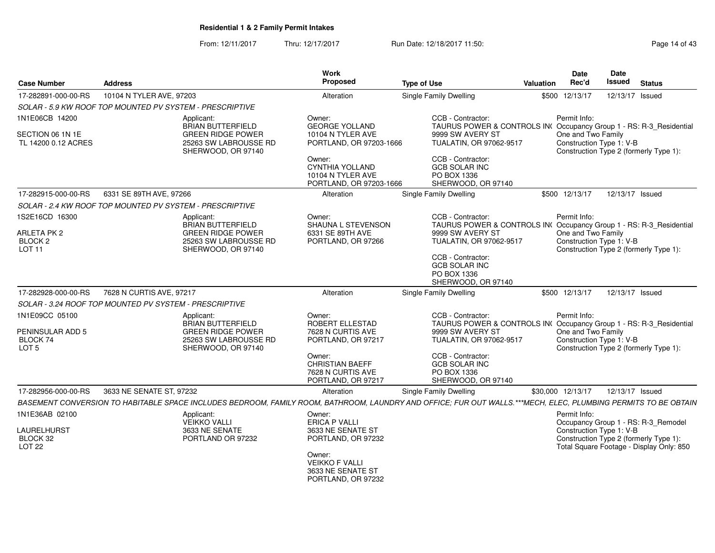From: 12/11/2017Thru: 12/17/2017 **Run Date: 12/18/2017 11:50: Page 14 of 43** 

| <b>Case Number</b>                                     | <b>Address</b>                                           |                                                                         | <b>Work</b><br><b>Proposed</b>                                                   | <b>Type of Use</b>                                                                                                                                             | <b>Valuation</b> | <b>Date</b><br>Rec'd                           | Date<br>Issued  | <b>Status</b>                                                                 |
|--------------------------------------------------------|----------------------------------------------------------|-------------------------------------------------------------------------|----------------------------------------------------------------------------------|----------------------------------------------------------------------------------------------------------------------------------------------------------------|------------------|------------------------------------------------|-----------------|-------------------------------------------------------------------------------|
| 17-282891-000-00-RS                                    | 10104 N TYLER AVE, 97203                                 |                                                                         | Alteration                                                                       | <b>Single Family Dwelling</b>                                                                                                                                  |                  | \$500 12/13/17                                 | 12/13/17 Issued |                                                                               |
|                                                        | SOLAR - 5.9 KW ROOF TOP MOUNTED PV SYSTEM - PRESCRIPTIVE |                                                                         |                                                                                  |                                                                                                                                                                |                  |                                                |                 |                                                                               |
| 1N1E06CB 14200                                         | Applicant:                                               | <b>BRIAN BUTTERFIELD</b>                                                | Owner:<br><b>GEORGE YOLLAND</b>                                                  | CCB - Contractor:<br>TAURUS POWER & CONTROLS IN(Occupancy Group 1 - RS: R-3_Residential                                                                        |                  | Permit Info:                                   |                 |                                                                               |
| SECTION 06 1N 1E<br>TL 14200 0.12 ACRES                |                                                          | <b>GREEN RIDGE POWER</b><br>25263 SW LABROUSSE RD<br>SHERWOOD, OR 97140 | 10104 N TYLER AVE<br>PORTLAND, OR 97203-1666                                     | 9999 SW AVERY ST<br>TUALATIN, OR 97062-9517                                                                                                                    |                  | One and Two Family<br>Construction Type 1: V-B |                 | Construction Type 2 (formerly Type 1):                                        |
|                                                        |                                                          |                                                                         | Owner:<br><b>CYNTHIA YOLLAND</b><br>10104 N TYLER AVE<br>PORTLAND, OR 97203-1666 | CCB - Contractor:<br><b>GCB SOLAR INC</b><br>PO BOX 1336<br>SHERWOOD, OR 97140                                                                                 |                  |                                                |                 |                                                                               |
| 17-282915-000-00-RS                                    | 6331 SE 89TH AVE, 97266                                  |                                                                         | Alteration                                                                       | Single Family Dwelling                                                                                                                                         |                  | \$500 12/13/17                                 | 12/13/17 Issued |                                                                               |
|                                                        | SOLAR - 2.4 KW ROOF TOP MOUNTED PV SYSTEM - PRESCRIPTIVE |                                                                         |                                                                                  |                                                                                                                                                                |                  |                                                |                 |                                                                               |
| 1S2E16CD 16300                                         | Applicant:                                               | <b>BRIAN BUTTERFIELD</b>                                                | Owner:<br>SHAUNA L STEVENSON                                                     | CCB - Contractor:<br>TAURUS POWER & CONTROLS IN( Occupancy Group 1 - RS: R-3_Residential                                                                       |                  | Permit Info:                                   |                 |                                                                               |
| ARLETA PK 2<br>BLOCK <sub>2</sub><br>LOT <sub>11</sub> |                                                          | <b>GREEN RIDGE POWER</b><br>25263 SW LABROUSSE RD<br>SHERWOOD, OR 97140 | 6331 SE 89TH AVE<br>PORTLAND, OR 97266                                           | 9999 SW AVERY ST<br>TUALATIN, OR 97062-9517                                                                                                                    |                  | One and Two Family<br>Construction Type 1: V-B |                 | Construction Type 2 (formerly Type 1):                                        |
|                                                        |                                                          |                                                                         |                                                                                  | CCB - Contractor:<br><b>GCB SOLAR INC</b><br>PO BOX 1336<br>SHERWOOD, OR 97140                                                                                 |                  |                                                |                 |                                                                               |
| 17-282928-000-00-RS                                    | 7628 N CURTIS AVE, 97217                                 |                                                                         | Alteration                                                                       | Single Family Dwelling                                                                                                                                         |                  | \$500 12/13/17                                 | 12/13/17 Issued |                                                                               |
|                                                        | SOLAR - 3.24 ROOF TOP MOUNTED PV SYSTEM - PRESCRIPTIVE   |                                                                         |                                                                                  |                                                                                                                                                                |                  |                                                |                 |                                                                               |
| 1N1E09CC 05100                                         | Applicant:                                               | <b>BRIAN BUTTERFIELD</b>                                                | Owner:<br>ROBERT ELLESTAD                                                        | CCB - Contractor:<br>TAURUS POWER & CONTROLS IN(Occupancy Group 1 - RS: R-3_Residential                                                                        |                  | Permit Info:                                   |                 |                                                                               |
| PENINSULAR ADD 5                                       |                                                          | <b>GREEN RIDGE POWER</b>                                                | 7628 N CURTIS AVE                                                                | 9999 SW AVERY ST                                                                                                                                               |                  | One and Two Family                             |                 |                                                                               |
| BLOCK 74<br>LOT <sub>5</sub>                           |                                                          | 25263 SW LABROUSSE RD<br>SHERWOOD, OR 97140                             | PORTLAND, OR 97217                                                               | TUALATIN, OR 97062-9517                                                                                                                                        |                  | Construction Type 1: V-B                       |                 | Construction Type 2 (formerly Type 1):                                        |
|                                                        |                                                          |                                                                         | Owner:<br><b>CHRISTIAN BAEFF</b><br>7628 N CURTIS AVE<br>PORTLAND, OR 97217      | CCB - Contractor:<br><b>GCB SOLAR INC</b><br>PO BOX 1336<br>SHERWOOD, OR 97140                                                                                 |                  |                                                |                 |                                                                               |
| 17-282956-000-00-RS                                    | 3633 NE SENATE ST, 97232                                 |                                                                         | Alteration                                                                       | Single Family Dwelling                                                                                                                                         |                  | \$30,000 12/13/17                              | 12/13/17 Issued |                                                                               |
|                                                        |                                                          |                                                                         |                                                                                  | BASEMENT CONVERSION TO HABITABLE SPACE INCLUDES BEDROOM, FAMILY ROOM, BATHROOM, LAUNDRY AND OFFICE; FUR OUT WALLS.***MECH, ELEC, PLUMBING PERMITS TO BE OBTAIN |                  |                                                |                 |                                                                               |
| 1N1E36AB 02100<br><b>LAURELHURST</b><br>BLOCK 32       | Applicant:<br><b>VEIKKO VALLI</b>                        | 3633 NE SENATE<br>PORTLAND OR 97232                                     | Owner:<br><b>ERICA P VALLI</b><br>3633 NE SENATE ST<br>PORTLAND, OR 97232        |                                                                                                                                                                |                  | Permit Info:<br>Construction Type 1: V-B       |                 | Occupancy Group 1 - RS: R-3_Remodel<br>Construction Type 2 (formerly Type 1): |
| LOT <sub>22</sub>                                      |                                                          |                                                                         | Owner:<br><b>VEIKKO F VALLI</b><br>3633 NE SENATE ST<br>PORTLAND, OR 97232       |                                                                                                                                                                |                  |                                                |                 | Total Square Footage - Display Only: 850                                      |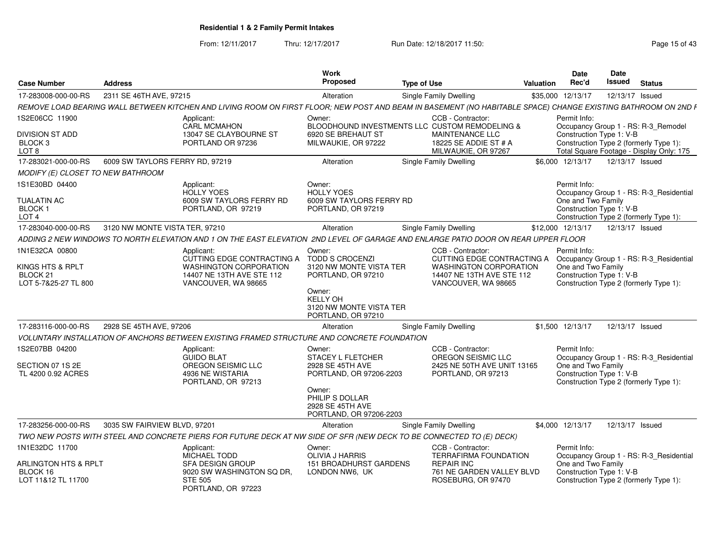From: 12/11/2017Thru: 12/17/2017 **Run Date: 12/18/2017 11:50: Page 15 of 43** 

| <b>Case Number</b>                                       | <b>Address</b>                  |                                                                                                                                                               | Work<br><b>Proposed</b>                                                       | <b>Type of Use</b> |                                                                                   | <b>Valuation</b> | Date<br>Rec'd                      | Date<br>Issued           | <b>Status</b>                                                                      |
|----------------------------------------------------------|---------------------------------|---------------------------------------------------------------------------------------------------------------------------------------------------------------|-------------------------------------------------------------------------------|--------------------|-----------------------------------------------------------------------------------|------------------|------------------------------------|--------------------------|------------------------------------------------------------------------------------|
| 17-283008-000-00-RS                                      | 2311 SE 46TH AVE, 97215         |                                                                                                                                                               | Alteration                                                                    |                    | <b>Single Family Dwelling</b>                                                     |                  | \$35,000 12/13/17                  | 12/13/17 Issued          |                                                                                    |
|                                                          |                                 | REMOVE LOAD BEARING WALL BETWEEN KITCHEN AND LIVING ROOM ON FIRST FLOOR; NEW POST AND BEAM IN BASEMENT (NO HABITABLE SPACE) CHANGE EXISTING BATHROOM ON 2ND F |                                                                               |                    |                                                                                   |                  |                                    |                          |                                                                                    |
| 1S2E06CC 11900                                           |                                 | Applicant:<br><b>CARL MCMAHON</b>                                                                                                                             | Owner:                                                                        |                    | CCB - Contractor:<br>BLOODHOUND INVESTMENTS LLC CUSTOM REMODELING &               |                  | Permit Info:                       |                          | Occupancy Group 1 - RS: R-3_Remodel                                                |
| DIVISION ST ADD<br>BLOCK 3<br>LOT <sub>8</sub>           |                                 | 13047 SE CLAYBOURNE ST<br>PORTLAND OR 97236                                                                                                                   | 6920 SE BREHAUT ST<br>MILWAUKIE, OR 97222                                     |                    | MAINTENANCE LLC<br>18225 SE ADDIE ST # A<br>MILWAUKIE, OR 97267                   |                  |                                    | Construction Type 1: V-B | Construction Type 2 (formerly Type 1):<br>Total Square Footage - Display Only: 175 |
| 17-283021-000-00-RS                                      | 6009 SW TAYLORS FERRY RD, 97219 |                                                                                                                                                               | Alteration                                                                    |                    | Single Family Dwelling                                                            |                  | \$6,000 12/13/17                   | 12/13/17 Issued          |                                                                                    |
| MODIFY (E) CLOSET TO NEW BATHROOM                        |                                 |                                                                                                                                                               |                                                                               |                    |                                                                                   |                  |                                    |                          |                                                                                    |
| 1S1E30BD 04400<br><b>TUALATIN AC</b><br>BLOCK 1<br>LOT 4 |                                 | Applicant:<br><b>HOLLY YOES</b><br>6009 SW TAYLORS FERRY RD<br>PORTLAND, OR 97219                                                                             | Owner:<br><b>HOLLY YOES</b><br>6009 SW TAYLORS FERRY RD<br>PORTLAND, OR 97219 |                    |                                                                                   |                  | Permit Info:<br>One and Two Family | Construction Type 1: V-B | Occupancy Group 1 - RS: R-3_Residential<br>Construction Type 2 (formerly Type 1):  |
| 17-283040-000-00-RS                                      | 3120 NW MONTE VISTA TER, 97210  |                                                                                                                                                               | Alteration                                                                    |                    | Single Family Dwelling                                                            |                  | \$12,000 12/13/17                  | 12/13/17 Issued          |                                                                                    |
|                                                          |                                 | ADDING 2 NEW WINDOWS TO NORTH ELEVATION AND 1 ON THE EAST ELEVATION 2ND LEVEL OF GARAGE AND ENLARGE PATIO DOOR ON REAR UPPER FLOOR                            |                                                                               |                    |                                                                                   |                  |                                    |                          |                                                                                    |
| 1N1E32CA 00800                                           |                                 | Applicant:<br>CUTTING EDGE CONTRACTING A                                                                                                                      | Owner:<br><b>TODD S CROCENZI</b>                                              |                    | CCB - Contractor:<br>CUTTING EDGE CONTRACTING A                                   |                  | Permit Info:                       |                          | Occupancy Group 1 - RS: R-3_Residential                                            |
| KINGS HTS & RPLT<br>BLOCK 21<br>LOT 5-7&25-27 TL 800     |                                 | <b>WASHINGTON CORPORATION</b><br>14407 NE 13TH AVE STE 112<br>VANCOUVER, WA 98665                                                                             | 3120 NW MONTE VISTA TER<br>PORTLAND, OR 97210                                 |                    | <b>WASHINGTON CORPORATION</b><br>14407 NE 13TH AVE STE 112<br>VANCOUVER, WA 98665 |                  | One and Two Family                 | Construction Type 1: V-B | Construction Type 2 (formerly Type 1):                                             |
|                                                          |                                 |                                                                                                                                                               | Owner:<br><b>KELLY OH</b><br>3120 NW MONTE VISTA TER<br>PORTLAND, OR 97210    |                    |                                                                                   |                  |                                    |                          |                                                                                    |
| 17-283116-000-00-RS                                      | 2928 SE 45TH AVE, 97206         |                                                                                                                                                               | Alteration                                                                    |                    | <b>Single Family Dwelling</b>                                                     |                  | \$1,500 12/13/17                   | 12/13/17 Issued          |                                                                                    |
|                                                          |                                 | VOLUNTARY INSTALLATION OF ANCHORS BETWEEN EXISTING FRAMED STRUCTURE AND CONCRETE FOUNDATION                                                                   |                                                                               |                    |                                                                                   |                  |                                    |                          |                                                                                    |
| 1S2E07BB 04200                                           |                                 | Applicant:<br><b>GUIDO BLAT</b>                                                                                                                               | Owner:<br>STACEY L FLETCHER                                                   |                    | CCB - Contractor:<br>OREGON SEISMIC LLC                                           |                  | Permit Info:                       |                          | Occupancy Group 1 - RS: R-3_Residential                                            |
| SECTION 07 1S 2E<br>TL 4200 0.92 ACRES                   |                                 | OREGON SEISMIC LLC<br>4936 NE WISTARIA<br>PORTLAND, OR 97213                                                                                                  | 2928 SE 45TH AVE<br>PORTLAND, OR 97206-2203                                   |                    | 2425 NE 50TH AVE UNIT 13165<br>PORTLAND, OR 97213                                 |                  | One and Two Family                 | Construction Type 1: V-B | Construction Type 2 (formerly Type 1):                                             |
|                                                          |                                 |                                                                                                                                                               | Owner:<br>PHILIP S DOLLAR<br>2928 SE 45TH AVE<br>PORTLAND, OR 97206-2203      |                    |                                                                                   |                  |                                    |                          |                                                                                    |
| 17-283256-000-00-RS                                      | 3035 SW FAIRVIEW BLVD, 97201    |                                                                                                                                                               | Alteration                                                                    |                    | <b>Single Family Dwelling</b>                                                     |                  | \$4,000 12/13/17                   | 12/13/17 Issued          |                                                                                    |
|                                                          |                                 | TWO NEW POSTS WITH STEEL AND CONCRETE PIERS FOR FUTURE DECK AT NW SIDE OF SFR (NEW DECK TO BE CONNECTED TO (E) DECK)                                          |                                                                               |                    |                                                                                   |                  |                                    |                          |                                                                                    |
| 1N1E32DC 11700                                           |                                 | Applicant:<br>MICHAEL TODD                                                                                                                                    | Owner:<br>OLIVIA J HARRIS                                                     |                    | CCB - Contractor:<br><b>TERRAFIRMA FOUNDATION</b>                                 |                  | Permit Info:                       |                          | Occupancy Group 1 - RS: R-3_Residential                                            |
| ARLINGTON HTS & RPLT<br>BLOCK 16<br>LOT 11&12 TL 11700   |                                 | <b>SFA DESIGN GROUP</b><br>9020 SW WASHINGTON SQ DR,<br><b>STE 505</b><br>PORTLAND, OR 97223                                                                  | <b>151 BROADHURST GARDENS</b><br>LONDON NW6, UK                               |                    | <b>REPAIR INC</b><br>761 NE GARDEN VALLEY BLVD<br>ROSEBURG, OR 97470              |                  | One and Two Family                 | Construction Type 1: V-B | Construction Type 2 (formerly Type 1):                                             |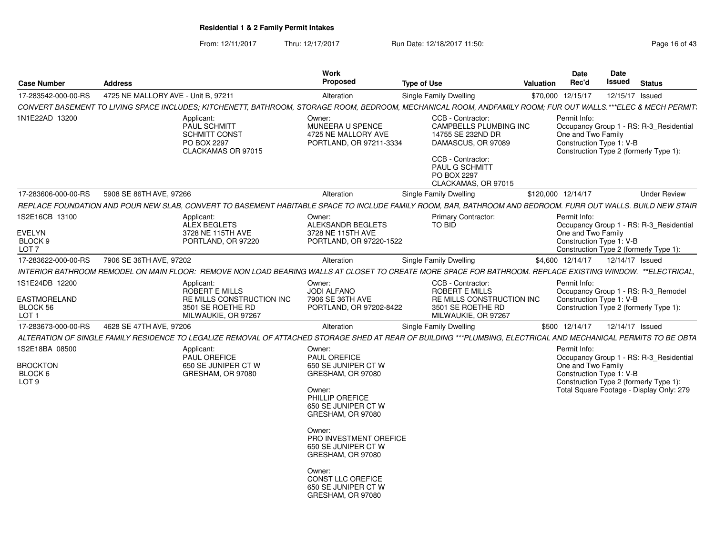From: 12/11/2017Thru: 12/17/2017 **Run Date: 12/18/2017 11:50: Page 16 of 43** 

| <b>Case Number</b>                                                    | <b>Address</b>                      |                                                                                                                                                                  | Work<br>Proposed                                                                                                                                                                                                                                                                         | <b>Type of Use</b>                                                                                                                                                         | <b>Valuation</b> | Date<br>Rec'd                                                                                                                                                                                   | <b>Date</b><br><b>Issued</b> | <b>Status</b>   |                     |
|-----------------------------------------------------------------------|-------------------------------------|------------------------------------------------------------------------------------------------------------------------------------------------------------------|------------------------------------------------------------------------------------------------------------------------------------------------------------------------------------------------------------------------------------------------------------------------------------------|----------------------------------------------------------------------------------------------------------------------------------------------------------------------------|------------------|-------------------------------------------------------------------------------------------------------------------------------------------------------------------------------------------------|------------------------------|-----------------|---------------------|
| 17-283542-000-00-RS                                                   | 4725 NE MALLORY AVE - Unit B. 97211 |                                                                                                                                                                  | Alteration                                                                                                                                                                                                                                                                               | Single Family Dwelling                                                                                                                                                     |                  | \$70,000 12/15/17                                                                                                                                                                               |                              | 12/15/17 Issued |                     |
|                                                                       |                                     | CONVERT BASEMENT TO LIVING SPACE INCLUDES; KITCHENETT, BATHROOM, STORAGE ROOM, BEDROOM, MECHANICAL ROOM, ANDFAMILY ROOM; FUR OUT WALLS.***ELEC & MECH PERMIT;    |                                                                                                                                                                                                                                                                                          |                                                                                                                                                                            |                  |                                                                                                                                                                                                 |                              |                 |                     |
| 1N1E22AD 13200                                                        |                                     | Applicant:<br><b>PAUL SCHMITT</b><br><b>SCHMITT CONST</b><br>PO BOX 2297<br>CLACKAMAS OR 97015                                                                   | Owner:<br>MUNEERA U SPENCE<br>4725 NE MALLORY AVE<br>PORTLAND, OR 97211-3334                                                                                                                                                                                                             | CCB - Contractor:<br><b>CAMPBELLS PLUMBING INC</b><br>14755 SE 232ND DR<br>DAMASCUS, OR 97089<br>CCB - Contractor:<br>PAUL G SCHMITT<br>PO BOX 2297<br>CLACKAMAS, OR 97015 |                  | Permit Info:<br>Occupancy Group 1 - RS: R-3_Residential<br>One and Two Family<br>Construction Type 1: V-B<br>Construction Type 2 (formerly Type 1):                                             |                              |                 |                     |
| 17-283606-000-00-RS                                                   | 5908 SE 86TH AVE, 97266             |                                                                                                                                                                  | Alteration                                                                                                                                                                                                                                                                               | Single Family Dwelling                                                                                                                                                     |                  | \$120,000 12/14/17                                                                                                                                                                              |                              |                 | <b>Under Review</b> |
|                                                                       |                                     | REPLACE FOUNDATION AND POUR NEW SLAB, CONVERT TO BASEMENT HABITABLE SPACE TO INCLUDE FAMILY ROOM, BAR, BATHROOM AND BEDROOM. FURR OUT WALLS. BUILD NEW STAIR     |                                                                                                                                                                                                                                                                                          |                                                                                                                                                                            |                  |                                                                                                                                                                                                 |                              |                 |                     |
| 1S2E16CB 13100<br><b>EVELYN</b><br>BLOCK 9<br>LOT <sub>7</sub>        |                                     | Applicant:<br>ALEX BEGLETS<br>3728 NE 115TH AVE<br>PORTLAND, OR 97220                                                                                            | Owner:<br>ALEKSANDR BEGLETS<br>3728 NE 115TH AVE<br>PORTLAND, OR 97220-1522                                                                                                                                                                                                              | <b>Primary Contractor:</b><br><b>TO BID</b>                                                                                                                                |                  | Permit Info:<br>Occupancy Group 1 - RS: R-3_Residential<br>One and Two Family<br>Construction Type 1: V-B<br>Construction Type 2 (formerly Type 1):                                             |                              |                 |                     |
| 17-283622-000-00-RS                                                   | 7906 SE 36TH AVE, 97202             |                                                                                                                                                                  | Alteration                                                                                                                                                                                                                                                                               | Single Family Dwelling                                                                                                                                                     |                  | \$4,600 12/14/17                                                                                                                                                                                |                              | 12/14/17 Issued |                     |
|                                                                       |                                     | INTERIOR BATHROOM REMODEL ON MAIN FLOOR: REMOVE NON LOAD BEARING WALLS AT CLOSET TO CREATE MORE SPACE FOR BATHROOM. REPLACE EXISTING WINDOW. **ELECTRICAL,       |                                                                                                                                                                                                                                                                                          |                                                                                                                                                                            |                  |                                                                                                                                                                                                 |                              |                 |                     |
| 1S1E24DB 12200<br>EASTMORELAND<br><b>BLOCK 56</b><br>LOT <sub>1</sub> |                                     | Applicant:<br><b>ROBERT E MILLS</b><br>RE MILLS CONSTRUCTION INC<br>3501 SE ROETHE RD<br>MILWAUKIE, OR 97267                                                     | Owner:<br><b>JODI ALFANO</b><br>7906 SE 36TH AVE<br>PORTLAND, OR 97202-8422                                                                                                                                                                                                              | CCB - Contractor:<br><b>ROBERT E MILLS</b><br>RE MILLS CONSTRUCTION INC<br>3501 SE ROETHE RD<br>MILWAUKIE, OR 97267                                                        |                  | Permit Info:<br>Occupancy Group 1 - RS: R-3 Remodel<br>Construction Type 1: V-B<br>Construction Type 2 (formerly Type 1):                                                                       |                              |                 |                     |
| 17-283673-000-00-RS                                                   | 4628 SE 47TH AVE, 97206             |                                                                                                                                                                  | Alteration                                                                                                                                                                                                                                                                               | <b>Single Family Dwelling</b>                                                                                                                                              |                  | \$500 12/14/17                                                                                                                                                                                  | 12/14/17 Issued              |                 |                     |
|                                                                       |                                     | ALTERATION OF SINGLE FAMILY RESIDENCE TO LEGALIZE REMOVAL OF ATTACHED STORAGE SHED AT REAR OF BUILDING ***PLUMBING. ELECTRICAL AND MECHANICAL PERMITS TO BE OBTA |                                                                                                                                                                                                                                                                                          |                                                                                                                                                                            |                  |                                                                                                                                                                                                 |                              |                 |                     |
| 1S2E18BA 08500<br><b>BROCKTON</b><br>BLOCK 6<br>LOT <sub>9</sub>      |                                     | Applicant:<br><b>PAUL OREFICE</b><br>650 SE JUNIPER CT W<br>GRESHAM, OR 97080                                                                                    | Owner:<br><b>PAUL OREFICE</b><br>650 SE JUNIPER CT W<br>GRESHAM, OR 97080<br>Owner:<br>PHILLIP OREFICE<br>650 SE JUNIPER CT W<br>GRESHAM, OR 97080<br>Owner:<br>PRO INVESTMENT OREFICE<br>650 SE JUNIPER CT W<br>GRESHAM, OR 97080<br>Owner:<br>CONST LLC OREFICE<br>650 SE JUNIPER CT W |                                                                                                                                                                            |                  | Permit Info:<br>Occupancy Group 1 - RS: R-3 Residential<br>One and Two Family<br>Construction Type 1: V-B<br>Construction Type 2 (formerly Type 1):<br>Total Square Footage - Display Only: 279 |                              |                 |                     |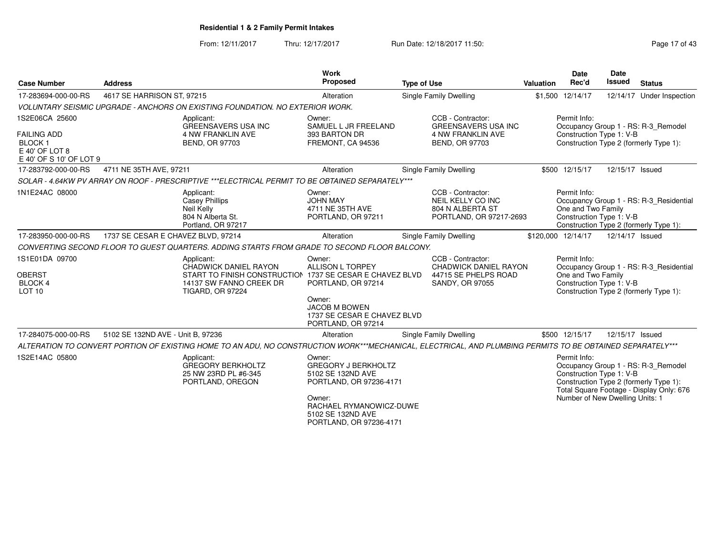From: 12/11/2017Thru: 12/17/2017 **Run Date: 12/18/2017 11:50: Page 17 of 43** 

| <b>Case Number</b>                                                                                   | <b>Address</b>                     |                                                                                                                                                              | <b>Work</b><br>Proposed                                                                                                                                                   | <b>Type of Use</b> |                                                                                                      | <b>Valuation</b> | <b>Date</b><br>Rec'd                                                        | <b>Date</b><br><b>Issued</b> | <b>Status</b>                                                                                                             |
|------------------------------------------------------------------------------------------------------|------------------------------------|--------------------------------------------------------------------------------------------------------------------------------------------------------------|---------------------------------------------------------------------------------------------------------------------------------------------------------------------------|--------------------|------------------------------------------------------------------------------------------------------|------------------|-----------------------------------------------------------------------------|------------------------------|---------------------------------------------------------------------------------------------------------------------------|
| 17-283694-000-00-RS                                                                                  | 4617 SE HARRISON ST, 97215         |                                                                                                                                                              | Alteration                                                                                                                                                                |                    | Single Family Dwelling                                                                               |                  | \$1,500 12/14/17                                                            |                              | 12/14/17 Under Inspection                                                                                                 |
|                                                                                                      |                                    | VOLUNTARY SEISMIC UPGRADE - ANCHORS ON EXISTING FOUNDATION. NO EXTERIOR WORK.                                                                                |                                                                                                                                                                           |                    |                                                                                                      |                  |                                                                             |                              |                                                                                                                           |
| 1S2E06CA 25600<br><b>FAILING ADD</b><br><b>BLOCK1</b><br>$E$ 40' OF LOT 8<br>E 40' OF S 10' OF LOT 9 |                                    | Applicant:<br><b>GREENSAVERS USA INC</b><br><b>4 NW FRANKLIN AVE</b><br><b>BEND, OR 97703</b>                                                                | Owner:<br>SAMUEL L JR FREELAND<br>393 BARTON DR<br>FREMONT, CA 94536                                                                                                      |                    | CCB - Contractor:<br><b>GREENSAVERS USA INC</b><br><b>4 NW FRANKLIN AVE</b><br><b>BEND, OR 97703</b> |                  | Permit Info:<br>Construction Type 1: V-B                                    |                              | Occupancy Group 1 - RS: R-3 Remodel<br>Construction Type 2 (formerly Type 1):                                             |
| 17-283792-000-00-RS                                                                                  | 4711 NE 35TH AVE, 97211            |                                                                                                                                                              | Alteration                                                                                                                                                                |                    | Single Family Dwelling                                                                               |                  | \$500 12/15/17                                                              | 12/15/17 Issued              |                                                                                                                           |
|                                                                                                      |                                    | SOLAR - 4.64KW PV ARRAY ON ROOF - PRESCRIPTIVE ***ELECTRICAL PERMIT TO BE OBTAINED SEPARATELY***                                                             |                                                                                                                                                                           |                    |                                                                                                      |                  |                                                                             |                              |                                                                                                                           |
| 1N1E24AC 08000                                                                                       |                                    | Applicant:<br><b>Casey Phillips</b><br>Neil Kelly<br>804 N Alberta St.<br>Portland, OR 97217                                                                 | Owner:<br><b>JOHN MAY</b><br>4711 NE 35TH AVE<br>PORTLAND, OR 97211                                                                                                       |                    | CCB - Contractor:<br>NEIL KELLY CO INC<br>804 N ALBERTA ST<br>PORTLAND, OR 97217-2693                |                  | Permit Info:<br>One and Two Family<br>Construction Type 1: V-B              |                              | Occupancy Group 1 - RS: R-3_Residential<br>Construction Type 2 (formerly Type 1):                                         |
| 17-283950-000-00-RS                                                                                  | 1737 SE CESAR E CHAVEZ BLVD, 97214 |                                                                                                                                                              | Alteration                                                                                                                                                                |                    | Single Family Dwelling                                                                               |                  | \$120,000 12/14/17                                                          | 12/14/17 Issued              |                                                                                                                           |
|                                                                                                      |                                    | CONVERTING SECOND FLOOR TO GUEST QUARTERS. ADDING STARTS FROM GRADE TO SECOND FLOOR BALCONY.                                                                 |                                                                                                                                                                           |                    |                                                                                                      |                  |                                                                             |                              |                                                                                                                           |
| 1S1E01DA 09700<br><b>OBERST</b><br><b>BLOCK 4</b><br>LOT <sub>10</sub>                               |                                    | Applicant:<br><b>CHADWICK DANIEL RAYON</b><br>START TO FINISH CONSTRUCTION 1737 SE CESAR E CHAVEZ BLVD<br>14137 SW FANNO CREEK DR<br><b>TIGARD, OR 97224</b> | Owner:<br><b>ALLISON L TORPEY</b><br>PORTLAND, OR 97214<br>Owner:<br><b>JACOB M BOWEN</b><br>1737 SE CESAR E CHAVEZ BLVD<br>PORTLAND, OR 97214                            |                    | CCB - Contractor:<br><b>CHADWICK DANIEL RAYON</b><br>44715 SE PHELPS ROAD<br><b>SANDY, OR 97055</b>  |                  | Permit Info:<br>One and Two Family<br>Construction Type 1: V-B              |                              | Occupancy Group 1 - RS: R-3 Residential<br>Construction Type 2 (formerly Type 1):                                         |
| 17-284075-000-00-RS                                                                                  | 5102 SE 132ND AVE - Unit B, 97236  |                                                                                                                                                              | Alteration                                                                                                                                                                |                    | <b>Single Family Dwelling</b>                                                                        |                  | \$500 12/15/17                                                              | 12/15/17 Issued              |                                                                                                                           |
|                                                                                                      |                                    | ALTERATION TO CONVERT PORTION OF EXISTING HOME TO AN ADU, NO CONSTRUCTION WORK***MECHANICAL, ELECTRICAL, AND PLUMBING PERMITS TO BE OBTAINED SEPARATELY***   |                                                                                                                                                                           |                    |                                                                                                      |                  |                                                                             |                              |                                                                                                                           |
| 1S2E14AC 05800                                                                                       |                                    | Applicant:<br><b>GREGORY BERKHOLTZ</b><br>25 NW 23RD PL #6-345<br>PORTLAND, OREGON                                                                           | Owner:<br><b>GREGORY J BERKHOLTZ</b><br>5102 SE 132ND AVE<br>PORTLAND, OR 97236-4171<br>Owner:<br>RACHAEL RYMANOWICZ-DUWE<br>5102 SE 132ND AVE<br>PORTLAND, OR 97236-4171 |                    |                                                                                                      |                  | Permit Info:<br>Construction Type 1: V-B<br>Number of New Dwelling Units: 1 |                              | Occupancy Group 1 - RS: R-3 Remodel<br>Construction Type 2 (formerly Type 1):<br>Total Square Footage - Display Only: 676 |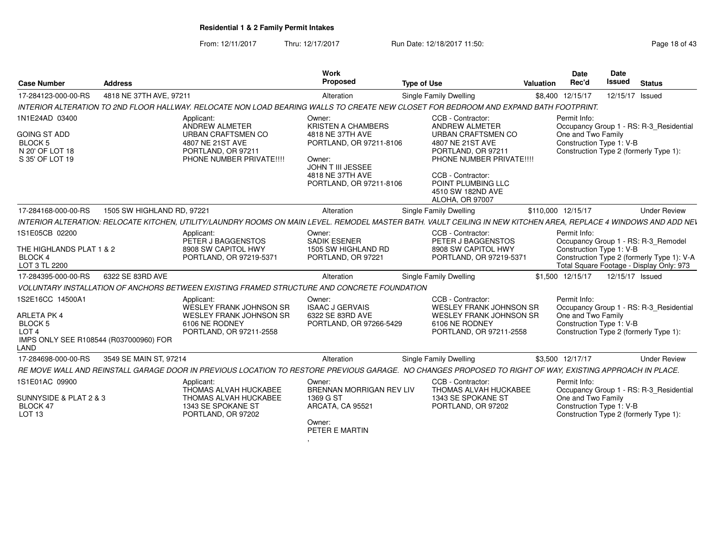From: 12/11/2017Thru: 12/17/2017 **Run Date: 12/18/2017 11:50: Page 18 of 43** 

| <b>Case Number</b>                                                                                                      | <b>Address</b>             |                                                                                                                                                                   | Work<br><b>Proposed</b>                                                                                                                                          | <b>Type of Use</b>                                                                                                                                                                                                                | Valuation | Date<br>Rec'd                                                  | <b>Date</b><br><b>Issued</b> | <b>Status</b>                                                                                                                 |
|-------------------------------------------------------------------------------------------------------------------------|----------------------------|-------------------------------------------------------------------------------------------------------------------------------------------------------------------|------------------------------------------------------------------------------------------------------------------------------------------------------------------|-----------------------------------------------------------------------------------------------------------------------------------------------------------------------------------------------------------------------------------|-----------|----------------------------------------------------------------|------------------------------|-------------------------------------------------------------------------------------------------------------------------------|
| 17-284123-000-00-RS                                                                                                     | 4818 NE 37TH AVE, 97211    |                                                                                                                                                                   | Alteration                                                                                                                                                       | Single Family Dwelling                                                                                                                                                                                                            |           | \$8,400 12/15/17                                               |                              | 12/15/17 Issued                                                                                                               |
|                                                                                                                         |                            | INTERIOR ALTERATION TO 2ND FLOOR HALLWAY. RELOCATE NON LOAD BEARING WALLS TO CREATE NEW CLOSET FOR BEDROOM AND EXPAND BATH FOOTPRINT.                             |                                                                                                                                                                  |                                                                                                                                                                                                                                   |           |                                                                |                              |                                                                                                                               |
| 1N1E24AD 03400<br><b>GOING ST ADD</b><br><b>BLOCK 5</b><br>N 20' OF LOT 18<br>S 35' OF LOT 19                           |                            | Applicant:<br>ANDREW ALMETER<br><b>URBAN CRAFTSMEN CO</b><br>4807 NE 21ST AVE<br>PORTLAND, OR 97211<br>PHONE NUMBER PRIVATE !!!!                                  | Owner:<br><b>KRISTEN A CHAMBERS</b><br>4818 NE 37TH AVE<br>PORTLAND, OR 97211-8106<br>Owner:<br>JOHN T III JESSEE<br>4818 NE 37TH AVE<br>PORTLAND, OR 97211-8106 | CCB - Contractor:<br><b>ANDREW ALMETER</b><br>URBAN CRAFTSMEN CO<br>4807 NE 21ST AVE<br>PORTLAND, OR 97211<br>PHONE NUMBER PRIVATE !!!!<br>CCB - Contractor:<br>POINT PLUMBING LLC<br>4510 SW 182ND AVE<br><b>ALOHA, OR 97007</b> |           | Permit Info:<br>One and Two Family<br>Construction Type 1: V-B |                              | Occupancy Group 1 - RS: R-3_Residential<br>Construction Type 2 (formerly Type 1):                                             |
| 17-284168-000-00-RS                                                                                                     | 1505 SW HIGHLAND RD, 97221 |                                                                                                                                                                   | Alteration                                                                                                                                                       | <b>Single Family Dwelling</b>                                                                                                                                                                                                     |           | \$110,000 12/15/17                                             |                              | <b>Under Review</b>                                                                                                           |
|                                                                                                                         |                            | INTERIOR ALTERATION: RELOCATE KITCHEN. UTILITY/LAUNDRY ROOMS ON MAIN LEVEL. REMODEL MASTER BATH. VAULT CEILING IN NEW KITCHEN AREA. REPLACE 4 WINDOWS AND ADD NEV |                                                                                                                                                                  |                                                                                                                                                                                                                                   |           |                                                                |                              |                                                                                                                               |
| 1S1E05CB 02200<br>THE HIGHLANDS PLAT 1 & 2<br><b>BLOCK 4</b><br>LOT 3 TL 2200                                           |                            | Applicant:<br>PETER J BAGGENSTOS<br>8908 SW CAPITOL HWY<br>PORTLAND, OR 97219-5371                                                                                | Owner:<br><b>SADIK ESENER</b><br>1505 SW HIGHLAND RD<br>PORTLAND, OR 97221                                                                                       | CCB - Contractor:<br>PETER J BAGGENSTOS<br>8908 SW CAPITOL HWY<br>PORTLAND, OR 97219-5371                                                                                                                                         |           | Permit Info:<br>Construction Type 1: V-B                       |                              | Occupancy Group 1 - RS: R-3_Remodel<br>Construction Type 2 (formerly Type 1): V-A<br>Total Square Footage - Display Only: 973 |
| 17-284395-000-00-RS                                                                                                     | 6322 SE 83RD AVE           |                                                                                                                                                                   | Alteration                                                                                                                                                       | Single Family Dwelling                                                                                                                                                                                                            |           | \$1,500 12/15/17                                               | 12/15/17 Issued              |                                                                                                                               |
|                                                                                                                         |                            | VOLUNTARY INSTALLATION OF ANCHORS BETWEEN EXISTING FRAMED STRUCTURE AND CONCRETE FOUNDATION                                                                       |                                                                                                                                                                  |                                                                                                                                                                                                                                   |           |                                                                |                              |                                                                                                                               |
| 1S2E16CC 14500A1<br>ARLETA PK 4<br><b>BLOCK 5</b><br>LOT <sub>4</sub><br>IMPS ONLY SEE R108544 (R037000960) FOR<br>LAND |                            | Applicant:<br>WESLEY FRANK JOHNSON SR<br><b>WESLEY FRANK JOHNSON SR</b><br>6106 NE RODNEY<br>PORTLAND, OR 97211-2558                                              | Owner:<br><b>ISAAC J GERVAIS</b><br>6322 SE 83RD AVE<br>PORTLAND, OR 97266-5429                                                                                  | CCB - Contractor:<br><b>WESLEY FRANK JOHNSON SR</b><br><b>WESLEY FRANK JOHNSON SR</b><br>6106 NE RODNEY<br>PORTLAND, OR 97211-2558                                                                                                |           | Permit Info:<br>One and Two Family<br>Construction Type 1: V-B |                              | Occupancy Group 1 - RS: R-3 Residential<br>Construction Type 2 (formerly Type 1):                                             |
| 17-284698-000-00-RS                                                                                                     | 3549 SE MAIN ST, 97214     |                                                                                                                                                                   | Alteration                                                                                                                                                       | <b>Single Family Dwelling</b>                                                                                                                                                                                                     |           | \$3,500 12/17/17                                               |                              | <b>Under Review</b>                                                                                                           |
|                                                                                                                         |                            | RE MOVE WALL AND REINSTALL GARAGE DOOR IN PREVIOUS LOCATION TO RESTORE PREVIOUS GARAGE. NO CHANGES PROPOSED TO RIGHT OF WAY. EXISTING APPROACH IN PLACE.          |                                                                                                                                                                  |                                                                                                                                                                                                                                   |           |                                                                |                              |                                                                                                                               |
| 1S1E01AC 09900<br>SUNNYSIDE & PLAT 2 & 3<br>BLOCK 47<br>LOT <sub>13</sub>                                               |                            | Applicant:<br>THOMAS ALVAH HUCKABEE<br>THOMAS ALVAH HUCKABEE<br>1343 SE SPOKANE ST<br>PORTLAND, OR 97202                                                          | Owner:<br><b>BRENNAN MORRIGAN REV LIV</b><br>1369 G ST<br>ARCATA, CA 95521<br>Owner:<br>PETER E MARTIN                                                           | CCB - Contractor:<br>THOMAS ALVAH HUCKABEE<br>1343 SE SPOKANE ST<br>PORTLAND, OR 97202                                                                                                                                            |           | Permit Info:<br>One and Two Family<br>Construction Type 1: V-B |                              | Occupancy Group 1 - RS: R-3_Residential<br>Construction Type 2 (formerly Type 1):                                             |

,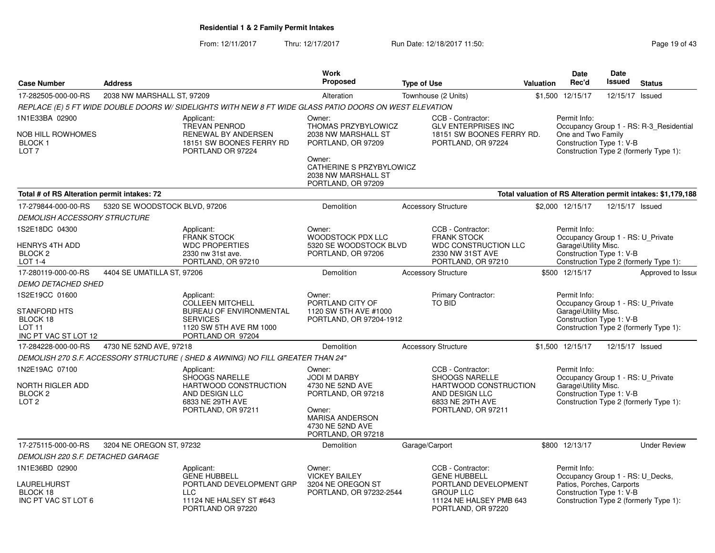From: 12/11/2017Thru: 12/17/2017 **Run Date: 12/18/2017 11:50: Page 19 of 43** 

|                                                                                            |                               |                                                                                                                                            | <b>Work</b>                                                                                                                                           |                                                                                                                                       |           | <b>Date</b>                                                                                               | Date            |                                                                                   |
|--------------------------------------------------------------------------------------------|-------------------------------|--------------------------------------------------------------------------------------------------------------------------------------------|-------------------------------------------------------------------------------------------------------------------------------------------------------|---------------------------------------------------------------------------------------------------------------------------------------|-----------|-----------------------------------------------------------------------------------------------------------|-----------------|-----------------------------------------------------------------------------------|
| <b>Case Number</b>                                                                         | <b>Address</b>                |                                                                                                                                            | Proposed                                                                                                                                              | <b>Type of Use</b>                                                                                                                    | Valuation | Rec'd                                                                                                     | <b>Issued</b>   | <b>Status</b>                                                                     |
| 17-282505-000-00-RS                                                                        | 2038 NW MARSHALL ST, 97209    |                                                                                                                                            | Alteration                                                                                                                                            | Townhouse (2 Units)                                                                                                                   |           | \$1,500 12/15/17                                                                                          | 12/15/17        | Issued                                                                            |
|                                                                                            |                               | REPLACE (E) 5 FT WIDE DOUBLE DOORS W/ SIDELIGHTS WITH NEW 8 FT WIDE GLASS PATIO DOORS ON WEST ELEVATION                                    |                                                                                                                                                       |                                                                                                                                       |           |                                                                                                           |                 |                                                                                   |
| 1N1E33BA 02900<br>NOB HILL ROWHOMES<br>BLOCK <sub>1</sub><br>LOT <sub>7</sub>              |                               | Applicant:<br>TREVAN PENROD<br>RENEWAL BY ANDERSEN<br>18151 SW BOONES FERRY RD<br>PORTLAND OR 97224                                        | Owner:<br>THOMAS PRZYBYLOWICZ<br>2038 NW MARSHALL ST<br>PORTLAND, OR 97209<br>Owner:<br>CATHERINE S PRZYBYLOWICZ                                      | CCB - Contractor:<br><b>GLV ENTERPRISES INC</b><br>18151 SW BOONES FERRY RD.<br>PORTLAND, OR 97224                                    |           | Permit Info:<br>One and Two Family<br>Construction Type 1: V-B                                            |                 | Occupancy Group 1 - RS: R-3_Residential<br>Construction Type 2 (formerly Type 1): |
|                                                                                            |                               |                                                                                                                                            | 2038 NW MARSHALL ST<br>PORTLAND, OR 97209                                                                                                             |                                                                                                                                       |           |                                                                                                           |                 |                                                                                   |
| Total # of RS Alteration permit intakes: 72                                                |                               |                                                                                                                                            |                                                                                                                                                       |                                                                                                                                       |           |                                                                                                           |                 | Total valuation of RS Alteration permit intakes: \$1,179,188                      |
| 17-279844-000-00-RS                                                                        | 5320 SE WOODSTOCK BLVD, 97206 |                                                                                                                                            | Demolition                                                                                                                                            | <b>Accessory Structure</b>                                                                                                            |           | \$2,000 12/15/17                                                                                          | 12/15/17 Issued |                                                                                   |
| DEMOLISH ACCESSORY STRUCTURE                                                               |                               |                                                                                                                                            |                                                                                                                                                       |                                                                                                                                       |           |                                                                                                           |                 |                                                                                   |
| 1S2E18DC 04300<br>HENRYS 4TH ADD<br>BLOCK <sub>2</sub><br>LOT 1-4                          |                               | Applicant:<br><b>FRANK STOCK</b><br><b>WDC PROPERTIES</b><br>2330 nw 31st ave.<br>PORTLAND, OR 97210                                       | Owner:<br><b>WOODSTOCK PDX LLC</b><br>5320 SE WOODSTOCK BLVD<br>PORTLAND, OR 97206                                                                    | CCB - Contractor:<br><b>FRANK STOCK</b><br><b>WDC CONSTRUCTION LLC</b><br>2330 NW 31ST AVE<br>PORTLAND, OR 97210                      |           | Permit Info:<br>Occupancy Group 1 - RS: U_Private<br>Garage\Utility Misc.<br>Construction Type 1: V-B     |                 | Construction Type 2 (formerly Type 1):                                            |
| 17-280119-000-00-RS                                                                        | 4404 SE UMATILLA ST, 97206    |                                                                                                                                            | Demolition                                                                                                                                            | <b>Accessory Structure</b>                                                                                                            |           | \$500 12/15/17                                                                                            |                 | Approved to Issue                                                                 |
| <b>DEMO DETACHED SHED</b>                                                                  |                               |                                                                                                                                            |                                                                                                                                                       |                                                                                                                                       |           |                                                                                                           |                 |                                                                                   |
| 1S2E19CC 01600<br><b>STANFORD HTS</b><br>BLOCK 18<br><b>LOT 11</b><br>INC PT VAC ST LOT 12 |                               | Applicant:<br><b>COLLEEN MITCHELL</b><br><b>BUREAU OF ENVIRONMENTAL</b><br><b>SERVICES</b><br>1120 SW 5TH AVE RM 1000<br>PORTLAND OR 97204 | Owner:<br>PORTLAND CITY OF<br>1120 SW 5TH AVE #1000<br>PORTLAND, OR 97204-1912                                                                        | <b>Primary Contractor:</b><br><b>TO BID</b>                                                                                           |           | Permit Info:<br>Occupancy Group 1 - RS: U_Private<br>Garage\Utility Misc.<br>Construction Type 1: V-B     |                 | Construction Type 2 (formerly Type 1):                                            |
| 17-284228-000-00-RS                                                                        | 4730 NE 52ND AVE, 97218       |                                                                                                                                            | Demolition                                                                                                                                            | <b>Accessory Structure</b>                                                                                                            |           | \$1,500 12/15/17                                                                                          | 12/15/17 Issued |                                                                                   |
|                                                                                            |                               | DEMOLISH 270 S.F. ACCESSORY STRUCTURE ( SHED & AWNING) NO FILL GREATER THAN 24"                                                            |                                                                                                                                                       |                                                                                                                                       |           |                                                                                                           |                 |                                                                                   |
| 1N2E19AC 07100<br>NORTH RIGLER ADD<br>BLOCK <sub>2</sub><br>LOT <sub>2</sub>               |                               | Applicant:<br><b>SHOOGS NARELLE</b><br>HARTWOOD CONSTRUCTION<br>AND DESIGN LLC<br>6833 NE 29TH AVE<br>PORTLAND, OR 97211                   | Owner:<br><b>JODI M DARBY</b><br>4730 NE 52ND AVE<br>PORTLAND, OR 97218<br>Owner:<br><b>MARISA ANDERSON</b><br>4730 NE 52ND AVE<br>PORTLAND, OR 97218 | CCB - Contractor:<br><b>SHOOGS NARELLE</b><br>HARTWOOD CONSTRUCTION<br>AND DESIGN LLC<br>6833 NE 29TH AVE<br>PORTLAND, OR 97211       |           | Permit Info:<br>Occupancy Group 1 - RS: U_Private<br>Garage\Utility Misc.<br>Construction Type 1: V-B     |                 | Construction Type 2 (formerly Type 1):                                            |
| 17-275115-000-00-RS                                                                        | 3204 NE OREGON ST, 97232      |                                                                                                                                            | Demolition                                                                                                                                            | Garage/Carport                                                                                                                        |           | \$800 12/13/17                                                                                            |                 | <b>Under Review</b>                                                               |
| <i>DEMOLISH 220 S.F. DETACHED GARAGE</i>                                                   |                               |                                                                                                                                            |                                                                                                                                                       |                                                                                                                                       |           |                                                                                                           |                 |                                                                                   |
| 1N1E36BD 02900<br>LAURELHURST<br>BLOCK 18<br>INC PT VAC ST LOT 6                           |                               | Applicant:<br><b>GENE HUBBELL</b><br>PORTLAND DEVELOPMENT GRP<br><b>LLC</b><br>11124 NE HALSEY ST #643<br>PORTLAND OR 97220                | Owner:<br><b>VICKEY BAILEY</b><br>3204 NE OREGON ST<br>PORTLAND, OR 97232-2544                                                                        | CCB - Contractor:<br><b>GENE HUBBELL</b><br>PORTLAND DEVELOPMENT<br><b>GROUP LLC</b><br>11124 NE HALSEY PMB 643<br>PORTLAND, OR 97220 |           | Permit Info:<br>Occupancy Group 1 - RS: U_Decks,<br>Patios, Porches, Carports<br>Construction Type 1: V-B |                 | Construction Type 2 (formerly Type 1):                                            |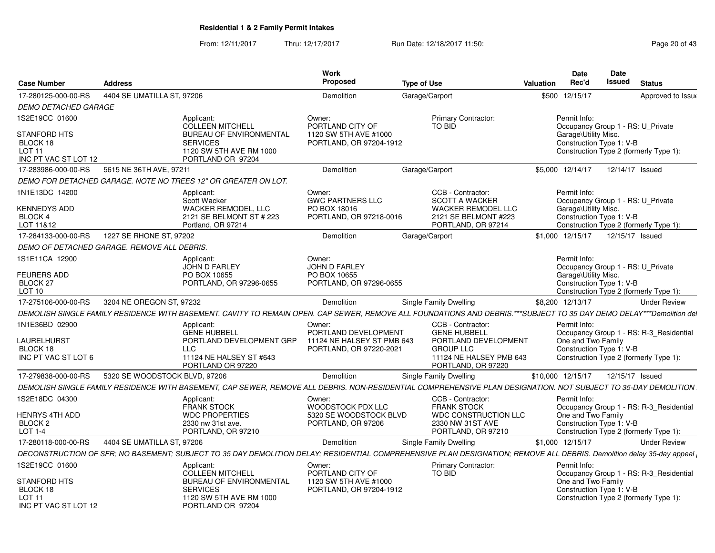From: 12/11/2017Thru: 12/17/2017 **Run Date: 12/18/2017 11:50: Page 20 of 43** 

| <b>Case Number</b>                                                           | Address                                     |                                                                                                   | <b>Work</b><br>Proposed                                                       | <b>Type of Use</b>                                                                                                                                                    | <b>Valuation</b> | <b>Date</b><br>Rec'd                                             | Date<br>Issued | <b>Status</b>                                                                     |
|------------------------------------------------------------------------------|---------------------------------------------|---------------------------------------------------------------------------------------------------|-------------------------------------------------------------------------------|-----------------------------------------------------------------------------------------------------------------------------------------------------------------------|------------------|------------------------------------------------------------------|----------------|-----------------------------------------------------------------------------------|
| 17-280125-000-00-RS                                                          | 4404 SE UMATILLA ST. 97206                  |                                                                                                   | Demolition                                                                    | Garage/Carport                                                                                                                                                        |                  | \$500 12/15/17                                                   |                | Approved to Issue                                                                 |
| <b>DEMO DETACHED GARAGE</b>                                                  |                                             |                                                                                                   |                                                                               |                                                                                                                                                                       |                  |                                                                  |                |                                                                                   |
| 1S2E19CC 01600                                                               |                                             | Applicant:<br><b>COLLEEN MITCHELL</b>                                                             | Owner:<br>PORTLAND CITY OF                                                    | <b>Primary Contractor:</b><br>TO BID                                                                                                                                  |                  | Permit Info:                                                     |                | Occupancy Group 1 - RS: U Private                                                 |
| <b>STANFORD HTS</b><br>BLOCK 18<br>LOT <sub>11</sub><br>INC PT VAC ST LOT 12 |                                             | <b>BUREAU OF ENVIRONMENTAL</b><br><b>SERVICES</b><br>1120 SW 5TH AVE RM 1000<br>PORTLAND OR 97204 | 1120 SW 5TH AVE #1000<br>PORTLAND, OR 97204-1912                              |                                                                                                                                                                       |                  | Garage\Utility Misc.<br>Construction Type 1: V-B                 |                | Construction Type 2 (formerly Type 1):                                            |
| 17-283986-000-00-RS                                                          | 5615 NE 36TH AVE, 97211                     |                                                                                                   | Demolition                                                                    | Garage/Carport                                                                                                                                                        |                  | \$5,000 12/14/17                                                 |                | 12/14/17 Issued                                                                   |
|                                                                              |                                             | DEMO FOR DETACHED GARAGE. NOTE NO TREES 12" OR GREATER ON LOT.                                    |                                                                               |                                                                                                                                                                       |                  |                                                                  |                |                                                                                   |
| 1N1E13DC 14200<br><b>KENNEDYS ADD</b><br>BLOCK 4                             |                                             | Applicant:<br>Scott Wacker<br><b>WACKER REMODEL, LLC</b><br>2121 SE BELMONT ST # 223              | Owner:<br><b>GWC PARTNERS LLC</b><br>PO BOX 18016<br>PORTLAND, OR 97218-0016  | CCB - Contractor:<br><b>SCOTT A WACKER</b><br><b>WACKER REMODEL LLC</b><br>2121 SE BELMONT #223                                                                       |                  | Permit Info:<br>Garage\Utility Misc.<br>Construction Type 1: V-B |                | Occupancy Group 1 - RS: U Private                                                 |
| LOT 11&12                                                                    |                                             | Portland, OR 97214                                                                                |                                                                               | PORTLAND, OR 97214                                                                                                                                                    |                  |                                                                  |                | Construction Type 2 (formerly Type 1):                                            |
| 17-284133-000-00-RS                                                          | 1227 SE RHONE ST, 97202                     |                                                                                                   | Demolition                                                                    | Garage/Carport                                                                                                                                                        |                  | \$1,000 12/15/17                                                 |                | 12/15/17 Issued                                                                   |
|                                                                              | DEMO OF DETACHED GARAGE. REMOVE ALL DEBRIS. |                                                                                                   |                                                                               |                                                                                                                                                                       |                  |                                                                  |                |                                                                                   |
| 1S1E11CA 12900                                                               |                                             | Applicant:<br><b>JOHN D FARLEY</b>                                                                | Owner:<br><b>JOHN D FARLEY</b>                                                |                                                                                                                                                                       |                  | Permit Info:                                                     |                | Occupancy Group 1 - RS: U_Private                                                 |
| <b>FEURERS ADD</b><br>BLOCK <sub>27</sub><br>LOT <sub>10</sub>               |                                             | PO BOX 10655<br>PORTLAND, OR 97296-0655                                                           | PO BOX 10655<br>PORTLAND, OR 97296-0655                                       |                                                                                                                                                                       |                  | Garage\Utility Misc.<br>Construction Type 1: V-B                 |                | Construction Type 2 (formerly Type 1):                                            |
| 17-275106-000-00-RS                                                          | 3204 NE OREGON ST. 97232                    |                                                                                                   | Demolition                                                                    | Single Family Dwelling                                                                                                                                                |                  | \$8,200 12/13/17                                                 |                | <b>Under Review</b>                                                               |
|                                                                              |                                             |                                                                                                   |                                                                               | DEMOLISH SINGLE FAMILY RESIDENCE WITH BASEMENT. CAVITY TO REMAIN OPEN. CAP SEWER, REMOVE ALL FOUNDATIONS AND DEBRIS.***SUBJECT TO 35 DAY DEMO DELAY***Demolition del  |                  |                                                                  |                |                                                                                   |
| 1N1E36BD 02900                                                               |                                             | Applicant                                                                                         | Owner:                                                                        | CCB - Contractor:                                                                                                                                                     |                  | Permit Info:                                                     |                |                                                                                   |
| LAURELHURST<br>BLOCK 18<br>INC PT VAC ST LOT 6                               |                                             | <b>GENE HUBBELL</b><br>PORTLAND DEVELOPMENT GRP<br><b>LLC</b><br>11124 NE HALSEY ST #643          | PORTLAND DEVELOPMENT<br>11124 NE HALSEY ST PMB 643<br>PORTLAND, OR 97220-2021 | <b>GENE HUBBELL</b><br>PORTLAND DEVELOPMENT<br><b>GROUP LLC</b><br>11124 NE HALSEY PMB 643                                                                            |                  | One and Two Family<br>Construction Type 1: V-B                   |                | Occupancy Group 1 - RS: R-3 Residential<br>Construction Type 2 (formerly Type 1): |
|                                                                              |                                             | PORTLAND OR 97220                                                                                 |                                                                               | PORTLAND, OR 97220                                                                                                                                                    |                  |                                                                  |                |                                                                                   |
| 17-279838-000-00-RS                                                          | 5320 SE WOODSTOCK BLVD, 97206               |                                                                                                   | <b>Demolition</b>                                                             | Single Family Dwelling                                                                                                                                                |                  | \$10,000 12/15/17                                                |                | 12/15/17 Issued                                                                   |
|                                                                              |                                             |                                                                                                   |                                                                               | DEMOLISH SINGLE FAMILY RESIDENCE WITH BASEMENT. CAP SEWER, REMOVE ALL DEBRIS. NON-RESIDENTIAL COMPREHENSIVE PLAN DESIGNATION. NOT SUBJECT TO 35-DAY DEMOLITION        |                  |                                                                  |                |                                                                                   |
| 1S2E18DC 04300                                                               |                                             | Applicant:<br><b>FRANK STOCK</b>                                                                  | Owner:<br>WOODSTOCK PDX LLC                                                   | CCB - Contractor:<br><b>FRANK STOCK</b>                                                                                                                               |                  | Permit Info:                                                     |                | Occupancy Group 1 - RS: R-3 Residential                                           |
| HENRYS 4TH ADD<br>BLOCK <sub>2</sub><br><b>LOT 1-4</b>                       |                                             | <b>WDC PROPERTIES</b><br>2330 nw 31st ave.<br>PORTLAND, OR 97210                                  | 5320 SE WOODSTOCK BLVD<br>PORTLAND, OR 97206                                  | <b>WDC CONSTRUCTION LLC</b><br>2330 NW 31ST AVE<br>PORTLAND, OR 97210                                                                                                 |                  | One and Two Family<br>Construction Type 1: V-B                   |                | Construction Type 2 (formerly Type 1):                                            |
| 17-280118-000-00-RS                                                          | 4404 SE UMATILLA ST, 97206                  |                                                                                                   | Demolition                                                                    | Single Family Dwelling                                                                                                                                                |                  | \$1,000 12/15/17                                                 |                | <b>Under Review</b>                                                               |
|                                                                              |                                             |                                                                                                   |                                                                               | DECONSTRUCTION OF SFR; NO BASEMENT; SUBJECT TO 35 DAY DEMOLITION DELAY; RESIDENTIAL COMPREHENSIVE PLAN DESIGNATION; REMOVE ALL DEBRIS. Demolition delay 35-day appeal |                  |                                                                  |                |                                                                                   |
| 1S2E19CC 01600                                                               |                                             | Applicant:<br><b>COLLEEN MITCHELL</b>                                                             | Owner:<br>PORTLAND CITY OF                                                    | Primary Contractor:<br><b>TO BID</b>                                                                                                                                  |                  | Permit Info:                                                     |                | Occupancy Group 1 - RS: R-3_Residential                                           |
| STANFORD HTS<br>BLOCK 18<br>LOT <sub>11</sub><br>INC PT VAC ST LOT 12        |                                             | <b>BUREAU OF ENVIRONMENTAL</b><br><b>SERVICES</b><br>1120 SW 5TH AVE RM 1000<br>PORTLAND OR 97204 | 1120 SW 5TH AVE #1000<br>PORTLAND, OR 97204-1912                              |                                                                                                                                                                       |                  | One and Two Family<br>Construction Type 1: V-B                   |                | Construction Type 2 (formerly Type 1):                                            |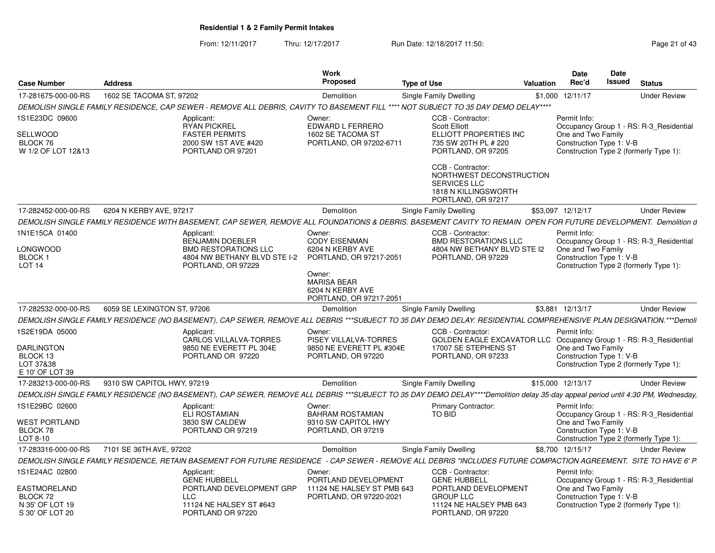From: 12/11/2017Thru: 12/17/2017 **Run Date: 12/18/2017 11:50: Page 21 of 43** 

| 1602 SE TACOMA ST, 97202<br>17-281675-000-00-RS<br>Demolition<br><b>Single Family Dwelling</b><br>\$1,000 12/11/17<br><b>Under Review</b><br>DEMOLISH SINGLE FAMILY RESIDENCE. CAP SEWER - REMOVE ALL DEBRIS. CAVITY TO BASEMENT FILL **** NOT SUBJECT TO 35 DAY DEMO DELAY****<br>1S1E23DC 09600<br>CCB - Contractor:<br>Permit Info:<br>Applicant:<br>Owner:<br><b>RYAN PICKREL</b><br>EDWARD L FERRERO<br><b>Scott Elliott</b><br>Occupancy Group 1 - RS: R-3 Residential<br>One and Two Family<br><b>FASTER PERMITS</b><br>1602 SE TACOMA ST<br>ELLIOTT PROPERTIES INC<br>BLOCK 76<br>2000 SW 1ST AVE #420<br>PORTLAND, OR 97202-6711<br>735 SW 20TH PL # 220<br>Construction Type 1: V-B<br>Construction Type 2 (formerly Type 1):<br>W 1/2 OF LOT 12&13<br>PORTLAND OR 97201<br>PORTLAND, OR 97205 |
|----------------------------------------------------------------------------------------------------------------------------------------------------------------------------------------------------------------------------------------------------------------------------------------------------------------------------------------------------------------------------------------------------------------------------------------------------------------------------------------------------------------------------------------------------------------------------------------------------------------------------------------------------------------------------------------------------------------------------------------------------------------------------------------------------------|
|                                                                                                                                                                                                                                                                                                                                                                                                                                                                                                                                                                                                                                                                                                                                                                                                          |
| SELLWOOD                                                                                                                                                                                                                                                                                                                                                                                                                                                                                                                                                                                                                                                                                                                                                                                                 |
| CCB - Contractor:<br>NORTHWEST DECONSTRUCTION<br><b>SERVICES LLC</b><br>1818 N KILLINGSWORTH                                                                                                                                                                                                                                                                                                                                                                                                                                                                                                                                                                                                                                                                                                             |
| PORTLAND, OR 97217                                                                                                                                                                                                                                                                                                                                                                                                                                                                                                                                                                                                                                                                                                                                                                                       |
| 6204 N KERBY AVE, 97217<br>17-282452-000-00-RS<br>Demolition<br>Single Family Dwelling<br>\$53.097 12/12/17<br><b>Under Review</b>                                                                                                                                                                                                                                                                                                                                                                                                                                                                                                                                                                                                                                                                       |
| DEMOLISH SINGLE FAMILY RESIDENCE WITH BASEMENT, CAP SEWER, REMOVE ALL FOUNDATIONS & DEBRIS. BASEMENT CAVITY TO REMAIN OPEN FOR FUTURE DEVELOPMENT. Demolition d                                                                                                                                                                                                                                                                                                                                                                                                                                                                                                                                                                                                                                          |
| 1N1E15CA 01400<br>CCB - Contractor:<br>Permit Info:<br>Applicant:<br>Owner:<br><b>BENJAMIN DOEBLER</b><br><b>CODY EISENMAN</b><br><b>BMD RESTORATIONS LLC</b><br>Occupancy Group 1 - RS: R-3 Residential                                                                                                                                                                                                                                                                                                                                                                                                                                                                                                                                                                                                 |
| LONGWOOD<br><b>BMD RESTORATIONS LLC</b><br>6204 N KERBY AVE<br>4804 NW BETHANY BLVD STE I2<br>One and Two Family<br>BLOCK 1<br>Construction Type 1: V-B<br>4804 NW BETHANY BLVD STE I-2<br>PORTLAND, OR 97217-2051<br>PORTLAND, OR 97229<br><b>LOT 14</b><br>PORTLAND, OR 97229<br>Construction Type 2 (formerly Type 1):<br>Owner:                                                                                                                                                                                                                                                                                                                                                                                                                                                                      |
| <b>MARISA BEAR</b><br>6204 N KERBY AVE<br>PORTLAND, OR 97217-2051                                                                                                                                                                                                                                                                                                                                                                                                                                                                                                                                                                                                                                                                                                                                        |
| 17-282532-000-00-RS<br>6059 SE LEXINGTON ST, 97206<br>Demolition<br>Single Family Dwelling<br>\$3,881 12/13/17<br><b>Under Review</b>                                                                                                                                                                                                                                                                                                                                                                                                                                                                                                                                                                                                                                                                    |
| DEMOLISH SINGLE FAMILY RESIDENCE (NO BASEMENT), CAP SEWER, REMOVE ALL DEBRIS ***SUBJECT TO 35 DAY DEMO DELAY. RESIDENTIAL COMPREHENSIVE PLAN DESIGNATION.***Demoli                                                                                                                                                                                                                                                                                                                                                                                                                                                                                                                                                                                                                                       |
| 1S2E19DA 05000<br>Owner:<br>CCB - Contractor:<br>Permit Info:<br>Applicant:<br>CARLOS VILLALVA-TORRES<br><b>GOLDEN EAGLE EXCAVATOR LLC</b><br>PISEY VILLALVA-TORRES<br>Occupancy Group 1 - RS: R-3_Residential<br>One and Two Family<br>9850 NE EVERETT PL #304E<br>17007 SE STEPHENS ST<br>DARLINGTON<br>9850 NE EVERETT PL 304E<br>BLOCK 13<br>PORTLAND OR 97220<br>PORTLAND, OR 97220<br>PORTLAND, OR 97233<br>Construction Type 1: V-B<br>LOT 37&38<br>Construction Type 2 (formerly Type 1):<br>E 10' OF LOT 39                                                                                                                                                                                                                                                                                     |
| \$15,000 12/13/17<br>17-283213-000-00-RS<br>9310 SW CAPITOL HWY, 97219<br>Demolition<br>Single Family Dwelling<br><b>Under Review</b>                                                                                                                                                                                                                                                                                                                                                                                                                                                                                                                                                                                                                                                                    |
| DEMOLISH SINGLE FAMILY RESIDENCE (NO BASEMENT), CAP SEWER, REMOVE ALL DEBRIS ***SUBJECT TO 35 DAY DEMO DELAY****Demolition delay 35-day appeal period until 4:30 PM, Wednesday,                                                                                                                                                                                                                                                                                                                                                                                                                                                                                                                                                                                                                          |
| 1S1E29BC 02600<br>Permit Info:<br>Applicant:<br>Primary Contractor:<br>Owner:<br>TO BID<br><b>ELI ROSTAMIAN</b><br><b>BAHRAM ROSTAMIAN</b><br>Occupancy Group 1 - RS: R-3_Residential                                                                                                                                                                                                                                                                                                                                                                                                                                                                                                                                                                                                                    |
| One and Two Family<br>WEST PORTLAND<br>3830 SW CALDEW<br>9310 SW CAPITOL HWY<br>BLOCK 78<br>PORTLAND OR 97219<br>PORTLAND, OR 97219<br>Construction Type 1: V-B<br>LOT 8-10<br>Construction Type 2 (formerly Type 1):                                                                                                                                                                                                                                                                                                                                                                                                                                                                                                                                                                                    |
| 17-283316-000-00-RS<br>7101 SE 36TH AVE, 97202<br>Demolition<br>Single Family Dwelling<br>\$8,700 12/15/17<br><b>Under Review</b>                                                                                                                                                                                                                                                                                                                                                                                                                                                                                                                                                                                                                                                                        |
| DEMOLISH SINGLE FAMILY RESIDENCE, RETAIN BASEMENT FOR FUTURE RESIDENCE  - CAP SEWER - REMOVE ALL DEBRIS "INCLUDES FUTURE COMPACTION AGREEMENT. SITE TO HAVE 6' P                                                                                                                                                                                                                                                                                                                                                                                                                                                                                                                                                                                                                                         |
| 1S1E24AC 02800<br>CCB - Contractor:<br>Owner:<br>Permit Info:<br>Applicant:<br><b>GENE HUBBELL</b><br><b>GENE HUBBELL</b><br>PORTLAND DEVELOPMENT<br>Occupancy Group 1 - RS: R-3_Residential                                                                                                                                                                                                                                                                                                                                                                                                                                                                                                                                                                                                             |
| PORTLAND DEVELOPMENT<br>One and Two Family<br>EASTMORELAND<br>PORTLAND DEVELOPMENT GRP<br>11124 NE HALSEY ST PMB 643<br><b>LLC</b><br>PORTLAND, OR 97220-2021<br><b>GROUP LLC</b><br>Construction Type 1: V-B<br>BLOCK 72<br>N 35' OF LOT 19<br>11124 NE HALSEY ST #643<br>11124 NE HALSEY PMB 643<br>Construction Type 2 (formerly Type 1):<br>S 30' OF LOT 20<br>PORTLAND OR 97220<br>PORTLAND, OR 97220                                                                                                                                                                                                                                                                                                                                                                                               |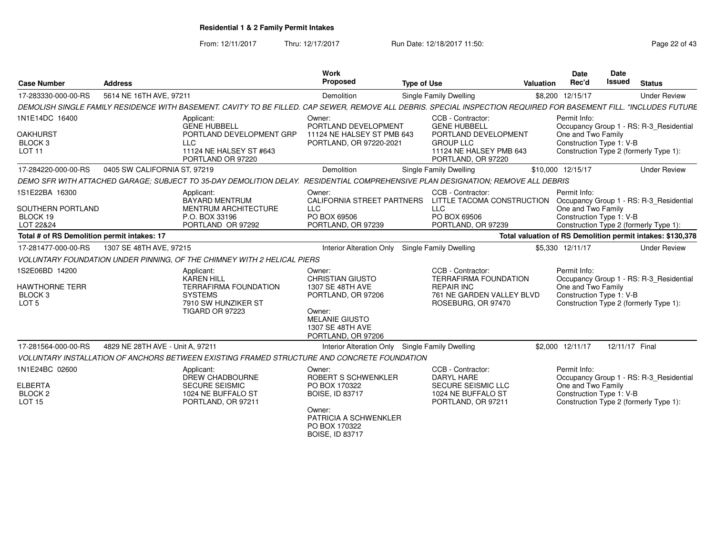From: 12/11/2017Thru: 12/17/2017 **Run Date: 12/18/2017 11:50: Page 22 of 43** 

| <b>Case Number</b>                                                         | <b>Address</b>                   |                                                                                                                                                                    | <b>Work</b><br>Proposed                                                                                                                                  | <b>Type of Use</b> |                                                                                                                                       | Valuation | <b>Date</b><br>Rec'd                                           | Date<br><b>Issued</b> | <b>Status</b>                                                                     |
|----------------------------------------------------------------------------|----------------------------------|--------------------------------------------------------------------------------------------------------------------------------------------------------------------|----------------------------------------------------------------------------------------------------------------------------------------------------------|--------------------|---------------------------------------------------------------------------------------------------------------------------------------|-----------|----------------------------------------------------------------|-----------------------|-----------------------------------------------------------------------------------|
| 17-283330-000-00-RS                                                        | 5614 NE 16TH AVE, 97211          |                                                                                                                                                                    | Demolition                                                                                                                                               |                    | Single Family Dwelling                                                                                                                |           | \$8,200 12/15/17                                               |                       | <b>Under Review</b>                                                               |
|                                                                            |                                  | DEMOLISH SINGLE FAMILY RESIDENCE WITH BASEMENT. CAVITY TO BE FILLED. CAP SEWER. REMOVE ALL DEBRIS. SPECIAL INSPECTION REQUIRED FOR BASEMENT FILL. "INCLUDES FUTURE |                                                                                                                                                          |                    |                                                                                                                                       |           |                                                                |                       |                                                                                   |
| 1N1E14DC 16400<br><b>OAKHURST</b><br>BLOCK <sub>3</sub><br><b>LOT 11</b>   |                                  | Applicant:<br><b>GENE HUBBELL</b><br>PORTLAND DEVELOPMENT GRP<br><b>LLC</b><br>11124 NE HALSEY ST #643<br>PORTLAND OR 97220                                        | Owner:<br>PORTLAND DEVELOPMENT<br>11124 NE HALSEY ST PMB 643<br>PORTLAND, OR 97220-2021                                                                  |                    | CCB - Contractor:<br><b>GENE HUBBELL</b><br>PORTLAND DEVELOPMENT<br><b>GROUP LLC</b><br>11124 NE HALSEY PMB 643<br>PORTLAND, OR 97220 |           | Permit Info:<br>One and Two Family<br>Construction Type 1: V-B |                       | Occupancy Group 1 - RS: R-3 Residential<br>Construction Type 2 (formerly Type 1): |
| 17-284220-000-00-RS                                                        | 0405 SW CALIFORNIA ST, 97219     |                                                                                                                                                                    | Demolition                                                                                                                                               |                    | Single Family Dwelling                                                                                                                |           | \$10,000 12/15/17                                              |                       | <b>Under Review</b>                                                               |
|                                                                            |                                  | DEMO SFR WITH ATTACHED GARAGE: SUBJECT TO 35-DAY DEMOLITION DELAY. RESIDENTIAL COMPREHENSIVE PLAN DESIGNATION: REMOVE ALL DEBRIS                                   |                                                                                                                                                          |                    |                                                                                                                                       |           |                                                                |                       |                                                                                   |
| 1S1E22BA 16300<br>SOUTHERN PORTLAND<br>BLOCK 19<br>LOT 22&24               |                                  | Applicant:<br><b>BAYARD MENTRUM</b><br><b>MENTRUM ARCHITECTURE</b><br>P.O. BOX 33196<br>PORTLAND OR 97292                                                          | Owner:<br><b>CALIFORNIA STREET PARTNERS</b><br><b>LLC</b><br>PO BOX 69506<br>PORTLAND, OR 97239                                                          |                    | CCB - Contractor:<br>LITTLE TACOMA CONSTRUCTION<br><b>LLC</b><br>PO BOX 69506<br>PORTLAND, OR 97239                                   |           | Permit Info:<br>One and Two Family<br>Construction Type 1: V-B |                       | Occupancy Group 1 - RS: R-3_Residential<br>Construction Type 2 (formerly Type 1): |
| Total # of RS Demolition permit intakes: 17                                |                                  |                                                                                                                                                                    |                                                                                                                                                          |                    |                                                                                                                                       |           |                                                                |                       | Total valuation of RS Demolition permit intakes: \$130,378                        |
| 17-281477-000-00-RS                                                        | 1307 SE 48TH AVE, 97215          |                                                                                                                                                                    | <b>Interior Alteration Only</b>                                                                                                                          |                    | Single Family Dwelling                                                                                                                |           | \$5.330 12/11/17                                               |                       | <b>Under Review</b>                                                               |
|                                                                            |                                  | VOLUNTARY FOUNDATION UNDER PINNING. OF THE CHIMNEY WITH 2 HELICAL PIERS                                                                                            |                                                                                                                                                          |                    |                                                                                                                                       |           |                                                                |                       |                                                                                   |
| 1S2E06BD 14200<br>HAWTHORNE TERR<br>BLOCK <sub>3</sub><br>LOT <sub>5</sub> |                                  | Applicant:<br><b>KAREN HILL</b><br><b>TERRAFIRMA FOUNDATION</b><br><b>SYSTEMS</b><br>7910 SW HUNZIKER ST<br><b>TIGARD OR 97223</b>                                 | Owner:<br><b>CHRISTIAN GIUSTO</b><br>1307 SE 48TH AVE<br>PORTLAND, OR 97206<br>Owner:<br><b>MELANIE GIUSTO</b><br>1307 SE 48TH AVE<br>PORTLAND, OR 97206 |                    | CCB - Contractor:<br><b>TERRAFIRMA FOUNDATION</b><br><b>REPAIR INC</b><br>761 NE GARDEN VALLEY BLVD<br>ROSEBURG, OR 97470             |           | Permit Info:<br>One and Two Family<br>Construction Type 1: V-B |                       | Occupancy Group 1 - RS: R-3 Residential<br>Construction Type 2 (formerly Type 1): |
| 17-281564-000-00-RS                                                        | 4829 NE 28TH AVE - Unit A, 97211 |                                                                                                                                                                    | Interior Alteration Only                                                                                                                                 |                    | Single Family Dwelling                                                                                                                |           | \$2,000 12/11/17                                               |                       | 12/11/17 Final                                                                    |
|                                                                            |                                  | VOLUNTARY INSTALLATION OF ANCHORS BETWEEN EXISTING FRAMED STRUCTURE AND CONCRETE FOUNDATION                                                                        |                                                                                                                                                          |                    |                                                                                                                                       |           |                                                                |                       |                                                                                   |
| 1N1E24BC 02600<br>ELBERTA<br>BLOCK <sub>2</sub><br>LOT 15                  |                                  | Applicant:<br><b>DREW CHADBOURNE</b><br><b>SECURE SEISMIC</b><br>1024 NE BUFFALO ST<br>PORTLAND, OR 97211                                                          | Owner:<br>ROBERT S SCHWENKLER<br>PO BOX 170322<br><b>BOISE, ID 83717</b><br>Owner:<br>PATRICIA A SCHWENKLER<br>PO BOX 170322<br><b>BOISE. ID 83717</b>   |                    | CCB - Contractor:<br>DARYL HARE<br>SECURE SEISMIC LLC<br>1024 NE BUFFALO ST<br>PORTLAND, OR 97211                                     |           | Permit Info:<br>One and Two Family<br>Construction Type 1: V-B |                       | Occupancy Group 1 - RS: R-3 Residential<br>Construction Type 2 (formerly Type 1): |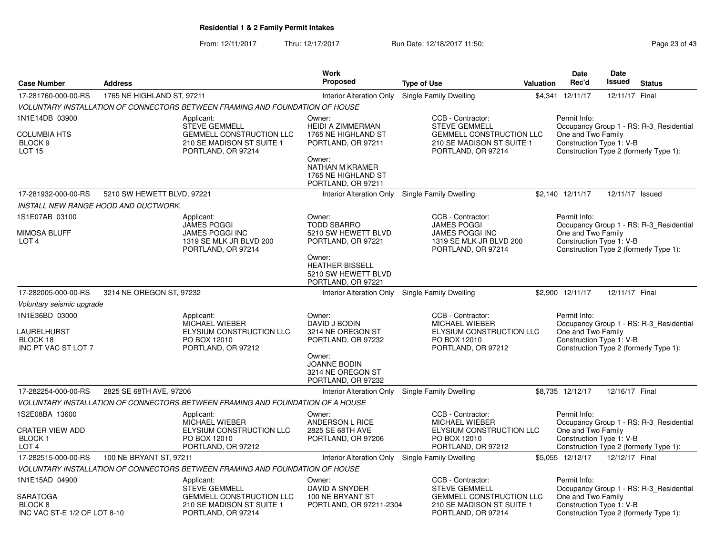From: 12/11/2017Thru: 12/17/2017 **Run Date: 12/18/2017 11:50: Page 23 of 43** 

|                                                                              |                            |                                                                                                                          | <b>Work</b>                                                                                                                                      |                                                                                                                                 |           | Date                                                           | Date            |                                                                                   |
|------------------------------------------------------------------------------|----------------------------|--------------------------------------------------------------------------------------------------------------------------|--------------------------------------------------------------------------------------------------------------------------------------------------|---------------------------------------------------------------------------------------------------------------------------------|-----------|----------------------------------------------------------------|-----------------|-----------------------------------------------------------------------------------|
| <b>Case Number</b>                                                           | <b>Address</b>             |                                                                                                                          | Proposed                                                                                                                                         | <b>Type of Use</b>                                                                                                              | Valuation | Rec'd                                                          | <b>Issued</b>   | <b>Status</b>                                                                     |
| 17-281760-000-00-RS                                                          | 1765 NE HIGHLAND ST, 97211 |                                                                                                                          | <b>Interior Alteration Only</b>                                                                                                                  | Single Family Dwelling                                                                                                          |           | \$4,341 12/11/17                                               | 12/11/17 Final  |                                                                                   |
|                                                                              |                            | VOLUNTARY INSTALLATION OF CONNECTORS BETWEEN FRAMING AND FOUNDATION OF HOUSE                                             |                                                                                                                                                  |                                                                                                                                 |           |                                                                |                 |                                                                                   |
| 1N1E14DB 03900<br><b>COLUMBIA HTS</b><br>BLOCK <sub>9</sub><br><b>LOT 15</b> |                            | Applicant:<br><b>STEVE GEMMELL</b><br><b>GEMMELL CONSTRUCTION LLC</b><br>210 SE MADISON ST SUITE 1<br>PORTLAND, OR 97214 | Owner:<br><b>HEIDI A ZIMMERMAN</b><br>1765 NE HIGHLAND ST<br>PORTLAND, OR 97211<br>Owner:<br>NATHAN M KRAMER<br>1765 NE HIGHLAND ST              | CCB - Contractor:<br><b>STEVE GEMMELL</b><br>GEMMELL CONSTRUCTION LLC<br>210 SE MADISON ST SUITE 1<br>PORTLAND, OR 97214        |           | Permit Info:<br>One and Two Family<br>Construction Type 1: V-B |                 | Occupancy Group 1 - RS: R-3 Residential<br>Construction Type 2 (formerly Type 1): |
| 17-281932-000-00-RS                                                          | 5210 SW HEWETT BLVD, 97221 |                                                                                                                          | PORTLAND, OR 97211<br>Interior Alteration Only                                                                                                   | Single Family Dwelling                                                                                                          |           | \$2,140 12/11/17                                               | 12/11/17 Issued |                                                                                   |
| INSTALL NEW RANGE HOOD AND DUCTWORK.                                         |                            |                                                                                                                          |                                                                                                                                                  |                                                                                                                                 |           |                                                                |                 |                                                                                   |
| 1S1E07AB 03100                                                               |                            | Applicant:                                                                                                               | Owner:                                                                                                                                           | CCB - Contractor:                                                                                                               |           | Permit Info:                                                   |                 |                                                                                   |
| <b>MIMOSA BLUFF</b><br>LOT <sub>4</sub>                                      |                            | <b>JAMES POGGI</b><br><b>JAMES POGGI INC</b><br>1319 SE MLK JR BLVD 200<br>PORTLAND, OR 97214                            | <b>TODD SBARRO</b><br>5210 SW HEWETT BLVD<br>PORTLAND, OR 97221<br>Owner:<br><b>HEATHER BISSELL</b><br>5210 SW HEWETT BLVD<br>PORTLAND, OR 97221 | <b>JAMES POGGI</b><br><b>JAMES POGGI INC</b><br>1319 SE MLK JR BLVD 200<br>PORTLAND, OR 97214                                   |           | One and Two Family<br>Construction Type 1: V-B                 |                 | Occupancy Group 1 - RS: R-3 Residential<br>Construction Type 2 (formerly Type 1): |
| 17-282005-000-00-RS                                                          | 3214 NE OREGON ST, 97232   |                                                                                                                          |                                                                                                                                                  | Interior Alteration Only Single Family Dwelling                                                                                 |           | \$2,900 12/11/17                                               | 12/11/17 Final  |                                                                                   |
| Voluntary seismic upgrade                                                    |                            |                                                                                                                          |                                                                                                                                                  |                                                                                                                                 |           |                                                                |                 |                                                                                   |
| 1N1E36BD 03000<br><b>LAURELHURST</b><br>BLOCK 18<br>INC PT VAC ST LOT 7      |                            | Applicant:<br>MICHAEL WIEBER<br><b>ELYSIUM CONSTRUCTION LLC</b><br>PO BOX 12010<br>PORTLAND, OR 97212                    | Owner:<br>DAVID J BODIN<br>3214 NE OREGON ST<br>PORTLAND, OR 97232<br>Owner:<br><b>JOANNE BODIN</b><br>3214 NE OREGON ST<br>PORTLAND, OR 97232   | CCB - Contractor:<br>MICHAEL WIEBER<br>ELYSIUM CONSTRUCTION LLC<br>PO BOX 12010<br>PORTLAND, OR 97212                           |           | Permit Info:<br>One and Two Family<br>Construction Type 1: V-B |                 | Occupancy Group 1 - RS: R-3 Residential<br>Construction Type 2 (formerly Type 1): |
| 17-282254-000-00-RS                                                          | 2825 SE 68TH AVE, 97206    |                                                                                                                          | Interior Alteration Only                                                                                                                         | Single Family Dwelling                                                                                                          |           | \$8,735 12/12/17                                               | 12/16/17 Final  |                                                                                   |
|                                                                              |                            | VOLUNTARY INSTALLATION OF CONNECTORS BETWEEN FRAMING AND FOUNDATION OF A HOUSE                                           |                                                                                                                                                  |                                                                                                                                 |           |                                                                |                 |                                                                                   |
| 1S2E08BA 13600<br><b>CRATER VIEW ADD</b><br>BLOCK 1<br>LOT <sub>4</sub>      |                            | Applicant:<br><b>MICHAEL WIEBER</b><br>ELYSIUM CONSTRUCTION LLC<br>PO BOX 12010<br>PORTLAND, OR 97212                    | Owner:<br>ANDERSON L RICE<br>2825 SE 68TH AVE<br>PORTLAND, OR 97206                                                                              | CCB - Contractor:<br><b>MICHAEL WIEBER</b><br>ELYSIUM CONSTRUCTION LLC<br>PO BOX 12010<br>PORTLAND, OR 97212                    |           | Permit Info:<br>One and Two Family<br>Construction Type 1: V-B |                 | Occupancy Group 1 - RS: R-3_Residential<br>Construction Type 2 (formerly Type 1): |
| 17-282515-000-00-RS                                                          | 100 NE BRYANT ST, 97211    |                                                                                                                          | Interior Alteration Only                                                                                                                         | Single Family Dwelling                                                                                                          |           | \$5,055 12/12/17                                               | 12/12/17 Final  |                                                                                   |
|                                                                              |                            | VOLUNTARY INSTALLATION OF CONNECTORS BETWEEN FRAMING AND FOUNDATION OF HOUSE                                             |                                                                                                                                                  |                                                                                                                                 |           |                                                                |                 |                                                                                   |
| 1N1E15AD 04900<br><b>SARATOGA</b><br>BLOCK 8<br>INC VAC ST-E 1/2 OF LOT 8-10 |                            | Applicant:<br><b>STEVE GEMMELL</b><br>GEMMELL CONSTRUCTION LLC<br>210 SE MADISON ST SUITE 1<br>PORTLAND, OR 97214        | Owner:<br>DAVID A SNYDER<br>100 NE BRYANT ST<br>PORTLAND, OR 97211-2304                                                                          | CCB - Contractor:<br><b>STEVE GEMMELL</b><br><b>GEMMELL CONSTRUCTION LLC</b><br>210 SE MADISON ST SUITE 1<br>PORTLAND, OR 97214 |           | Permit Info:<br>One and Two Family<br>Construction Type 1: V-B |                 | Occupancy Group 1 - RS: R-3 Residential<br>Construction Type 2 (formerly Type 1): |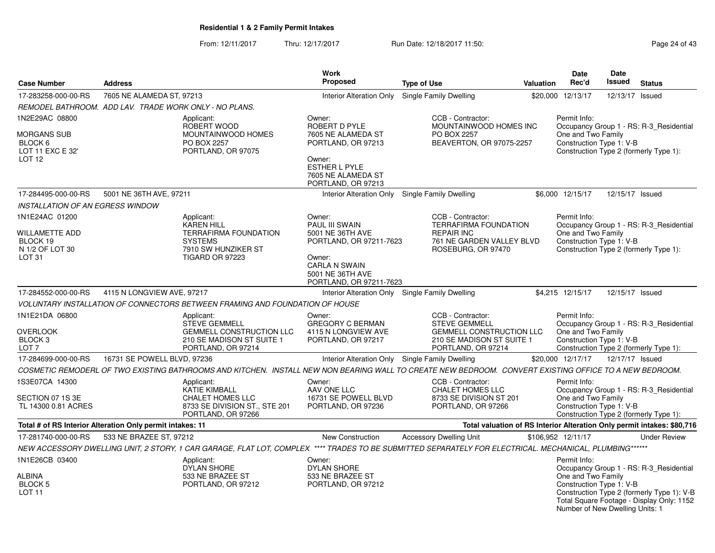From: 12/11/2017Thru: 12/17/2017 **Run Date: 12/18/2017 11:50: Page 24 of 43** 

| <b>Case Number</b>                                              | <b>Address</b>              |                                                                                                                                                           | <b>Work</b><br><b>Proposed</b>                                                | <b>Type of Use</b>                                                          | <b>Valuation</b> | Date<br>Rec'd                                                                     | <b>Date</b><br><b>Issued</b> | <b>Status</b>                                                                           |
|-----------------------------------------------------------------|-----------------------------|-----------------------------------------------------------------------------------------------------------------------------------------------------------|-------------------------------------------------------------------------------|-----------------------------------------------------------------------------|------------------|-----------------------------------------------------------------------------------|------------------------------|-----------------------------------------------------------------------------------------|
| 17-283258-000-00-RS                                             | 7605 NE ALAMEDA ST, 97213   |                                                                                                                                                           | Interior Alteration Only Single Family Dwelling                               |                                                                             |                  | \$20.000 12/13/17                                                                 | 12/13/17                     | Issued                                                                                  |
| REMODEL BATHROOM. ADD LAV. TRADE WORK ONLY - NO PLANS.          |                             |                                                                                                                                                           |                                                                               |                                                                             |                  |                                                                                   |                              |                                                                                         |
| 1N2E29AC 08800                                                  |                             | Applicant:<br>ROBERT WOOD                                                                                                                                 | Owner:<br>ROBERT D PYLE                                                       | CCB - Contractor:<br>MOUNTAINWOOD HOMES INC                                 |                  | Permit Info:                                                                      |                              | Occupancy Group 1 - RS: R-3_Residential                                                 |
| MORGANS SUB<br>BLOCK 6<br>LOT 11 EXC E 32'<br>LOT <sub>12</sub> |                             | MOUNTAINWOOD HOMES<br>PO BOX 2257<br>PORTLAND, OR 97075                                                                                                   | 7605 NE ALAMEDA ST<br>PORTLAND, OR 97213<br>Owner:                            | PO BOX 2257<br>BEAVERTON, OR 97075-2257                                     |                  | One and Two Family<br>Construction Type 1: V-B                                    |                              | Construction Type 2 (formerly Type 1):                                                  |
|                                                                 |                             |                                                                                                                                                           | ESTHER L PYLE<br>7605 NE ALAMEDA ST<br>PORTLAND, OR 97213                     |                                                                             |                  |                                                                                   |                              |                                                                                         |
| 17-284495-000-00-RS                                             | 5001 NE 36TH AVE, 97211     |                                                                                                                                                           | Interior Alteration Only Single Family Dwelling                               |                                                                             |                  | \$6,000 12/15/17                                                                  | 12/15/17 Issued              |                                                                                         |
| <b>INSTALLATION OF AN EGRESS WINDOW</b>                         |                             |                                                                                                                                                           |                                                                               |                                                                             |                  |                                                                                   |                              |                                                                                         |
| 1N1E24AC 01200                                                  |                             | Applicant:<br>KAREN HILL                                                                                                                                  | Owner:<br>PAUL III SWAIN                                                      | CCB - Contractor:<br><b>TERRAFIRMA FOUNDATION</b>                           |                  | Permit Info:                                                                      |                              | Occupancy Group 1 - RS: R-3_Residential                                                 |
| WILLAMETTE ADD<br>BLOCK 19<br>N 1/2 OF LOT 30                   |                             | <b>TERRAFIRMA FOUNDATION</b><br><b>SYSTEMS</b><br>7910 SW HUNZIKER ST                                                                                     | 5001 NE 36TH AVE<br>PORTLAND, OR 97211-7623                                   | <b>REPAIR INC</b><br>761 NE GARDEN VALLEY BLVD<br>ROSEBURG, OR 97470        |                  | One and Two Family<br>Construction Type 1: V-B                                    |                              | Construction Type 2 (formerly Type 1):                                                  |
| LOT <sub>31</sub>                                               |                             | <b>TIGARD OR 97223</b>                                                                                                                                    | Owner:<br><b>CARLA N SWAIN</b><br>5001 NE 36TH AVE<br>PORTLAND, OR 97211-7623 |                                                                             |                  |                                                                                   |                              |                                                                                         |
| 17-284552-000-00-RS                                             | 4115 N LONGVIEW AVE, 97217  |                                                                                                                                                           | Interior Alteration Only Single Family Dwelling                               |                                                                             |                  | \$4.215 12/15/17                                                                  | 12/15/17 Issued              |                                                                                         |
|                                                                 |                             | VOLUNTARY INSTALLATION OF CONNECTORS BETWEEN FRAMING AND FOUNDATION OF HOUSE                                                                              |                                                                               |                                                                             |                  |                                                                                   |                              |                                                                                         |
| 1N1E21DA 06800                                                  |                             | Applicant:<br><b>STEVE GEMMELL</b>                                                                                                                        | Owner:<br><b>GREGORY C BERMAN</b>                                             | CCB - Contractor:<br><b>STEVE GEMMELL</b>                                   |                  | Permit Info:                                                                      |                              | Occupancy Group 1 - RS: R-3 Residential                                                 |
| OVERLOOK<br>BLOCK <sub>3</sub><br>LOT <sub>7</sub>              |                             | <b>GEMMELL CONSTRUCTION LLC</b><br>210 SE MADISON ST SUITE 1<br>PORTLAND, OR 97214                                                                        | 4115 N LONGVIEW AVE<br>PORTLAND, OR 97217                                     | GEMMELL CONSTRUCTION LLC<br>210 SE MADISON ST SUITE 1<br>PORTLAND, OR 97214 |                  | One and Two Family<br>Construction Type 1: V-B                                    |                              | Construction Type 2 (formerly Type 1):                                                  |
| 17-284699-000-00-RS                                             | 16731 SE POWELL BLVD, 97236 |                                                                                                                                                           | Interior Alteration Only Single Family Dwelling                               |                                                                             |                  | \$20,000 12/17/17                                                                 | 12/17/17 Issued              |                                                                                         |
|                                                                 |                             | COSMETIC REMODERL OF TWO EXISTING BATHROOMS AND KITCHEN. INSTALL NEW NON BEARING WALL TO CREATE NEW BEDROOM. CONVERT EXISTING OFFICE TO A NEW BEDROOM.    |                                                                               |                                                                             |                  |                                                                                   |                              |                                                                                         |
| 1S3E07CA 14300                                                  |                             | Applicant:<br>KATIE KIMBALL                                                                                                                               | Owner:<br>AAV ONE LLC                                                         | CCB - Contractor:<br><b>CHALET HOMES LLC</b>                                |                  | Permit Info:                                                                      |                              | Occupancy Group 1 - RS: R-3_Residential                                                 |
| SECTION 07 1S 3E<br>TL 14300 0.81 ACRES                         |                             | CHALET HOMES LLC<br>8733 SE DIVISION ST., STE 201<br>PORTLAND, OR 97266                                                                                   | 16731 SE POWELL BLVD<br>PORTLAND, OR 97236                                    | 8733 SE DIVISION ST 201<br>PORTLAND, OR 97266                               |                  | One and Two Family<br>Construction Type 1: V-B                                    |                              | Construction Type 2 (formerly Type 1):                                                  |
| Total # of RS Interior Alteration Only permit intakes: 11       |                             |                                                                                                                                                           |                                                                               |                                                                             |                  |                                                                                   |                              | Total valuation of RS Interior Alteration Only permit intakes: \$80,716                 |
| 17-281740-000-00-RS                                             | 533 NE BRAZEE ST, 97212     |                                                                                                                                                           | New Construction                                                              | <b>Accessory Dwelling Unit</b>                                              |                  | \$106,952 12/11/17                                                                |                              | <b>Under Review</b>                                                                     |
|                                                                 |                             | NEW ACCESSORY DWELLING UNIT, 2 STORY, 1 CAR GARAGE, FLAT LOT, COMPLEX **** TRADES TO BE SUBMITTED SEPARATELY FOR ELECTRICAL. MECHANICAL, PLUMBING ******* |                                                                               |                                                                             |                  |                                                                                   |                              |                                                                                         |
| 1N1E26CB 03400                                                  |                             | Applicant:<br><b>DYLAN SHORE</b>                                                                                                                          | Owner:<br><b>DYLAN SHORE</b>                                                  |                                                                             |                  | Permit Info:                                                                      |                              | Occupancy Group 1 - RS: R-3_Residential                                                 |
| <b>ALBINA</b><br><b>BLOCK 5</b><br><b>LOT 11</b>                |                             | 533 NE BRAZEE ST<br>PORTLAND, OR 97212                                                                                                                    | 533 NE BRAZEE ST<br>PORTLAND, OR 97212                                        |                                                                             |                  | One and Two Family<br>Construction Type 1: V-B<br>Number of New Dwelling Units: 1 |                              | Construction Type 2 (formerly Type 1): V-B<br>Total Square Footage - Display Only: 1152 |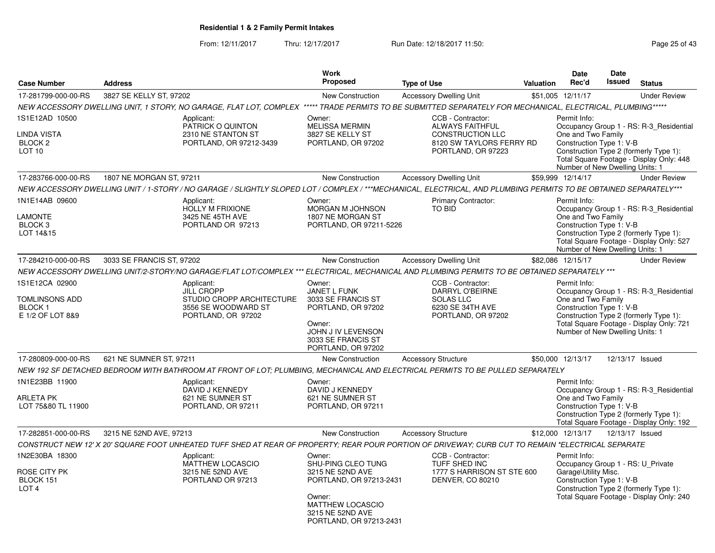From: 12/11/2017Thru: 12/17/2017 **Run Date: 12/18/2017 11:50: Page 25 of 43** 

|                                                                              |                                                                                                                                                                  | Work                                                                                                                                                            |                                                                                                                          |                  | <b>Date</b>                                                                                           | <b>Date</b>     |                                                                                                                               |
|------------------------------------------------------------------------------|------------------------------------------------------------------------------------------------------------------------------------------------------------------|-----------------------------------------------------------------------------------------------------------------------------------------------------------------|--------------------------------------------------------------------------------------------------------------------------|------------------|-------------------------------------------------------------------------------------------------------|-----------------|-------------------------------------------------------------------------------------------------------------------------------|
| <b>Case Number</b>                                                           | <b>Address</b>                                                                                                                                                   | Proposed                                                                                                                                                        | <b>Type of Use</b>                                                                                                       | <b>Valuation</b> | Rec'd                                                                                                 | <b>Issued</b>   | <b>Status</b>                                                                                                                 |
| 17-281799-000-00-RS                                                          | 3827 SE KELLY ST, 97202                                                                                                                                          | <b>New Construction</b>                                                                                                                                         | <b>Accessory Dwelling Unit</b>                                                                                           |                  | \$51,005 12/11/17                                                                                     |                 | <b>Under Review</b>                                                                                                           |
|                                                                              | NEW ACCESSORY DWELLING UNIT, 1 STORY, NO GARAGE, FLAT LOT, COMPLEX ***** TRADE PERMITS TO BE SUBMITTED SEPARATELY FOR MECHANICAL, ELECTRICAL, PLUMBING*****      |                                                                                                                                                                 |                                                                                                                          |                  |                                                                                                       |                 |                                                                                                                               |
| 1S1E12AD 10500<br>LINDA VISTA<br>BLOCK <sub>2</sub><br>LOT <sub>10</sub>     | Applicant:<br>PATRICK O QUINTON<br>2310 NE STANTON ST<br>PORTLAND, OR 97212-3439                                                                                 | Owner:<br><b>MELISSA MERMIN</b><br>3827 SE KELLY ST<br>PORTLAND, OR 97202                                                                                       | CCB - Contractor:<br><b>ALWAYS FAITHFUL</b><br><b>CONSTRUCTION LLC</b><br>8120 SW TAYLORS FERRY RD<br>PORTLAND, OR 97223 |                  | Permit Info:<br>One and Two Family<br>Construction Type 1: V-B<br>Number of New Dwelling Units: 1     |                 | Occupancy Group 1 - RS: R-3_Residential<br>Construction Type 2 (formerly Type 1):<br>Total Square Footage - Display Only: 448 |
| 17-283766-000-00-RS                                                          | 1807 NE MORGAN ST, 97211                                                                                                                                         | <b>New Construction</b>                                                                                                                                         | <b>Accessory Dwelling Unit</b>                                                                                           |                  | \$59,999 12/14/17                                                                                     |                 | <b>Under Review</b>                                                                                                           |
|                                                                              | NEW ACCESSORY DWELLING UNIT / 1-STORY / NO GARAGE / SLIGHTLY SLOPED LOT / COMPLEX / ***MECHANICAL, ELECTRICAL, AND PLUMBING PERMITS TO BE OBTAINED SEPARATELY*** |                                                                                                                                                                 |                                                                                                                          |                  |                                                                                                       |                 |                                                                                                                               |
| 1N1E14AB 09600<br><b>LAMONTE</b><br>BLOCK <sub>3</sub><br>LOT 14&15          | Applicant:<br><b>HOLLY M FRIXIONE</b><br>3425 NE 45TH AVE<br>PORTLAND OR 97213                                                                                   | Owner:<br><b>MORGAN M JOHNSON</b><br>1807 NE MORGAN ST<br>PORTLAND, OR 97211-5226                                                                               | Primary Contractor:<br>TO BID                                                                                            |                  | Permit Info:<br>One and Two Family<br>Construction Type 1: V-B<br>Number of New Dwelling Units: 1     |                 | Occupancy Group 1 - RS: R-3 Residential<br>Construction Type 2 (formerly Type 1):<br>Total Square Footage - Display Only: 527 |
| 17-284210-000-00-RS                                                          | 3033 SE FRANCIS ST, 97202                                                                                                                                        | <b>New Construction</b>                                                                                                                                         | <b>Accessory Dwelling Unit</b>                                                                                           |                  | \$82,086 12/15/17                                                                                     |                 | <b>Under Review</b>                                                                                                           |
|                                                                              | NEW ACCESSORY DWELLING UNIT/2-STORY/NO GARAGE/FLAT LOT/COMPLEX *** ELECTRICAL, MECHANICAL AND PLUMBING PERMITS TO BE OBTAINED SEPARATELY ***                     |                                                                                                                                                                 |                                                                                                                          |                  |                                                                                                       |                 |                                                                                                                               |
| 1S1E12CA 02900<br><b>TOMLINSONS ADD</b><br><b>BLOCK1</b><br>E 1/2 OF LOT 8&9 | Applicant:<br><b>JILL CROPP</b><br>STUDIO CROPP ARCHITECTURE<br>3556 SE WOODWARD ST<br>PORTLAND, OR 97202                                                        | Owner:<br><b>JANET L FUNK</b><br>3033 SE FRANCIS ST<br>PORTLAND, OR 97202<br>Owner:<br>JOHN J IV LEVENSON<br>3033 SE FRANCIS ST<br>PORTLAND, OR 97202           | CCB - Contractor:<br>DARRYL O'BEIRNE<br><b>SOLAS LLC</b><br>6230 SE 34TH AVE<br>PORTLAND, OR 97202                       |                  | Permit Info:<br>One and Two Family<br>Construction Type 1: V-B<br>Number of New Dwelling Units: 1     |                 | Occupancy Group 1 - RS: R-3_Residential<br>Construction Type 2 (formerly Type 1):<br>Total Square Footage - Display Only: 721 |
| 17-280809-000-00-RS                                                          | 621 NE SUMNER ST, 97211                                                                                                                                          | <b>New Construction</b>                                                                                                                                         | <b>Accessory Structure</b>                                                                                               |                  | \$50,000 12/13/17                                                                                     | 12/13/17 Issued |                                                                                                                               |
|                                                                              | NEW 192 SF DETACHED BEDROOM WITH BATHROOM AT FRONT OF LOT: PLUMBING. MECHANICAL AND ELECTRICAL PERMITS TO BE PULLED SEPARATELY                                   |                                                                                                                                                                 |                                                                                                                          |                  |                                                                                                       |                 |                                                                                                                               |
| 1N1E23BB 11900<br>ARLETA PK<br>LOT 75&80 TL 11900                            | Applicant:<br>DAVID J KENNEDY<br>621 NE SUMNER ST<br>PORTLAND, OR 97211                                                                                          | Owner:<br>DAVID J KENNEDY<br>621 NE SUMNER ST<br>PORTLAND, OR 97211                                                                                             |                                                                                                                          |                  | Permit Info:<br>One and Two Family<br>Construction Type 1: V-B                                        |                 | Occupancy Group 1 - RS: R-3 Residential<br>Construction Type 2 (formerly Type 1):<br>Total Square Footage - Display Only: 192 |
| 17-282851-000-00-RS                                                          | 3215 NE 52ND AVE, 97213                                                                                                                                          | <b>New Construction</b>                                                                                                                                         | <b>Accessory Structure</b>                                                                                               |                  | \$12,000 12/13/17                                                                                     | 12/13/17 Issued |                                                                                                                               |
|                                                                              | CONSTRUCT NEW 12' X 20' SQUARE FOOT UNHEATED TUFF SHED AT REAR OF PROPERTY; REAR POUR PORTION OF DRIVEWAY; CURB CUT TO REMAIN *ELECTRICAL SEPARATE               |                                                                                                                                                                 |                                                                                                                          |                  |                                                                                                       |                 |                                                                                                                               |
| 1N2E30BA 18300<br>ROSE CITY PK<br>BLOCK 151<br>LOT <sub>4</sub>              | Applicant:<br><b>MATTHEW LOCASCIO</b><br>3215 NE 52ND AVE<br>PORTLAND OR 97213                                                                                   | Owner:<br>SHU-PING CLEO TUNG<br>3215 NE 52ND AVE<br>PORTLAND, OR 97213-2431<br>Owner:<br><b>MATTHEW LOCASCIO</b><br>3215 NE 52ND AVE<br>PORTLAND, OR 97213-2431 | CCB - Contractor:<br>TUFF SHED INC<br>1777 S HARRISON ST STE 600<br>DENVER, CO 80210                                     |                  | Permit Info:<br>Occupancy Group 1 - RS: U_Private<br>Garage\Utility Misc.<br>Construction Type 1: V-B |                 | Construction Type 2 (formerly Type 1):<br>Total Square Footage - Display Only: 240                                            |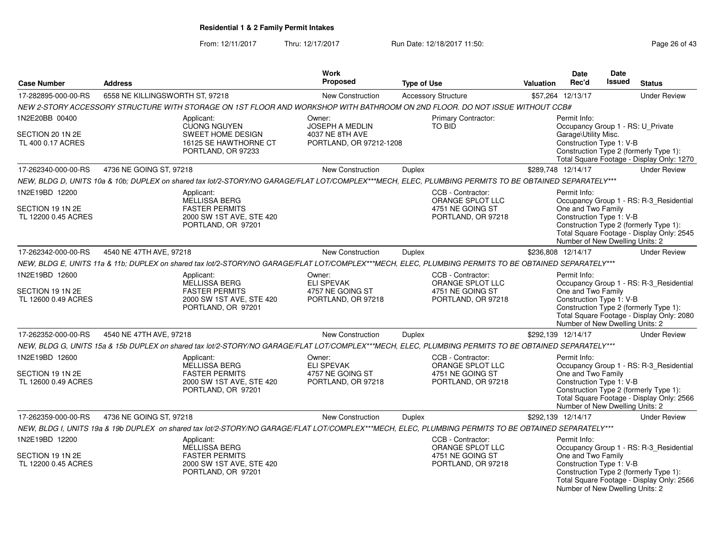From: 12/11/2017Thru: 12/17/2017 **Run Date: 12/18/2017 11:50: Page 26 of 43** 

| <b>Case Number</b>                                        | <b>Address</b>                                                                                                                                        | Work<br><b>Proposed</b>                                               | <b>Type of Use</b>                                                              | Date<br><b>Date</b><br><b>Issued</b><br>Rec'd<br><b>Status</b><br><b>Valuation</b>                                                                                                                                                  |
|-----------------------------------------------------------|-------------------------------------------------------------------------------------------------------------------------------------------------------|-----------------------------------------------------------------------|---------------------------------------------------------------------------------|-------------------------------------------------------------------------------------------------------------------------------------------------------------------------------------------------------------------------------------|
| 17-282895-000-00-RS                                       | 6558 NE KILLINGSWORTH ST, 97218                                                                                                                       | New Construction                                                      | <b>Accessory Structure</b>                                                      | \$57,264 12/13/17<br><b>Under Review</b>                                                                                                                                                                                            |
|                                                           | NEW 2-STORY ACCESSORY STRUCTURE WITH STORAGE ON 1ST FLOOR AND WORKSHOP WITH BATHROOM ON 2ND FLOOR. DO NOT ISSUE WITHOUT CCB#                          |                                                                       |                                                                                 |                                                                                                                                                                                                                                     |
| 1N2E20BB 00400                                            | Applicant:<br><b>CUONG NGUYEN</b>                                                                                                                     | Owner:<br><b>JOSEPH A MEDLIN</b>                                      | Primary Contractor:<br>TO BID                                                   | Permit Info:                                                                                                                                                                                                                        |
| SECTION 20 1N 2E<br>TL 400 0.17 ACRES                     | SWEET HOME DESIGN<br>16125 SE HAWTHORNE CT<br>PORTLAND, OR 97233                                                                                      | 4037 NE 8TH AVE<br>PORTLAND, OR 97212-1208                            |                                                                                 | Occupancy Group 1 - RS: U_Private<br>Garage\Utility Misc.<br>Construction Type 1: V-B<br>Construction Type 2 (formerly Type 1):<br>Total Square Footage - Display Only: 1270                                                        |
| 17-262340-000-00-RS                                       | 4736 NE GOING ST, 97218                                                                                                                               | New Construction                                                      | Duplex                                                                          | \$289,748 12/14/17<br><b>Under Review</b>                                                                                                                                                                                           |
|                                                           | NEW, BLDG D, UNITS 10a & 10b; DUPLEX on shared tax lot/2-STORY/NO GARAGE/FLAT LOT/COMPLEX***MECH, ELEC, PLUMBING PERMITS TO BE OBTAINED SEPARATELY*** |                                                                       |                                                                                 |                                                                                                                                                                                                                                     |
| 1N2E19BD 12200                                            | Applicant:<br>MELLISSA BERG                                                                                                                           |                                                                       | CCB - Contractor:<br>ORANGE SPLOT LLC                                           | Permit Info:<br>Occupancy Group 1 - RS: R-3_Residential                                                                                                                                                                             |
| SECTION 19 1N 2E<br>TL 12200 0.45 ACRES                   | <b>FASTER PERMITS</b><br>2000 SW 1ST AVE, STE 420<br>PORTLAND, OR 97201                                                                               |                                                                       | 4751 NE GOING ST<br>PORTLAND, OR 97218                                          | One and Two Family<br>Construction Type 1: V-B<br>Construction Type 2 (formerly Type 1):<br>Total Square Footage - Display Only: 2545<br>Number of New Dwelling Units: 2                                                            |
| 17-262342-000-00-RS                                       | 4540 NE 47TH AVE, 97218                                                                                                                               | <b>New Construction</b>                                               | Duplex                                                                          | \$236,808 12/14/17<br><b>Under Review</b>                                                                                                                                                                                           |
|                                                           | NEW, BLDG E, UNITS 11a & 11b; DUPLEX on shared tax lot/2-STORY/NO GARAGE/FLAT LOT/COMPLEX***MECH, ELEC, PLUMBING PERMITS TO BE OBTAINED SEPARATELY*** |                                                                       |                                                                                 |                                                                                                                                                                                                                                     |
| 1N2E19BD 12600<br>SECTION 19 1N 2E<br>TL 12600 0.49 ACRES | Applicant:<br><b>MELLISSA BERG</b><br><b>FASTER PERMITS</b><br>2000 SW 1ST AVE, STE 420<br>PORTLAND, OR 97201                                         | Owner:<br><b>ELI SPEVAK</b><br>4757 NE GOING ST<br>PORTLAND, OR 97218 | CCB - Contractor:<br>ORANGE SPLOT LLC<br>4751 NE GOING ST<br>PORTLAND, OR 97218 | Permit Info:<br>Occupancy Group 1 - RS: R-3_Residential<br>One and Two Family<br>Construction Type 1: V-B<br>Construction Type 2 (formerly Type 1):<br>Total Square Footage - Display Only: 2080<br>Number of New Dwelling Units: 2 |
| 17-262352-000-00-RS                                       | 4540 NE 47TH AVE, 97218                                                                                                                               | New Construction                                                      | Duplex                                                                          | \$292,139 12/14/17<br><b>Under Review</b>                                                                                                                                                                                           |
|                                                           | NEW, BLDG G, UNITS 15a & 15b DUPLEX on shared tax lot/2-STORY/NO GARAGE/FLAT LOT/COMPLEX***MECH, ELEC, PLUMBING PERMITS TO BE OBTAINED SEPARATELY***  |                                                                       |                                                                                 |                                                                                                                                                                                                                                     |
| 1N2E19BD 12600<br>SECTION 19 1N 2E<br>TL 12600 0.49 ACRES | Applicant:<br>MELLISSA BERG<br><b>FASTER PERMITS</b><br>2000 SW 1ST AVE, STE 420<br>PORTLAND, OR 97201                                                | Owner:<br><b>ELI SPEVAK</b><br>4757 NE GOING ST<br>PORTLAND, OR 97218 | CCB - Contractor:<br>ORANGE SPLOT LLC<br>4751 NE GOING ST<br>PORTLAND, OR 97218 | Permit Info:<br>Occupancy Group 1 - RS: R-3_Residential<br>One and Two Family<br>Construction Type 1: V-B<br>Construction Type 2 (formerly Type 1):<br>Total Square Footage - Display Only: 2566<br>Number of New Dwelling Units: 2 |
| 17-262359-000-00-RS                                       | 4736 NE GOING ST, 97218                                                                                                                               | New Construction                                                      | Duplex                                                                          | \$292,139 12/14/17<br><b>Under Review</b>                                                                                                                                                                                           |
|                                                           | NEW, BLDG I, UNITS 19a & 19b DUPLEX on shared tax lot/2-STORY/NO GARAGE/FLAT LOT/COMPLEX***MECH, ELEC, PLUMBING PERMITS TO BE OBTAINED SEPARATELY***  |                                                                       |                                                                                 |                                                                                                                                                                                                                                     |
| 1N2E19BD 12200                                            | Applicant:<br>MELLISSA BERG                                                                                                                           |                                                                       | CCB - Contractor:<br>ORANGE SPLOT LLC                                           | Permit Info:<br>Occupancy Group 1 - RS: R-3_Residential                                                                                                                                                                             |
| SECTION 19 1N 2E<br>TL 12200 0.45 ACRES                   | <b>FASTER PERMITS</b><br>2000 SW 1ST AVE, STE 420<br>PORTLAND, OR 97201                                                                               |                                                                       | 4751 NE GOING ST<br>PORTLAND, OR 97218                                          | One and Two Family<br>Construction Type 1: V-B<br>Construction Type 2 (formerly Type 1):<br>Total Square Footage - Display Only: 2566<br>Number of New Dwelling Units: 2                                                            |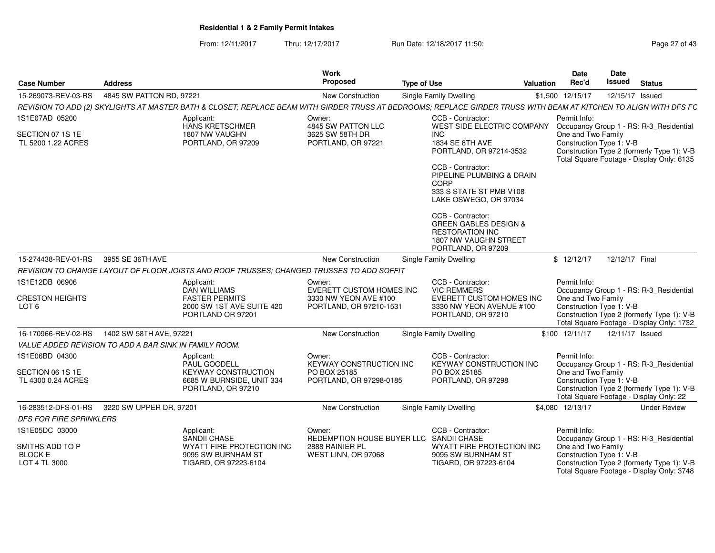From: 12/11/2017Thru: 12/17/2017 **Run Date: 12/18/2017 11:50: Page 27 of 43** 

| <b>Case Number</b>                                     | <b>Address</b>           |                                                                                                                                                                   | Work<br>Proposed                                                                       | <b>Type of Use</b> |                                                                                                                                | <b>Valuation</b> | <b>Date</b><br>Rec'd                                           | Date<br>Issued  | <b>Status</b>                                                                                                                      |
|--------------------------------------------------------|--------------------------|-------------------------------------------------------------------------------------------------------------------------------------------------------------------|----------------------------------------------------------------------------------------|--------------------|--------------------------------------------------------------------------------------------------------------------------------|------------------|----------------------------------------------------------------|-----------------|------------------------------------------------------------------------------------------------------------------------------------|
| 15-269073-REV-03-RS                                    | 4845 SW PATTON RD, 97221 |                                                                                                                                                                   | New Construction                                                                       |                    | <b>Single Family Dwelling</b>                                                                                                  |                  | \$1,500 12/15/17                                               | 12/15/17 Issued |                                                                                                                                    |
|                                                        |                          | REVISION TO ADD (2) SKYLIGHTS AT MASTER BATH & CLOSET; REPLACE BEAM WITH GIRDER TRUSS AT BEDROOMS; REPLACE GIRDER TRUSS WITH BEAM AT KITCHEN TO ALIGN WITH DFS FC |                                                                                        |                    |                                                                                                                                |                  |                                                                |                 |                                                                                                                                    |
| 1S1E07AD 05200                                         |                          | Applicant:<br>HANS KRETSCHMER                                                                                                                                     | Owner:<br>4845 SW PATTON LLC                                                           |                    | CCB - Contractor:<br>WEST SIDE ELECTRIC COMPANY                                                                                |                  | Permit Info:                                                   |                 | Occupancy Group 1 - RS: R-3_Residential                                                                                            |
| SECTION 07 1S 1E<br>TL 5200 1.22 ACRES                 |                          | 1807 NW VAUGHN<br>PORTLAND, OR 97209                                                                                                                              | 3625 SW 58TH DR<br>PORTLAND, OR 97221                                                  |                    | <b>INC</b><br>1834 SE 8TH AVE<br>PORTLAND, OR 97214-3532                                                                       |                  | One and Two Family<br>Construction Type 1: V-B                 |                 | Construction Type 2 (formerly Type 1): V-B<br>Total Square Footage - Display Only: 6135                                            |
|                                                        |                          |                                                                                                                                                                   |                                                                                        |                    | CCB - Contractor:<br>PIPELINE PLUMBING & DRAIN<br><b>CORP</b><br>333 S STATE ST PMB V108<br>LAKE OSWEGO, OR 97034              |                  |                                                                |                 |                                                                                                                                    |
|                                                        |                          |                                                                                                                                                                   |                                                                                        |                    | CCB - Contractor:<br><b>GREEN GABLES DESIGN &amp;</b><br><b>RESTORATION INC</b><br>1807 NW VAUGHN STREET<br>PORTLAND, OR 97209 |                  |                                                                |                 |                                                                                                                                    |
| 15-274438-REV-01-RS                                    | 3955 SE 36TH AVE         |                                                                                                                                                                   | New Construction                                                                       |                    | Single Family Dwelling                                                                                                         |                  | \$12/12/17                                                     | 12/12/17 Final  |                                                                                                                                    |
|                                                        |                          | REVISION TO CHANGE LAYOUT OF FLOOR JOISTS AND ROOF TRUSSES; CHANGED TRUSSES TO ADD SOFFIT                                                                         |                                                                                        |                    |                                                                                                                                |                  |                                                                |                 |                                                                                                                                    |
| 1S1E12DB 06906<br><b>CRESTON HEIGHTS</b><br>LOT 6      |                          | Applicant:<br><b>DAN WILLIAMS</b><br><b>FASTER PERMITS</b><br>2000 SW 1ST AVE SUITE 420<br>PORTLAND OR 97201                                                      | Owner:<br>EVERETT CUSTOM HOMES INC<br>3330 NW YEON AVE #100<br>PORTLAND, OR 97210-1531 |                    | CCB - Contractor:<br><b>VIC REMMERS</b><br>EVERETT CUSTOM HOMES INC<br>3330 NW YEON AVENUE #100<br>PORTLAND, OR 97210          |                  | Permit Info:<br>One and Two Family<br>Construction Type 1: V-B |                 | Occupancy Group 1 - RS: R-3_Residential<br>Construction Type 2 (formerly Type 1): V-B<br>Total Square Footage - Display Only: 1732 |
| 16-170966-REV-02-RS                                    | 1402 SW 58TH AVE, 97221  |                                                                                                                                                                   | New Construction                                                                       |                    | Single Family Dwelling                                                                                                         |                  | \$100 12/11/17                                                 | 12/11/17 Issued |                                                                                                                                    |
| VALUE ADDED REVISION TO ADD A BAR SINK IN FAMILY ROOM. |                          |                                                                                                                                                                   |                                                                                        |                    |                                                                                                                                |                  |                                                                |                 |                                                                                                                                    |
| 1S1E06BD 04300                                         |                          | Applicant:<br>PAUL GOODELL                                                                                                                                        | Owner:<br>KEYWAY CONSTRUCTION INC                                                      |                    | CCB - Contractor:<br><b>KEYWAY CONSTRUCTION INC</b>                                                                            |                  | Permit Info:                                                   |                 | Occupancy Group 1 - RS: R-3_Residential                                                                                            |
| SECTION 06 1S 1E<br>TL 4300 0.24 ACRES                 |                          | <b>KEYWAY CONSTRUCTION</b><br>6685 W BURNSIDE, UNIT 334<br>PORTLAND, OR 97210                                                                                     | PO BOX 25185<br>PORTLAND, OR 97298-0185                                                |                    | PO BOX 25185<br>PORTLAND, OR 97298                                                                                             |                  | One and Two Family<br>Construction Type 1: V-B                 |                 | Construction Type 2 (formerly Type 1): V-B<br>Total Square Footage - Display Only: 22                                              |
| 16-283512-DFS-01-RS                                    | 3220 SW UPPER DR, 97201  |                                                                                                                                                                   | New Construction                                                                       |                    | Single Family Dwelling                                                                                                         |                  | \$4,080 12/13/17                                               |                 | <b>Under Review</b>                                                                                                                |
| <b>DFS FOR FIRE SPRINKLERS</b>                         |                          |                                                                                                                                                                   |                                                                                        |                    |                                                                                                                                |                  |                                                                |                 |                                                                                                                                    |
| 1S1E05DC 03000                                         |                          | Applicant:<br>SANDII CHASE                                                                                                                                        | Owner:<br>REDEMPTION HOUSE BUYER LLC SANDII CHASE                                      |                    | CCB - Contractor:                                                                                                              |                  | Permit Info:                                                   |                 | Occupancy Group 1 - RS: R-3_Residential                                                                                            |
| SMITHS ADD TO P<br><b>BLOCK E</b><br>LOT 4 TL 3000     |                          | WYATT FIRE PROTECTION INC<br>9095 SW BURNHAM ST<br>TIGARD, OR 97223-6104                                                                                          | 2888 RAINIER PL<br>WEST LINN, OR 97068                                                 |                    | WYATT FIRE PROTECTION INC<br>9095 SW BURNHAM ST<br>TIGARD, OR 97223-6104                                                       |                  | One and Two Family<br>Construction Type 1: V-B                 |                 | Construction Type 2 (formerly Type 1): V-B<br>Total Square Footage - Display Only: 3748                                            |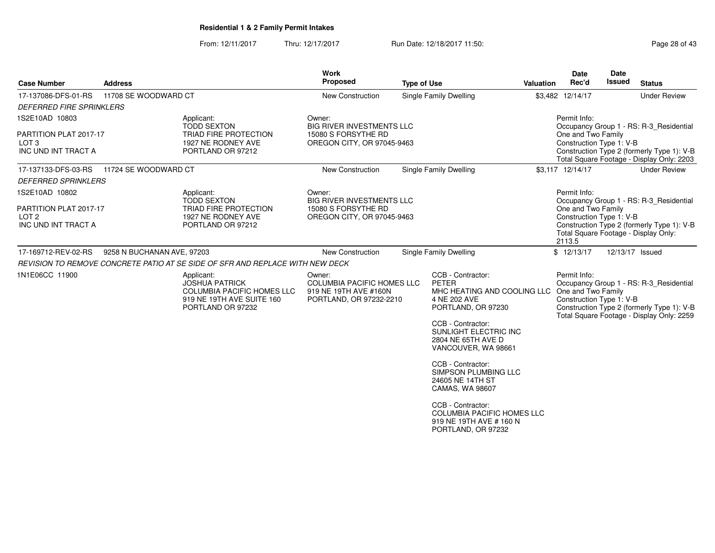From: 12/11/2017Thru: 12/17/2017 **Run Date: 12/18/2017 11:50: Page 28 of 43** 

| <b>Case Number</b>                                                                  | <b>Address</b>             |                                                                                                                            | Work<br>Proposed                                                                                | <b>Type of Use</b> |                                                                                                                                                                                            | <b>Valuation</b> | Date<br>Rec'd                                                                                                    | Date<br><b>Issued</b> | <b>Status</b>                                                                                                                      |
|-------------------------------------------------------------------------------------|----------------------------|----------------------------------------------------------------------------------------------------------------------------|-------------------------------------------------------------------------------------------------|--------------------|--------------------------------------------------------------------------------------------------------------------------------------------------------------------------------------------|------------------|------------------------------------------------------------------------------------------------------------------|-----------------------|------------------------------------------------------------------------------------------------------------------------------------|
| 17-137086-DFS-01-RS                                                                 | 11708 SE WOODWARD CT       |                                                                                                                            | New Construction                                                                                |                    | Single Family Dwelling                                                                                                                                                                     |                  | \$3,482 12/14/17                                                                                                 |                       | <b>Under Review</b>                                                                                                                |
| <b>DEFERRED FIRE SPRINKLERS</b>                                                     |                            |                                                                                                                            |                                                                                                 |                    |                                                                                                                                                                                            |                  |                                                                                                                  |                       |                                                                                                                                    |
| 1S2E10AD 10803<br>PARTITION PLAT 2017-17<br>LOT <sub>3</sub><br>INC UND INT TRACT A |                            | Applicant:<br><b>TODD SEXTON</b><br>TRIAD FIRE PROTECTION<br>1927 NE RODNEY AVE<br>PORTLAND OR 97212                       | Owner:<br><b>BIG RIVER INVESTMENTS LLC</b><br>15080 S FORSYTHE RD<br>OREGON CITY, OR 97045-9463 |                    |                                                                                                                                                                                            |                  | Permit Info:<br>One and Two Family<br>Construction Type 1: V-B                                                   |                       | Occupancy Group 1 - RS: R-3_Residential<br>Construction Type 2 (formerly Type 1): V-B<br>Total Square Footage - Display Only: 2203 |
| 17-137133-DFS-03-RS<br><b>DEFERRED SPRINKLERS</b>                                   | 11724 SE WOODWARD CT       |                                                                                                                            | <b>New Construction</b>                                                                         |                    | <b>Single Family Dwelling</b>                                                                                                                                                              |                  | \$3,117 12/14/17                                                                                                 |                       | <b>Under Review</b>                                                                                                                |
| 1S2E10AD 10802<br>PARTITION PLAT 2017-17<br>LOT 2<br>INC UND INT TRACT A            |                            | Applicant:<br><b>TODD SEXTON</b><br>TRIAD FIRE PROTECTION<br>1927 NE RODNEY AVE<br>PORTLAND OR 97212                       | Owner:<br><b>BIG RIVER INVESTMENTS LLC</b><br>15080 S FORSYTHE RD<br>OREGON CITY, OR 97045-9463 |                    |                                                                                                                                                                                            |                  | Permit Info:<br>One and Two Family<br>Construction Type 1: V-B<br>Total Square Footage - Display Only:<br>2113.5 |                       | Occupancy Group 1 - RS: R-3_Residential<br>Construction Type 2 (formerly Type 1): V-B                                              |
| 17-169712-REV-02-RS                                                                 | 9258 N BUCHANAN AVE, 97203 |                                                                                                                            | New Construction                                                                                |                    | Single Family Dwelling                                                                                                                                                                     |                  | \$12/13/17                                                                                                       | 12/13/17 Issued       |                                                                                                                                    |
|                                                                                     |                            | REVISION TO REMOVE CONCRETE PATIO AT SE SIDE OF SFR AND REPLACE WITH NEW DECK                                              |                                                                                                 |                    |                                                                                                                                                                                            |                  |                                                                                                                  |                       |                                                                                                                                    |
| 1N1E06CC 11900                                                                      |                            | Applicant:<br><b>JOSHUA PATRICK</b><br><b>COLUMBIA PACIFIC HOMES LLC</b><br>919 NE 19TH AVE SUITE 160<br>PORTLAND OR 97232 | Owner:<br><b>COLUMBIA PACIFIC HOMES LLC</b><br>919 NE 19TH AVE #160N<br>PORTLAND, OR 97232-2210 |                    | CCB - Contractor:<br>PETER<br>MHC HEATING AND COOLING LLC<br>4 NE 202 AVE<br>PORTLAND, OR 97230<br>CCB - Contractor:<br>SUNLIGHT ELECTRIC INC<br>2804 NE 65TH AVE D<br>VANCOUVER, WA 98661 |                  | Permit Info:<br>One and Two Family<br>Construction Type 1: V-B                                                   |                       | Occupancy Group 1 - RS: R-3_Residential<br>Construction Type 2 (formerly Type 1): V-B<br>Total Square Footage - Display Only: 2259 |
|                                                                                     |                            |                                                                                                                            |                                                                                                 |                    | CCB - Contractor:<br>SIMPSON PLUMBING LLC<br>24605 NE 14TH ST<br>CAMAS, WA 98607                                                                                                           |                  |                                                                                                                  |                       |                                                                                                                                    |
|                                                                                     |                            |                                                                                                                            |                                                                                                 |                    | CCB - Contractor:<br><b>COLUMBIA PACIFIC HOMES LLC</b><br>919 NE 19TH AVE # 160 N<br>PORTLAND, OR 97232                                                                                    |                  |                                                                                                                  |                       |                                                                                                                                    |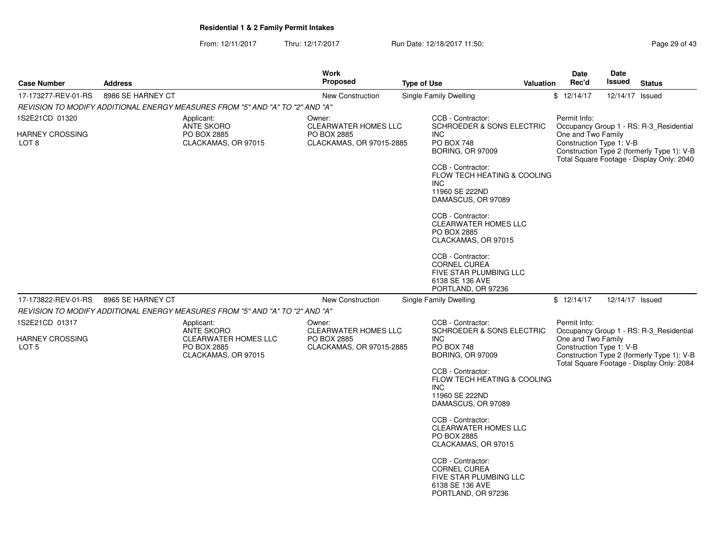From: 12/11/2017Thru: 12/17/2017 Run Date: 12/18/2017 11:50:

| Page 29 of 43 |  |
|---------------|--|
|---------------|--|

|                          |                                                                                                    |                                                    | <b>Work</b>                                                            |                               |                                                                                                             |           | <b>Date</b>                                    | Date            |                                                                                                                                    |
|--------------------------|----------------------------------------------------------------------------------------------------|----------------------------------------------------|------------------------------------------------------------------------|-------------------------------|-------------------------------------------------------------------------------------------------------------|-----------|------------------------------------------------|-----------------|------------------------------------------------------------------------------------------------------------------------------------|
| <b>Case Number</b>       | <b>Address</b>                                                                                     |                                                    | <b>Proposed</b>                                                        | <b>Type of Use</b>            |                                                                                                             | Valuation | Rec'd                                          | Issued          | <b>Status</b>                                                                                                                      |
| 17-173277-REV-01-RS      | 8986 SE HARNEY CT                                                                                  |                                                    | <b>New Construction</b>                                                | <b>Single Family Dwelling</b> |                                                                                                             |           | \$12/14/17                                     | 12/14/17 Issued |                                                                                                                                    |
|                          | REVISION TO MODIFY ADDITIONAL ENERGY MEASURES FROM "5" AND "A" TO "2" AND "A"                      |                                                    |                                                                        |                               |                                                                                                             |           |                                                |                 |                                                                                                                                    |
| 1S2E21CD 01320           | Applicant:                                                                                         |                                                    | Owner:                                                                 |                               | CCB - Contractor:                                                                                           |           | Permit Info:                                   |                 |                                                                                                                                    |
| HARNEY CROSSING<br>LOT 8 | <b>ANTE SKORO</b><br>PO BOX 2885                                                                   | CLACKAMAS, OR 97015                                | <b>CLEARWATER HOMES LLC</b><br>PO BOX 2885<br>CLACKAMAS, OR 97015-2885 | <b>INC</b>                    | <b>SCHROEDER &amp; SONS ELECTRIC</b><br><b>PO BOX 748</b><br><b>BORING, OR 97009</b>                        |           | One and Two Family<br>Construction Type 1: V-B |                 | Occupancy Group 1 - RS: R-3 Residential<br>Construction Type 2 (formerly Type 1): V-B<br>Total Square Footage - Display Only: 2040 |
|                          |                                                                                                    |                                                    |                                                                        | <b>INC</b>                    | CCB - Contractor:<br>FLOW TECH HEATING & COOLING<br>11960 SE 222ND<br>DAMASCUS, OR 97089                    |           |                                                |                 |                                                                                                                                    |
|                          |                                                                                                    |                                                    |                                                                        |                               | CCB - Contractor:<br><b>CLEARWATER HOMES LLC</b><br>PO BOX 2885<br>CLACKAMAS, OR 97015                      |           |                                                |                 |                                                                                                                                    |
|                          |                                                                                                    |                                                    |                                                                        |                               | CCB - Contractor:<br><b>CORNEL CUREA</b><br>FIVE STAR PLUMBING LLC<br>6138 SE 136 AVE<br>PORTLAND, OR 97236 |           |                                                |                 |                                                                                                                                    |
| 17-173822-REV-01-RS      | 8965 SE HARNEY CT<br>REVISION TO MODIFY ADDITIONAL ENERGY MEASURES FROM "5" AND "A" TO "2" AND "A" |                                                    | <b>New Construction</b>                                                | <b>Single Family Dwelling</b> |                                                                                                             |           | \$12/14/17                                     | 12/14/17 Issued |                                                                                                                                    |
| 1S2E21CD 01317           | Applicant:                                                                                         |                                                    | Owner:                                                                 |                               | CCB - Contractor:                                                                                           |           | Permit Info:                                   |                 |                                                                                                                                    |
| HARNEY CROSSING<br>LOT 5 | <b>ANTE SKORO</b><br>PO BOX 2885                                                                   | <b>CLEARWATER HOMES LLC</b><br>CLACKAMAS, OR 97015 | <b>CLEARWATER HOMES LLC</b><br>PO BOX 2885<br>CLACKAMAS, OR 97015-2885 | <b>INC</b>                    | <b>SCHROEDER &amp; SONS ELECTRIC</b><br><b>PO BOX 748</b><br><b>BORING, OR 97009</b>                        |           | One and Two Family<br>Construction Type 1: V-B |                 | Occupancy Group 1 - RS: R-3_Residential<br>Construction Type 2 (formerly Type 1): V-B<br>Total Square Footage - Display Only: 2084 |
|                          |                                                                                                    |                                                    |                                                                        | <b>INC</b>                    | CCB - Contractor:<br>FLOW TECH HEATING & COOLING<br>11960 SE 222ND<br>DAMASCUS, OR 97089                    |           |                                                |                 |                                                                                                                                    |
|                          |                                                                                                    |                                                    |                                                                        |                               | CCB - Contractor:<br><b>CLEARWATER HOMES LLC</b><br>PO BOX 2885<br>CLACKAMAS, OR 97015                      |           |                                                |                 |                                                                                                                                    |
|                          |                                                                                                    |                                                    |                                                                        |                               | CCB - Contractor:<br><b>CORNEL CUREA</b><br>FIVE STAR PLUMBING LLC<br>6138 SE 136 AVE<br>PORTLAND, OR 97236 |           |                                                |                 |                                                                                                                                    |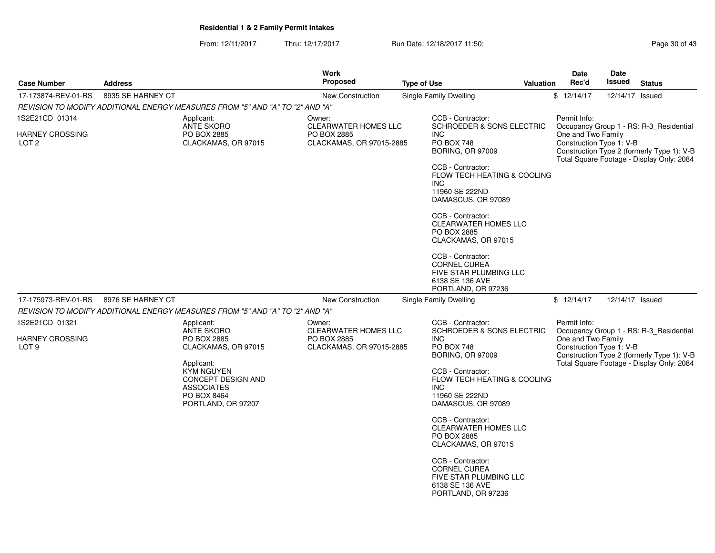From: 12/11/2017Thru: 12/17/2017 **Run Date: 12/18/2017 11:50: Page 30 of 43 of 43 of 43 of 43 of 43 of 43** Page

| <b>Case Number</b>                                           | <b>Address</b>                                                                |                                                                 | Work<br><b>Proposed</b>                                                          | <b>Type of Use</b> |                                                                                                                                                                                                                                                                                                                                                                        | <b>Valuation</b> | Date<br>Rec'd                                                  | Date<br>Issued  | <b>Status</b>                                                                           |
|--------------------------------------------------------------|-------------------------------------------------------------------------------|-----------------------------------------------------------------|----------------------------------------------------------------------------------|--------------------|------------------------------------------------------------------------------------------------------------------------------------------------------------------------------------------------------------------------------------------------------------------------------------------------------------------------------------------------------------------------|------------------|----------------------------------------------------------------|-----------------|-----------------------------------------------------------------------------------------|
|                                                              | 8935 SE HARNEY CT                                                             |                                                                 | New Construction                                                                 |                    | Single Family Dwelling                                                                                                                                                                                                                                                                                                                                                 |                  |                                                                | 12/14/17 Issued |                                                                                         |
| 17-173874-REV-01-RS                                          | REVISION TO MODIFY ADDITIONAL ENERGY MEASURES FROM "5" AND "A" TO "2" AND "A" |                                                                 |                                                                                  |                    |                                                                                                                                                                                                                                                                                                                                                                        |                  | \$12/14/17                                                     |                 |                                                                                         |
| 1S2E21CD 01314<br><b>HARNEY CROSSING</b><br>LOT <sub>2</sub> | Applicant:<br><b>ANTE SKORO</b><br>PO BOX 2885                                | CLACKAMAS, OR 97015                                             | Owner:<br><b>CLEARWATER HOMES LLC</b><br>PO BOX 2885<br>CLACKAMAS, OR 97015-2885 |                    | CCB - Contractor:<br><b>SCHROEDER &amp; SONS ELECTRIC</b><br>INC<br><b>PO BOX 748</b>                                                                                                                                                                                                                                                                                  |                  | Permit Info:<br>One and Two Family<br>Construction Type 1: V-B |                 | Occupancy Group 1 - RS: R-3_Residential                                                 |
|                                                              |                                                                               |                                                                 |                                                                                  |                    | <b>BORING, OR 97009</b><br>CCB - Contractor:<br>FLOW TECH HEATING & COOLING<br><b>INC</b><br>11960 SE 222ND<br>DAMASCUS, OR 97089<br>CCB - Contractor:<br><b>CLEARWATER HOMES LLC</b><br>PO BOX 2885<br>CLACKAMAS, OR 97015<br>CCB - Contractor:<br><b>CORNEL CUREA</b><br>FIVE STAR PLUMBING LLC<br>6138 SE 136 AVE<br>PORTLAND, OR 97236                             |                  |                                                                |                 | Construction Type 2 (formerly Type 1): V-B<br>Total Square Footage - Display Only: 2084 |
| 17-175973-REV-01-RS                                          | 8976 SE HARNEY CT                                                             |                                                                 | New Construction                                                                 |                    | Single Family Dwelling                                                                                                                                                                                                                                                                                                                                                 |                  | \$12/14/17                                                     | 12/14/17 Issued |                                                                                         |
|                                                              | REVISION TO MODIFY ADDITIONAL ENERGY MEASURES FROM "5" AND "A" TO "2" AND "A" |                                                                 |                                                                                  |                    |                                                                                                                                                                                                                                                                                                                                                                        |                  |                                                                |                 |                                                                                         |
| 1S2E21CD 01321                                               | Applicant:<br><b>ANTE SKORO</b>                                               |                                                                 | Owner:<br><b>CLEARWATER HOMES LLC</b>                                            |                    | CCB - Contractor:<br><b>SCHROEDER &amp; SONS ELECTRIC</b>                                                                                                                                                                                                                                                                                                              |                  | Permit Info:                                                   |                 | Occupancy Group 1 - RS: R-3_Residential                                                 |
| <b>HARNEY CROSSING</b><br>LOT <sub>9</sub>                   | PO BOX 2885<br>Applicant:<br>KYM NGUYEN<br><b>ASSOCIATES</b><br>PO BOX 8464   | CLACKAMAS, OR 97015<br>CONCEPT DESIGN AND<br>PORTLAND, OR 97207 | PO BOX 2885<br>CLACKAMAS, OR 97015-2885                                          |                    | <b>INC</b><br><b>PO BOX 748</b><br><b>BORING, OR 97009</b><br>CCB - Contractor:<br>FLOW TECH HEATING & COOLING<br><b>INC</b><br>11960 SE 222ND<br>DAMASCUS, OR 97089<br>CCB - Contractor:<br>CLEARWATER HOMES LLC<br>PO BOX 2885<br>CLACKAMAS, OR 97015<br>CCB - Contractor:<br><b>CORNEL CUREA</b><br>FIVE STAR PLUMBING LLC<br>6138 SE 136 AVE<br>PORTLAND, OR 97236 |                  | One and Two Family<br>Construction Type 1: V-B                 |                 | Construction Type 2 (formerly Type 1): V-B<br>Total Square Footage - Display Only: 2084 |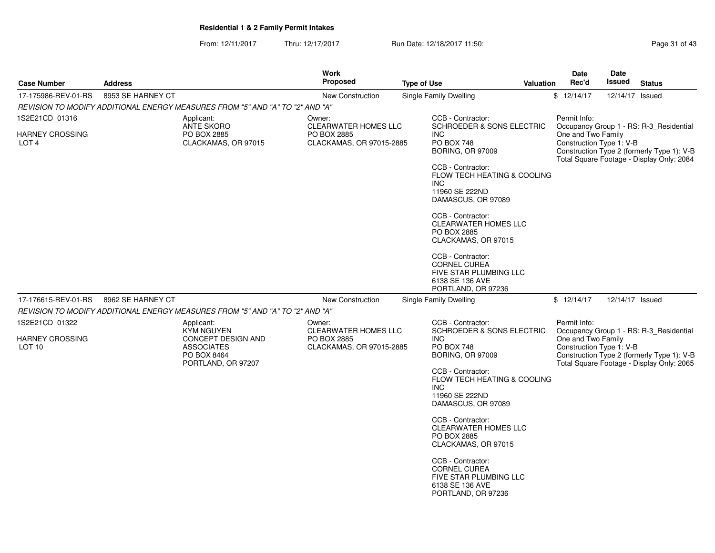From: 12/11/2017Thru: 12/17/2017 **Run Date: 12/18/2017 11:50: Page 31 of 43** 

| <b>Case Number</b>                   | <b>Address</b>                                                                | <b>Work</b><br><b>Proposed</b> |                             | <b>Type of Use</b>                                                                                          | Valuation | <b>Date</b><br>Rec'd                           | <b>Date</b><br>Issued | <b>Status</b>                                                                           |
|--------------------------------------|-------------------------------------------------------------------------------|--------------------------------|-----------------------------|-------------------------------------------------------------------------------------------------------------|-----------|------------------------------------------------|-----------------------|-----------------------------------------------------------------------------------------|
| 17-175986-REV-01-RS                  | 8953 SE HARNEY CT                                                             | <b>New Construction</b>        |                             | <b>Single Family Dwelling</b>                                                                               |           | \$12/14/17                                     | 12/14/17 Issued       |                                                                                         |
|                                      | REVISION TO MODIFY ADDITIONAL ENERGY MEASURES FROM "5" AND "A" TO "2" AND "A" |                                |                             |                                                                                                             |           |                                                |                       |                                                                                         |
| 1S2E21CD 01316                       | Applicant:<br><b>ANTE SKORO</b>                                               | Owner:                         | <b>CLEARWATER HOMES LLC</b> | CCB - Contractor:<br><b>SCHROEDER &amp; SONS ELECTRIC</b>                                                   |           | Permit Info:                                   |                       | Occupancy Group 1 - RS: R-3_Residential                                                 |
| HARNEY CROSSING<br>LOT <sub>4</sub>  | PO BOX 2885<br>CLACKAMAS, OR 97015                                            | PO BOX 2885                    | CLACKAMAS, OR 97015-2885    | <b>INC</b><br><b>PO BOX 748</b><br>BORING, OR 97009                                                         |           | One and Two Family<br>Construction Type 1: V-B |                       | Construction Type 2 (formerly Type 1): V-B<br>Total Square Footage - Display Only: 2084 |
|                                      |                                                                               |                                |                             | CCB - Contractor:<br>FLOW TECH HEATING & COOLING<br><b>INC</b><br>11960 SE 222ND<br>DAMASCUS, OR 97089      |           |                                                |                       |                                                                                         |
|                                      |                                                                               |                                |                             | CCB - Contractor:<br><b>CLEARWATER HOMES LLC</b><br>PO BOX 2885<br>CLACKAMAS, OR 97015                      |           |                                                |                       |                                                                                         |
|                                      |                                                                               |                                |                             | CCB - Contractor:<br>CORNEL CUREA<br>FIVE STAR PLUMBING LLC<br>6138 SE 136 AVE<br>PORTLAND, OR 97236        |           |                                                |                       |                                                                                         |
| 17-176615-REV-01-RS                  | 8962 SE HARNEY CT                                                             |                                | New Construction            | <b>Single Family Dwelling</b>                                                                               |           | \$12/14/17                                     | 12/14/17 Issued       |                                                                                         |
|                                      | REVISION TO MODIFY ADDITIONAL ENERGY MEASURES FROM "5" AND "A" TO "2" AND "A" |                                |                             |                                                                                                             |           |                                                |                       |                                                                                         |
| 1S2E21CD 01322                       | Applicant:<br>KYM NGUYEN                                                      | Owner:                         | <b>CLEARWATER HOMES LLC</b> | CCB - Contractor:<br><b>SCHROEDER &amp; SONS ELECTRIC</b>                                                   |           | Permit Info:                                   |                       | Occupancy Group 1 - RS: R-3_Residential                                                 |
| HARNEY CROSSING<br>LOT <sub>10</sub> | CONCEPT DESIGN AND<br><b>ASSOCIATES</b><br>PO BOX 8464<br>PORTLAND, OR 97207  | PO BOX 2885                    | CLACKAMAS, OR 97015-2885    | <b>INC</b><br>PO BOX 748<br><b>BORING, OR 97009</b>                                                         |           | One and Two Family<br>Construction Type 1: V-B |                       | Construction Type 2 (formerly Type 1): V-B<br>Total Square Footage - Display Only: 2065 |
|                                      |                                                                               |                                |                             | CCB - Contractor:<br>FLOW TECH HEATING & COOLING<br><b>INC</b><br>11960 SE 222ND<br>DAMASCUS, OR 97089      |           |                                                |                       |                                                                                         |
|                                      |                                                                               |                                |                             | CCB - Contractor:<br><b>CLEARWATER HOMES LLC</b><br>PO BOX 2885<br>CLACKAMAS, OR 97015                      |           |                                                |                       |                                                                                         |
|                                      |                                                                               |                                |                             | CCB - Contractor:<br><b>CORNEL CUREA</b><br>FIVE STAR PLUMBING LLC<br>6138 SE 136 AVE<br>PORTLAND, OR 97236 |           |                                                |                       |                                                                                         |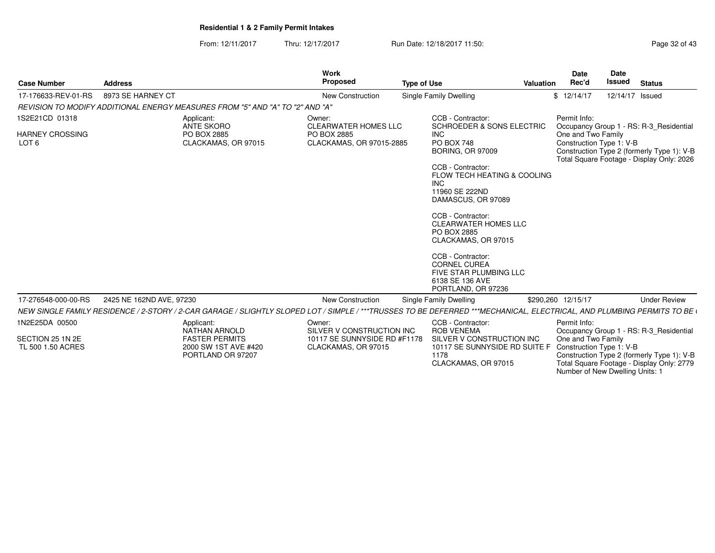From: 12/11/2017Thru: 12/17/2017 **Run Date: 12/18/2017 11:50: Page 32 of 43** 

| <b>Case Number</b>                                           | <b>Address</b>                                                                                                                                                          | Work<br>Proposed                                                                           | <b>Type of Use</b>                                                                                                                                                                                                                                                                                                                                                                                                              | Valuation | <b>Date</b><br>Rec'd                                                                              | Date<br><b>Issued</b> | <b>Status</b>                                                                                                                      |
|--------------------------------------------------------------|-------------------------------------------------------------------------------------------------------------------------------------------------------------------------|--------------------------------------------------------------------------------------------|---------------------------------------------------------------------------------------------------------------------------------------------------------------------------------------------------------------------------------------------------------------------------------------------------------------------------------------------------------------------------------------------------------------------------------|-----------|---------------------------------------------------------------------------------------------------|-----------------------|------------------------------------------------------------------------------------------------------------------------------------|
| 17-176633-REV-01-RS                                          | 8973 SE HARNEY CT                                                                                                                                                       | New Construction                                                                           | Single Family Dwelling                                                                                                                                                                                                                                                                                                                                                                                                          |           | \$12/14/17                                                                                        | 12/14/17 Issued       |                                                                                                                                    |
|                                                              | REVISION TO MODIFY ADDITIONAL ENERGY MEASURES FROM "5" AND "A" TO "2" AND "A"                                                                                           |                                                                                            |                                                                                                                                                                                                                                                                                                                                                                                                                                 |           |                                                                                                   |                       |                                                                                                                                    |
| 1S2E21CD 01318<br><b>HARNEY CROSSING</b><br>LOT <sub>6</sub> | Applicant:<br><b>ANTE SKORO</b><br>PO BOX 2885<br>CLACKAMAS, OR 97015                                                                                                   | Owner:<br><b>CLEARWATER HOMES LLC</b><br>PO BOX 2885<br>CLACKAMAS, OR 97015-2885           | CCB - Contractor:<br><b>SCHROEDER &amp; SONS ELECTRIC</b><br><b>INC</b><br><b>PO BOX 748</b><br><b>BORING, OR 97009</b><br>CCB - Contractor:<br><b>FLOW TECH HEATING &amp; COOLING</b><br><b>INC</b><br>11960 SE 222ND<br>DAMASCUS, OR 97089<br>CCB - Contractor:<br><b>CLEARWATER HOMES LLC</b><br>PO BOX 2885<br>CLACKAMAS, OR 97015<br>CCB - Contractor:<br><b>CORNEL CUREA</b><br>FIVE STAR PLUMBING LLC<br>6138 SE 136 AVE |           | Permit Info:<br>One and Two Family<br>Construction Type 1: V-B                                    |                       | Occupancy Group 1 - RS: R-3 Residential<br>Construction Type 2 (formerly Type 1): V-B<br>Total Square Footage - Display Only: 2026 |
| 17-276548-000-00-RS                                          | 2425 NE 162ND AVE, 97230                                                                                                                                                | New Construction                                                                           | PORTLAND, OR 97236<br>Single Family Dwelling                                                                                                                                                                                                                                                                                                                                                                                    |           | \$290.260 12/15/17                                                                                |                       | <b>Under Review</b>                                                                                                                |
|                                                              | NEW SINGLE FAMILY RESIDENCE / 2-STORY / 2-CAR GARAGE / SLIGHTLY SLOPED LOT / SIMPLE / ***TRUSSES TO BE DEFERRED ***MECHANICAL, ELECTRICAL, AND PLUMBING PERMITS TO BE ( |                                                                                            |                                                                                                                                                                                                                                                                                                                                                                                                                                 |           |                                                                                                   |                       |                                                                                                                                    |
| 1N2E25DA 00500<br>SECTION 25 1N 2E<br>TL 500 1.50 ACRES      | Applicant:<br><b>NATHAN ARNOLD</b><br><b>FASTER PERMITS</b><br>2000 SW 1ST AVE #420<br>PORTLAND OR 97207                                                                | Owner:<br>SILVER V CONSTRUCTION INC<br>10117 SE SUNNYSIDE RD #F1178<br>CLACKAMAS, OR 97015 | CCB - Contractor:<br><b>ROB VENEMA</b><br>SILVER V CONSTRUCTION INC<br>10117 SE SUNNYSIDE RD SUITE F<br>1178<br>CLACKAMAS, OR 97015                                                                                                                                                                                                                                                                                             |           | Permit Info:<br>One and Two Family<br>Construction Type 1: V-B<br>Number of New Dwelling Units: 1 |                       | Occupancy Group 1 - RS: R-3_Residential<br>Construction Type 2 (formerly Type 1): V-B<br>Total Square Footage - Display Only: 2779 |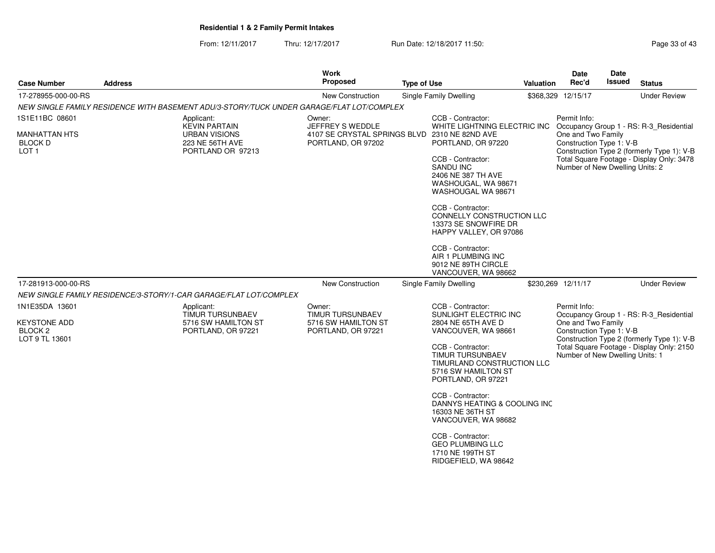From: 12/11/2017Thru: 12/17/2017 **Run Date: 12/18/2017 11:50: Page 33 of 43** 

| <b>Case Number</b>                                          | <b>Address</b> |                                                                                          | <b>Work</b><br><b>Proposed</b>                                      | <b>Type of Use</b> |                                                                                                                                                                                                                                                                                                      | Valuation | Date<br>Rec'd                                                                     | Date<br><b>Issued</b> | <b>Status</b>                                                                           |
|-------------------------------------------------------------|----------------|------------------------------------------------------------------------------------------|---------------------------------------------------------------------|--------------------|------------------------------------------------------------------------------------------------------------------------------------------------------------------------------------------------------------------------------------------------------------------------------------------------------|-----------|-----------------------------------------------------------------------------------|-----------------------|-----------------------------------------------------------------------------------------|
| 17-278955-000-00-RS                                         |                |                                                                                          | New Construction                                                    |                    | <b>Single Family Dwelling</b>                                                                                                                                                                                                                                                                        |           | \$368,329 12/15/17                                                                |                       | <b>Under Review</b>                                                                     |
|                                                             |                | NEW SINGLE FAMILY RESIDENCE WITH BASEMENT ADU/3-STORY/TUCK UNDER GARAGE/FLAT LOT/COMPLEX |                                                                     |                    |                                                                                                                                                                                                                                                                                                      |           |                                                                                   |                       |                                                                                         |
| 1S1E11BC 08601                                              |                | Applicant:<br><b>KEVIN PARTAIN</b>                                                       | Owner:<br>JEFFREY S WEDDLE                                          |                    | CCB - Contractor:<br>WHITE LIGHTNING ELECTRIC INC Occupancy Group 1 - RS: R-3_Residential                                                                                                                                                                                                            |           | Permit Info:                                                                      |                       |                                                                                         |
| <b>MANHATTAN HTS</b><br><b>BLOCK D</b><br>LOT <sub>1</sub>  |                | <b>URBAN VISIONS</b><br><b>223 NE 56TH AVE</b><br>PORTLAND OR 97213                      | 4107 SE CRYSTAL SPRINGS BLVD 2310 NE 82ND AVE<br>PORTLAND, OR 97202 |                    | PORTLAND, OR 97220<br>CCB - Contractor:<br><b>SANDU INC</b><br>2406 NE 387 TH AVE<br>WASHOUGAL, WA 98671<br>WASHOUGAL WA 98671<br>CCB - Contractor:<br>CONNELLY CONSTRUCTION LLC<br>13373 SE SNOWFIRE DR<br>HAPPY VALLEY, OR 97086<br>CCB - Contractor:<br>AIR 1 PLUMBING INC<br>9012 NE 89TH CIRCLE |           | One and Two Family<br>Construction Type 1: V-B<br>Number of New Dwelling Units: 2 |                       | Construction Type 2 (formerly Type 1): V-B<br>Total Square Footage - Display Only: 3478 |
|                                                             |                |                                                                                          |                                                                     |                    | VANCOUVER, WA 98662                                                                                                                                                                                                                                                                                  |           |                                                                                   |                       |                                                                                         |
| 17-281913-000-00-RS                                         |                |                                                                                          | New Construction                                                    |                    | Single Family Dwelling                                                                                                                                                                                                                                                                               |           | \$230,269 12/11/17                                                                |                       | <b>Under Review</b>                                                                     |
|                                                             |                | NEW SINGLE FAMILY RESIDENCE/3-STORY/1-CAR GARAGE/FLAT LOT/COMPLEX                        |                                                                     |                    |                                                                                                                                                                                                                                                                                                      |           |                                                                                   |                       |                                                                                         |
| 1N1E35DA 13601                                              |                | Applicant:<br>TIMUR TURSUNBAEV                                                           | Owner:<br><b>TIMUR TURSUNBAEV</b>                                   |                    | CCB - Contractor:<br>SUNLIGHT ELECTRIC INC                                                                                                                                                                                                                                                           |           | Permit Info:                                                                      |                       | Occupancy Group 1 - RS: R-3 Residential                                                 |
| <b>KEYSTONE ADD</b><br>BLOCK <sub>2</sub><br>LOT 9 TL 13601 |                | 5716 SW HAMILTON ST<br>PORTLAND, OR 97221                                                | 5716 SW HAMILTON ST<br>PORTLAND, OR 97221                           |                    | 2804 NE 65TH AVE D<br>VANCOUVER, WA 98661                                                                                                                                                                                                                                                            |           | One and Two Family<br>Construction Type 1: V-B                                    |                       | Construction Type 2 (formerly Type 1): V-B                                              |
|                                                             |                |                                                                                          |                                                                     |                    | CCB - Contractor:<br><b>TIMUR TURSUNBAEV</b><br>TIMURLAND CONSTRUCTION LLC<br>5716 SW HAMILTON ST<br>PORTLAND, OR 97221                                                                                                                                                                              |           | Number of New Dwelling Units: 1                                                   |                       | Total Square Footage - Display Only: 2150                                               |
|                                                             |                |                                                                                          |                                                                     |                    | CCB - Contractor:<br>DANNYS HEATING & COOLING INC<br>16303 NE 36TH ST<br>VANCOUVER, WA 98682                                                                                                                                                                                                         |           |                                                                                   |                       |                                                                                         |
|                                                             |                |                                                                                          |                                                                     |                    | CCB - Contractor:<br><b>GEO PLUMBING LLC</b><br>1710 NE 199TH ST<br>RIDGEFIELD, WA 98642                                                                                                                                                                                                             |           |                                                                                   |                       |                                                                                         |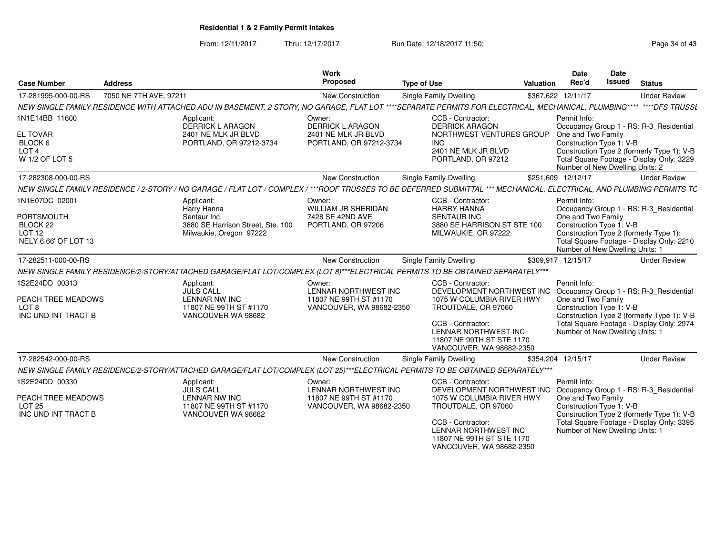From: 12/11/2017Thru: 12/17/2017 **Run Date: 12/18/2017 11:50: Page 34 of 43** 

| <b>Case Number</b>                     | <b>Address</b>                                                                                                                                                        | Work<br>Proposed                                   | <b>Type of Use</b>                                                                                 | <b>Valuation</b> | Date<br>Rec'd                                                                                                                                                                | Date<br><b>Issued</b> | <b>Status</b>                                                                           |
|----------------------------------------|-----------------------------------------------------------------------------------------------------------------------------------------------------------------------|----------------------------------------------------|----------------------------------------------------------------------------------------------------|------------------|------------------------------------------------------------------------------------------------------------------------------------------------------------------------------|-----------------------|-----------------------------------------------------------------------------------------|
| 17-281995-000-00-RS                    | 7050 NE 7TH AVE, 97211                                                                                                                                                | New Construction                                   | <b>Single Family Dwelling</b>                                                                      |                  | \$367,622 12/11/17                                                                                                                                                           |                       | <b>Under Review</b>                                                                     |
|                                        | NEW SINGLE FAMILY RESIDENCE WITH ATTACHED ADU IN BASEMENT, 2 STORY, NO GARAGE, FLAT LOT ****SEPARATE PERMITS FOR ELECTRICAL, MECHANICAL, PLUMBING**** ****DFS TRUSSL  |                                                    |                                                                                                    |                  |                                                                                                                                                                              |                       |                                                                                         |
| 1N1E14BB 11600                         | Applicant:<br><b>DERRICK L ARAGON</b>                                                                                                                                 | Owner:<br><b>DERRICK L ARAGON</b>                  | CCB - Contractor:<br><b>DERRICK ARAGON</b>                                                         |                  | Permit Info:                                                                                                                                                                 |                       | Occupancy Group 1 - RS: R-3_Residential                                                 |
| <b>EL TOVAR</b><br>BLOCK 6             | 2401 NE MLK JR BLVD<br>PORTLAND, OR 97212-3734                                                                                                                        | 2401 NE MLK JR BLVD<br>PORTLAND, OR 97212-3734     | NORTHWEST VENTURES GROUP<br><b>INC</b>                                                             |                  | One and Two Family<br>Construction Type 1: V-B                                                                                                                               |                       |                                                                                         |
| LOT <sub>4</sub><br>W 1/2 OF LOT 5     |                                                                                                                                                                       |                                                    | 2401 NE MLK JR BLVD<br>PORTLAND, OR 97212                                                          |                  | Number of New Dwelling Units: 2                                                                                                                                              |                       | Construction Type 2 (formerly Type 1): V-B<br>Total Square Footage - Display Only: 3229 |
| 17-282308-000-00-RS                    |                                                                                                                                                                       | <b>New Construction</b>                            | <b>Single Family Dwelling</b>                                                                      |                  | \$251.609 12/12/17                                                                                                                                                           |                       | <b>Under Review</b>                                                                     |
|                                        | NEW SINGLE FAMILY RESIDENCE / 2-STORY / NO GARAGE / FLAT LOT / COMPLEX / ***ROOF TRUSSES TO BE DEFERRED SUBMITTAL *** MECHANICAL, ELECTRICAL, AND PLUMBING PERMITS TC |                                                    |                                                                                                    |                  |                                                                                                                                                                              |                       |                                                                                         |
| 1N1E07DC 02001                         | Applicant:<br>Harry Hanna                                                                                                                                             | Owner:<br>WILLIAM JR SHERIDAN                      | CCB - Contractor:<br><b>HARRY HANNA</b>                                                            |                  | Permit Info:                                                                                                                                                                 |                       | Occupancy Group 1 - RS: R-3_Residential                                                 |
| <b>PORTSMOUTH</b>                      | Sentaur Inc.                                                                                                                                                          | 7428 SE 42ND AVE                                   | <b>SENTAUR INC</b>                                                                                 |                  | One and Two Family                                                                                                                                                           |                       |                                                                                         |
| BLOCK 22<br>LOT <sub>12</sub>          | 3880 SE Harrison Street, Ste. 100                                                                                                                                     | PORTLAND, OR 97206                                 | 3880 SE HARRISON ST STE 100                                                                        |                  | Construction Type 1: V-B                                                                                                                                                     |                       |                                                                                         |
| NELY 6.66' OF LOT 13                   | Milwaukie, Oregon 97222                                                                                                                                               |                                                    | MILWAUKIE, OR 97222                                                                                |                  | Number of New Dwelling Units: 1                                                                                                                                              |                       | Construction Type 2 (formerly Type 1):<br>Total Square Footage - Display Only: 2210     |
| 17-282511-000-00-RS                    |                                                                                                                                                                       | New Construction                                   | Single Family Dwelling                                                                             |                  | \$309,917 12/15/17                                                                                                                                                           |                       | <b>Under Review</b>                                                                     |
|                                        | NEW SINGLE FAMILY RESIDENCE/2-STORY/ATTACHED GARAGE/FLAT LOT/COMPLEX (LOT 8)***ELECTRICAL PERMITS TO BE OBTAINED SEPARATELY***                                        |                                                    |                                                                                                    |                  |                                                                                                                                                                              |                       |                                                                                         |
| 1S2E24DD 00313                         | Applicant:<br><b>JULS CALL</b>                                                                                                                                        | Owner:<br>LENNAR NORTHWEST INC                     | CCB - Contractor:<br>DEVELOPMENT NORTHWEST INC Occupancy Group 1 - RS: R-3_Residential             |                  | Permit Info:                                                                                                                                                                 |                       |                                                                                         |
| PEACH TREE MEADOWS<br>LOT <sub>8</sub> | <b>LENNAR NW INC</b><br>11807 NE 99TH ST #1170                                                                                                                        | 11807 NE 99TH ST #1170<br>VANCOUVER, WA 98682-2350 | 1075 W COLUMBIA RIVER HWY<br>TROUTDALE, OR 97060                                                   |                  | One and Two Family<br>Construction Type 1: V-B<br>Construction Type 2 (formerly Type 1): V-B<br>Total Square Footage - Display Only: 2974<br>Number of New Dwelling Units: 1 |                       |                                                                                         |
| INC UND INT TRACT B                    | VANCOUVER WA 98682                                                                                                                                                    |                                                    | CCB - Contractor:<br>LENNAR NORTHWEST INC<br>11807 NE 99TH ST STE 1170<br>VANCOUVER, WA 98682-2350 |                  |                                                                                                                                                                              |                       |                                                                                         |
| 17-282542-000-00-RS                    |                                                                                                                                                                       | <b>New Construction</b>                            | Single Family Dwelling                                                                             |                  | \$354,204 12/15/17                                                                                                                                                           |                       | <b>Under Review</b>                                                                     |
|                                        | NEW SINGLE FAMILY RESIDENCE/2-STORY/ATTACHED GARAGE/FLAT LOT/COMPLEX (LOT 25)***ELECTRICAL PERMITS TO BE OBTAINED SEPARATELY***                                       |                                                    |                                                                                                    |                  |                                                                                                                                                                              |                       |                                                                                         |
| 1S2E24DD 00330                         | Applicant:<br><b>JULS CALL</b>                                                                                                                                        | Owner:<br>LENNAR NORTHWEST INC                     | CCB - Contractor:<br>DEVELOPMENT NORTHWEST INC                                                     |                  | Permit Info:                                                                                                                                                                 |                       | Occupancy Group 1 - RS: R-3 Residential                                                 |
| PEACH TREE MEADOWS<br><b>LOT 25</b>    | <b>LENNAR NW INC</b><br>11807 NE 99TH ST #1170                                                                                                                        | 11807 NE 99TH ST #1170<br>VANCOUVER, WA 98682-2350 | 1075 W COLUMBIA RIVER HWY<br>TROUTDALE, OR 97060                                                   |                  | One and Two Family<br>Construction Type 1: V-B                                                                                                                               |                       |                                                                                         |
| INC UND INT TRACT B                    | VANCOUVER WA 98682                                                                                                                                                    |                                                    | CCB - Contractor:<br>LENNAR NORTHWEST INC<br>11807 NE 99TH ST STE 1170<br>VANCOUVER, WA 98682-2350 |                  | Construction Type 2 (formerly Type 1): V-B<br>Total Square Footage - Display Only: 3395<br>Number of New Dwelling Units: 1                                                   |                       |                                                                                         |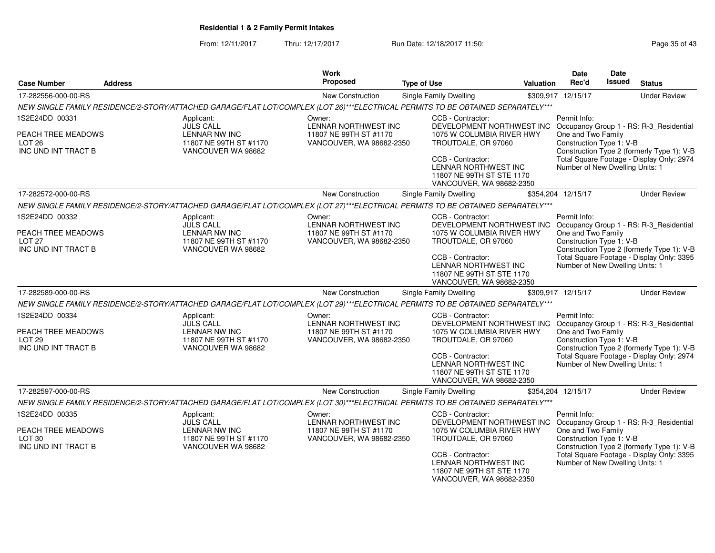From: 12/11/2017Thru: 12/17/2017 **Run Date: 12/18/2017 11:50:** Christian Page 35 of 43

| <b>Case Number</b>                                             | <b>Address</b>     |                                                                                                                                 | <b>Work</b><br>Proposed                                  | <b>Type of Use</b>                                                                                 | Valuation | <b>Date</b><br>Rec'd                                                                                                                                                         | Date<br><b>Issued</b>                          | <b>Status</b>                              |
|----------------------------------------------------------------|--------------------|---------------------------------------------------------------------------------------------------------------------------------|----------------------------------------------------------|----------------------------------------------------------------------------------------------------|-----------|------------------------------------------------------------------------------------------------------------------------------------------------------------------------------|------------------------------------------------|--------------------------------------------|
| 17-282556-000-00-RS                                            |                    |                                                                                                                                 | <b>New Construction</b>                                  | <b>Single Family Dwelling</b>                                                                      |           | \$309,917 12/15/17                                                                                                                                                           |                                                | <b>Under Review</b>                        |
|                                                                |                    | NEW SINGLE FAMILY RESIDENCE/2-STORY/ATTACHED GARAGE/FLAT LOT/COMPLEX (LOT 26)***ELECTRICAL PERMITS TO BE OBTAINED SEPARATELY*** |                                                          |                                                                                                    |           |                                                                                                                                                                              |                                                |                                            |
| 1S2E24DD 00331                                                 |                    | Applicant:<br><b>JULS CALL</b>                                                                                                  | Owner:<br>LENNAR NORTHWEST INC                           | CCB - Contractor:<br>DEVELOPMENT NORTHWEST INC Occupancy Group 1 - RS: R-3_Residential             |           | Permit Info:                                                                                                                                                                 |                                                |                                            |
| PEACH TREE MEADOWS<br>LOT <sub>26</sub><br>INC UND INT TRACT B |                    | LENNAR NW INC<br>11807 NE 99TH ST #1170<br>VANCOUVER WA 98682                                                                   | 11807 NE 99TH ST #1170<br>VANCOUVER, WA 98682-2350       | 1075 W COLUMBIA RIVER HWY<br>TROUTDALE, OR 97060                                                   |           | One and Two Family<br>Construction Type 1: V-B                                                                                                                               |                                                | Construction Type 2 (formerly Type 1): V-B |
|                                                                |                    |                                                                                                                                 |                                                          | CCB - Contractor:<br>LENNAR NORTHWEST INC<br>11807 NE 99TH ST STE 1170<br>VANCOUVER, WA 98682-2350 |           | Number of New Dwelling Units: 1                                                                                                                                              | Total Square Footage - Display Only: 2974      |                                            |
| 17-282572-000-00-RS                                            |                    |                                                                                                                                 | New Construction                                         | Single Family Dwelling                                                                             |           | \$354,204 12/15/17                                                                                                                                                           |                                                | <b>Under Review</b>                        |
|                                                                |                    | NEW SINGLE FAMILY RESIDENCE/2-STORY/ATTACHED GARAGE/FLAT LOT/COMPLEX (LOT 27)***ELECTRICAL PERMITS TO BE OBTAINED SEPARATELY*** |                                                          |                                                                                                    |           |                                                                                                                                                                              |                                                |                                            |
| 1S2E24DD 00332<br>PEACH TREE MEADOWS                           |                    | Applicant:<br><b>JULS CALL</b><br><b>LENNAR NW INC</b>                                                                          | Owner:<br>LENNAR NORTHWEST INC<br>11807 NE 99TH ST #1170 | CCB - Contractor:<br>1075 W COLUMBIA RIVER HWY                                                     |           | Permit Info:<br>DEVELOPMENT NORTHWEST INC Occupancy Group 1 - RS: R-3_Residential<br>One and Two Family                                                                      |                                                |                                            |
| <b>LOT 27</b>                                                  |                    | 11807 NE 99TH ST #1170                                                                                                          | VANCOUVER, WA 98682-2350                                 | TROUTDALE, OR 97060                                                                                |           | Construction Type 1: V-B                                                                                                                                                     |                                                |                                            |
| INC UND INT TRACT B                                            | VANCOUVER WA 98682 |                                                                                                                                 |                                                          | CCB - Contractor:<br>LENNAR NORTHWEST INC<br>11807 NE 99TH ST STE 1170<br>VANCOUVER, WA 98682-2350 |           | Construction Type 2 (formerly Type 1): V-B<br>Total Square Footage - Display Only: 3395<br>Number of New Dwelling Units: 1                                                   |                                                |                                            |
| 17-282589-000-00-RS                                            |                    |                                                                                                                                 | <b>New Construction</b>                                  | <b>Single Family Dwelling</b>                                                                      |           | \$309,917 12/15/17                                                                                                                                                           |                                                | <b>Under Review</b>                        |
|                                                                |                    | NEW SINGLE FAMILY RESIDENCE/2-STORY/ATTACHED GARAGE/FLAT LOT/COMPLEX (LOT 29)***ELECTRICAL PERMITS TO BE OBTAINED SEPARATELY*** |                                                          |                                                                                                    |           |                                                                                                                                                                              |                                                |                                            |
| 1S2E24DD 00334                                                 |                    | Applicant:<br><b>JULS CALL</b>                                                                                                  | Owner:<br>LENNAR NORTHWEST INC                           | CCB - Contractor:<br>DEVELOPMENT NORTHWEST INC                                                     |           | Permit Info:                                                                                                                                                                 |                                                | Occupancy Group 1 - RS: R-3_Residential    |
| PEACH TREE MEADOWS<br>LOT <sub>29</sub><br>INC UND INT TRACT B |                    | <b>LENNAR NW INC</b><br>11807 NE 99TH ST #1170<br>VANCOUVER WA 98682                                                            | 11807 NE 99TH ST #1170<br>VANCOUVER, WA 98682-2350       | 1075 W COLUMBIA RIVER HWY<br>TROUTDALE, OR 97060                                                   |           | One and Two Family<br>Construction Type 1: V-B<br>Construction Type 2 (formerly Type 1): V-B<br>Total Square Footage - Display Only: 2974<br>Number of New Dwelling Units: 1 |                                                |                                            |
|                                                                |                    |                                                                                                                                 |                                                          | CCB - Contractor:<br>LENNAR NORTHWEST INC<br>11807 NE 99TH ST STE 1170<br>VANCOUVER, WA 98682-2350 |           |                                                                                                                                                                              |                                                |                                            |
| 17-282597-000-00-RS                                            |                    |                                                                                                                                 | New Construction                                         | <b>Single Family Dwelling</b>                                                                      |           | \$354,204 12/15/17                                                                                                                                                           |                                                | <b>Under Review</b>                        |
|                                                                |                    | NEW SINGLE FAMILY RESIDENCE/2-STORY/ATTACHED GARAGE/FLAT LOT/COMPLEX (LOT 30)***ELECTRICAL PERMITS TO BE OBTAINED SEPARATELY*** |                                                          |                                                                                                    |           |                                                                                                                                                                              |                                                |                                            |
| 1S2E24DD 00335                                                 |                    | Applicant:<br><b>JULS CALL</b>                                                                                                  | Owner:<br>LENNAR NORTHWEST INC                           | CCB - Contractor:<br>DEVELOPMENT NORTHWEST INC                                                     |           | Permit Info:                                                                                                                                                                 |                                                | Occupancy Group 1 - RS: R-3_Residential    |
| PEACH TREE MEADOWS<br>LOT <sub>30</sub><br>INC UND INT TRACT B |                    | <b>LENNAR NW INC</b><br>11807 NE 99TH ST #1170<br>VANCOUVER WA 98682                                                            | 11807 NE 99TH ST #1170<br>VANCOUVER, WA 98682-2350       | 1075 W COLUMBIA RIVER HWY<br>TROUTDALE, OR 97060                                                   |           |                                                                                                                                                                              | One and Two Family<br>Construction Type 1: V-B | Construction Type 2 (formerly Type 1): V-B |
|                                                                |                    |                                                                                                                                 |                                                          | CCB - Contractor:<br>LENNAR NORTHWEST INC<br>11807 NE 99TH ST STE 1170<br>VANCOUVER, WA 98682-2350 |           | Number of New Dwelling Units: 1                                                                                                                                              |                                                | Total Square Footage - Display Only: 3395  |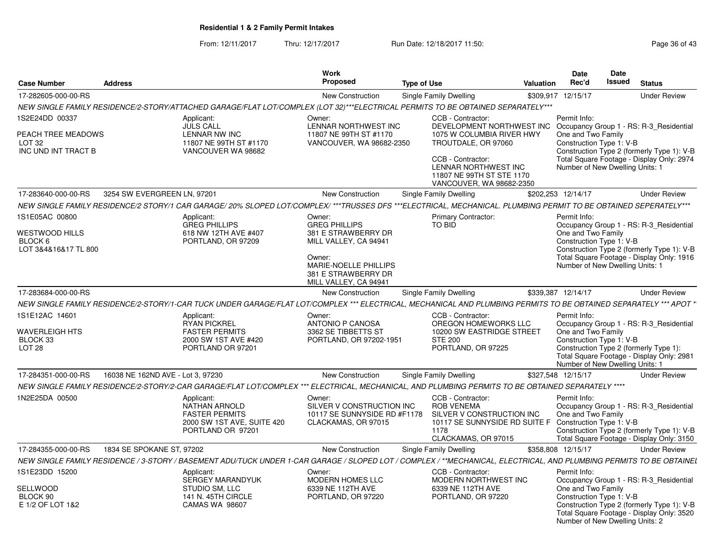From: 12/11/2017Thru: 12/17/2017 **Run Date: 12/18/2017 11:50: Page 36 of 43** 

| <b>Case Number</b>                                                               | <b>Address</b>                    |                                                                                                                                                                     | <b>Work</b><br>Proposed                                                                                                                                 | <b>Type of Use</b> |                                                                                                                                                                              | Valuation | Date<br>Rec'd                      | Date<br><b>Issued</b>                                       | <b>Status</b>                                                                                                                      |
|----------------------------------------------------------------------------------|-----------------------------------|---------------------------------------------------------------------------------------------------------------------------------------------------------------------|---------------------------------------------------------------------------------------------------------------------------------------------------------|--------------------|------------------------------------------------------------------------------------------------------------------------------------------------------------------------------|-----------|------------------------------------|-------------------------------------------------------------|------------------------------------------------------------------------------------------------------------------------------------|
| 17-282605-000-00-RS                                                              |                                   |                                                                                                                                                                     | New Construction                                                                                                                                        |                    | Single Family Dwelling                                                                                                                                                       |           | \$309,917 12/15/17                 |                                                             | <b>Under Review</b>                                                                                                                |
|                                                                                  |                                   | NEW SINGLE FAMILY RESIDENCE/2-STORY/ATTACHED GARAGE/FLAT LOT/COMPLEX (LOT 32)***ELECTRICAL PERMITS TO BE OBTAINED SEPARATELY***                                     |                                                                                                                                                         |                    |                                                                                                                                                                              |           |                                    |                                                             |                                                                                                                                    |
| 1S2E24DD 00337<br>PEACH TREE MEADOWS<br>LOT <sub>32</sub><br>INC UND INT TRACT B |                                   | Applicant:<br>JULS CALL<br><b>LENNAR NW INC</b><br>11807 NE 99TH ST #1170<br>VANCOUVER WA 98682                                                                     | Owner:<br>LENNAR NORTHWEST INC<br>11807 NE 99TH ST #1170<br>VANCOUVER, WA 98682-2350                                                                    |                    | CCB - Contractor:<br>DEVELOPMENT NORTHWEST INC<br>1075 W COLUMBIA RIVER HWY<br>TROUTDALE, OR 97060<br>CCB - Contractor:<br>LENNAR NORTHWEST INC<br>11807 NE 99TH ST STE 1170 |           | Permit Info:<br>One and Two Family | Construction Type 1: V-B<br>Number of New Dwelling Units: 1 | Occupancy Group 1 - RS: R-3_Residential<br>Construction Type 2 (formerly Type 1): V-B<br>Total Square Footage - Display Only: 2974 |
| 17-283640-000-00-RS                                                              | 3254 SW EVERGREEN LN, 97201       |                                                                                                                                                                     | New Construction                                                                                                                                        |                    | VANCOUVER, WA 98682-2350<br>Single Family Dwelling                                                                                                                           |           | \$202,253 12/14/17                 |                                                             | <b>Under Review</b>                                                                                                                |
|                                                                                  |                                   | NEW SINGLE FAMILY RESIDENCE/2 STORY/1 CAR GARAGE/ 20% SLOPED LOT/COMPLEX/ ***TRUSSES DFS ***ELECTRICAL, MECHANICAL. PLUMBING PERMIT TO BE OBTAINED SEPERATELY***    |                                                                                                                                                         |                    |                                                                                                                                                                              |           |                                    |                                                             |                                                                                                                                    |
| 1S1E05AC 00800                                                                   |                                   | Applicant:                                                                                                                                                          | Owner:                                                                                                                                                  |                    | <b>Primary Contractor:</b>                                                                                                                                                   |           | Permit Info:                       |                                                             |                                                                                                                                    |
| WESTWOOD HILLS<br>BLOCK 6<br>LOT 3&4&16&17 TL 800                                |                                   | <b>GREG PHILLIPS</b><br>618 NW 12TH AVE #407<br>PORTLAND, OR 97209                                                                                                  | <b>GREG PHILLIPS</b><br>381 E STRAWBERRY DR<br>MILL VALLEY, CA 94941<br>Owner:<br>MARIE-NOELLE PHILLIPS<br>381 E STRAWBERRY DR<br>MILL VALLEY, CA 94941 |                    | <b>TO BID</b>                                                                                                                                                                |           | One and Two Family                 | Construction Type 1: V-B<br>Number of New Dwelling Units: 1 | Occupancy Group 1 - RS: R-3_Residential<br>Construction Type 2 (formerly Type 1): V-B<br>Total Square Footage - Display Only: 1916 |
| 17-283684-000-00-RS                                                              |                                   |                                                                                                                                                                     | New Construction                                                                                                                                        |                    | Single Family Dwelling                                                                                                                                                       |           | \$339,387 12/14/17                 |                                                             | <b>Under Review</b>                                                                                                                |
|                                                                                  |                                   | NEW SINGLE FAMILY RESIDENCE/2-STORY/1-CAR TUCK UNDER GARAGE/FLAT LOT/COMPLEX *** ELECTRICAL, MECHANICAL AND PLUMBING PERMITS TO BE OBTAINED SEPARATELY *** APOT *   |                                                                                                                                                         |                    |                                                                                                                                                                              |           |                                    |                                                             |                                                                                                                                    |
| 1S1E12AC 14601<br><b>WAVERLEIGH HTS</b><br>BLOCK 33<br>LOT <sub>28</sub>         |                                   | Applicant:<br><b>RYAN PICKREL</b><br><b>FASTER PERMITS</b><br>2000 SW 1ST AVE #420<br>PORTLAND OR 97201                                                             | Owner:<br>ANTONIO P CANOSA<br>3362 SE TIBBETTS ST<br>PORTLAND, OR 97202-1951                                                                            |                    | CCB - Contractor:<br>OREGON HOMEWORKS LLC<br>10200 SW EASTRIDGE STREET<br><b>STE 200</b><br>PORTLAND, OR 97225                                                               |           | Permit Info:<br>One and Two Family | Construction Type 1: V-B<br>Number of New Dwelling Units: 1 | Occupancy Group 1 - RS: R-3 Residential<br>Construction Type 2 (formerly Type 1):<br>Total Square Footage - Display Only: 2981     |
| 17-284351-000-00-RS                                                              | 16038 NE 162ND AVE - Lot 3, 97230 |                                                                                                                                                                     | New Construction                                                                                                                                        |                    | Single Family Dwelling                                                                                                                                                       |           | \$327,548 12/15/17                 |                                                             | <b>Under Review</b>                                                                                                                |
|                                                                                  |                                   | NEW SINGLE FAMILY RESIDENCE/2-STORY/2-CAR GARAGE/FLAT LOT/COMPLEX *** ELECTRICAL, MECHANICAL, AND PLUMBING PERMITS TO BE OBTAINED SEPARATELY ****                   |                                                                                                                                                         |                    |                                                                                                                                                                              |           |                                    |                                                             |                                                                                                                                    |
| 1N2E25DA 00500                                                                   |                                   | Applicant:<br><b>NATHAN ARNOLD</b><br><b>FASTER PERMITS</b><br>2000 SW 1ST AVE, SUITE 420<br>PORTLAND OR 97201                                                      | Owner:<br>SILVER V CONSTRUCTION INC<br>10117 SE SUNNYSIDE RD #F1178<br>CLACKAMAS, OR 97015                                                              |                    | CCB - Contractor:<br><b>ROB VENEMA</b><br>SILVER V CONSTRUCTION INC<br>10117 SE SUNNYSIDE RD SUITE F Construction Type 1: V-B<br>1178<br>CLACKAMAS, OR 97015                 |           | Permit Info:<br>One and Two Family |                                                             | Occupancy Group 1 - RS: R-3 Residential<br>Construction Type 2 (formerly Type 1): V-B<br>Total Square Footage - Display Only: 3150 |
| 17-284355-000-00-RS                                                              | 1834 SE SPOKANE ST, 97202         |                                                                                                                                                                     | New Construction                                                                                                                                        |                    | Single Family Dwelling                                                                                                                                                       |           | \$358.808 12/15/17                 |                                                             | <b>Under Review</b>                                                                                                                |
|                                                                                  |                                   | NEW SINGLE FAMILY RESIDENCE / 3-STORY / BASEMENT ADU/TUCK UNDER 1-CAR GARAGE / SLOPED LOT / COMPLEX / **MECHANICAL, ELECTRICAL, AND PLUMBING PERMITS TO BE OBTAINEL |                                                                                                                                                         |                    |                                                                                                                                                                              |           |                                    |                                                             |                                                                                                                                    |
| 1S1E23DD 15200<br>SELLWOOD<br>BLOCK 90<br>E 1/2 OF LOT 1&2                       |                                   | Applicant:<br><b>SERGEY MARANDYUK</b><br>STUDIO SM, LLC<br>141 N. 45TH CIRCLE<br><b>CAMAS WA 98607</b>                                                              | Owner:<br>MODERN HOMES LLC<br>6339 NE 112TH AVE<br>PORTLAND, OR 97220                                                                                   |                    | CCB - Contractor:<br>MODERN NORTHWEST INC<br>6339 NE 112TH AVE<br>PORTLAND, OR 97220                                                                                         |           | Permit Info:<br>One and Two Family | Construction Type 1: V-B<br>Number of New Dwelling Units: 2 | Occupancy Group 1 - RS: R-3_Residential<br>Construction Type 2 (formerly Type 1): V-B<br>Total Square Footage - Display Only: 3520 |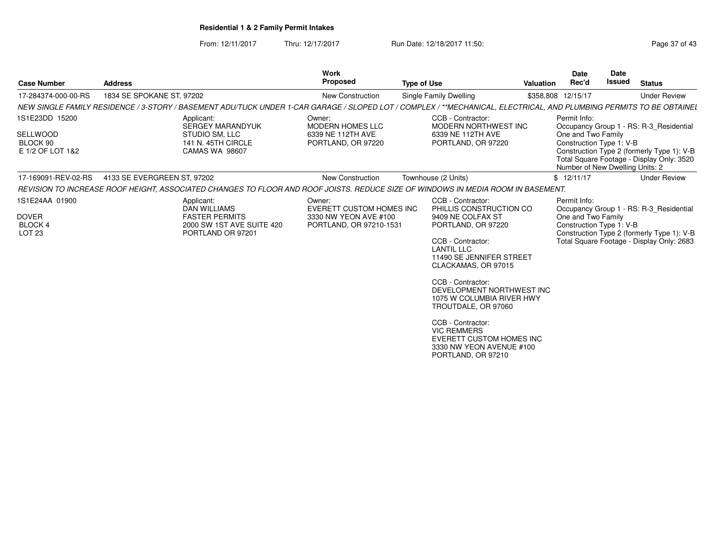From: 12/11/2017Thru: 12/17/2017 **Run Date: 12/18/2017 11:50: Page 37 of 43** 

| <b>Case Number</b>                                                   | <b>Address</b>              |                                                                                                                                                                     | <b>Work</b><br><b>Proposed</b>                                                         | <b>Type of Use</b> |                                                                                                                                                                                                                                                                                                                                                                                                                            | Valuation | <b>Date</b><br>Rec'd                                                                              | Date<br><b>Issued</b> | <b>Status</b>                                                                                                                      |
|----------------------------------------------------------------------|-----------------------------|---------------------------------------------------------------------------------------------------------------------------------------------------------------------|----------------------------------------------------------------------------------------|--------------------|----------------------------------------------------------------------------------------------------------------------------------------------------------------------------------------------------------------------------------------------------------------------------------------------------------------------------------------------------------------------------------------------------------------------------|-----------|---------------------------------------------------------------------------------------------------|-----------------------|------------------------------------------------------------------------------------------------------------------------------------|
| 17-284374-000-00-RS                                                  | 1834 SE SPOKANE ST, 97202   |                                                                                                                                                                     | <b>New Construction</b>                                                                |                    | Single Family Dwelling                                                                                                                                                                                                                                                                                                                                                                                                     |           | \$358,808 12/15/17                                                                                |                       | <b>Under Review</b>                                                                                                                |
|                                                                      |                             | NEW SINGLE FAMILY RESIDENCE / 3-STORY / BASEMENT ADU/TUCK UNDER 1-CAR GARAGE / SLOPED LOT / COMPLEX / **MECHANICAL, ELECTRICAL, AND PLUMBING PERMITS TO BE OBTAINEL |                                                                                        |                    |                                                                                                                                                                                                                                                                                                                                                                                                                            |           |                                                                                                   |                       |                                                                                                                                    |
| 1S1E23DD 15200<br>SELLWOOD<br>BLOCK 90<br>E 1/2 OF LOT 1&2           |                             | Applicant:<br><b>SERGEY MARANDYUK</b><br>STUDIO SM, LLC<br>141 N. 45TH CIRCLE<br><b>CAMAS WA 98607</b>                                                              | Owner:<br><b>MODERN HOMES LLC</b><br>6339 NE 112TH AVE<br>PORTLAND, OR 97220           |                    | CCB - Contractor:<br>MODERN NORTHWEST INC<br>6339 NE 112TH AVE<br>PORTLAND, OR 97220                                                                                                                                                                                                                                                                                                                                       |           | Permit Info:<br>One and Two Family<br>Construction Type 1: V-B<br>Number of New Dwelling Units: 2 |                       | Occupancy Group 1 - RS: R-3 Residential<br>Construction Type 2 (formerly Type 1): V-B<br>Total Square Footage - Display Only: 3520 |
| 17-169091-REV-02-RS                                                  | 4133 SE EVERGREEN ST. 97202 |                                                                                                                                                                     | New Construction                                                                       |                    | Townhouse (2 Units)                                                                                                                                                                                                                                                                                                                                                                                                        |           | \$12/11/17                                                                                        |                       | <b>Under Review</b>                                                                                                                |
|                                                                      |                             | REVISION TO INCREASE ROOF HEIGHT, ASSOCIATED CHANGES TO FLOOR AND ROOF JOISTS. REDUCE SIZE OF WINDOWS IN MEDIA ROOM IN BASEMENT.                                    |                                                                                        |                    |                                                                                                                                                                                                                                                                                                                                                                                                                            |           |                                                                                                   |                       |                                                                                                                                    |
| 1S1E24AA 01900<br><b>DOVER</b><br><b>BLOCK4</b><br>LOT <sub>23</sub> |                             | Applicant:<br><b>DAN WILLIAMS</b><br><b>FASTER PERMITS</b><br>2000 SW 1ST AVE SUITE 420<br>PORTLAND OR 97201                                                        | Owner:<br>EVERETT CUSTOM HOMES INC<br>3330 NW YEON AVE #100<br>PORTLAND, OR 97210-1531 |                    | CCB - Contractor:<br>PHILLIS CONSTRUCTION CO<br>9409 NE COLFAX ST<br>PORTLAND, OR 97220<br>CCB - Contractor:<br><b>LANTIL LLC</b><br>11490 SE JENNIFER STREET<br>CLACKAMAS, OR 97015<br>CCB - Contractor:<br>DEVELOPMENT NORTHWEST INC<br>1075 W COLUMBIA RIVER HWY<br>TROUTDALE, OR 97060<br>CCB - Contractor:<br><b>VIC REMMERS</b><br><b>EVERETT CUSTOM HOMES INC</b><br>3330 NW YEON AVENUE #100<br>PORTLAND, OR 97210 |           | Permit Info:<br>One and Two Family<br>Construction Type 1: V-B                                    |                       | Occupancy Group 1 - RS: R-3 Residential<br>Construction Type 2 (formerly Type 1): V-B<br>Total Square Footage - Display Only: 2683 |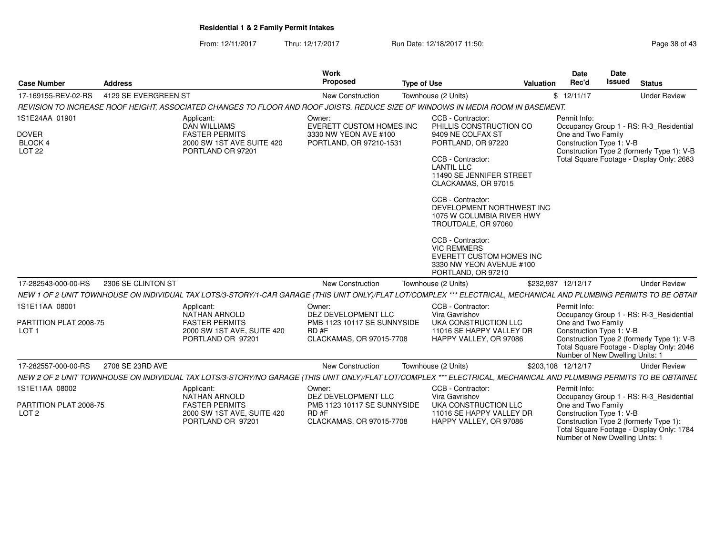**S** Proposed

**Case Number**

17-169155-REV-02-RS

**Address**

From: 12/11/2017Thru: 12/17/2017 **Run Date: 12/18/2017 11:50: Page 38 of 43** Page 38 of 43

> **Work** Proposed

**Type of Use**

| 17-169155-REV-02-RS<br>4129 SE EVERGREEN ST                                                                                                                          |                                                                                                                | New Construction                                                                                 | Townhouse (2 Units)                                                                                                                                                                                                                                                                                                                                                                                                 | \$12/11/17                                                                                        | Under Review                                                                                                                       |
|----------------------------------------------------------------------------------------------------------------------------------------------------------------------|----------------------------------------------------------------------------------------------------------------|--------------------------------------------------------------------------------------------------|---------------------------------------------------------------------------------------------------------------------------------------------------------------------------------------------------------------------------------------------------------------------------------------------------------------------------------------------------------------------------------------------------------------------|---------------------------------------------------------------------------------------------------|------------------------------------------------------------------------------------------------------------------------------------|
| REVISION TO INCREASE ROOF HEIGHT, ASSOCIATED CHANGES TO FLOOR AND ROOF JOISTS. REDUCE SIZE OF WINDOWS IN MEDIA ROOM IN BASEMENT.                                     |                                                                                                                |                                                                                                  |                                                                                                                                                                                                                                                                                                                                                                                                                     |                                                                                                   |                                                                                                                                    |
| 1S1E24AA 01901<br><b>DOVER</b><br>BLOCK 4<br>LOT <sub>22</sub>                                                                                                       | Applicant:<br><b>DAN WILLIAMS</b><br><b>FASTER PERMITS</b><br>2000 SW 1ST AVE SUITE 420<br>PORTLAND OR 97201   | Owner:<br>EVERETT CUSTOM HOMES INC<br>3330 NW YEON AVE #100<br>PORTLAND, OR 97210-1531           | CCB - Contractor:<br>PHILLIS CONSTRUCTION CO<br>9409 NE COLFAX ST<br>PORTLAND, OR 97220<br>CCB - Contractor:<br><b>LANTIL LLC</b><br>11490 SE JENNIFER STREET<br>CLACKAMAS, OR 97015<br>CCB - Contractor:<br>DEVELOPMENT NORTHWEST INC<br>1075 W COLUMBIA RIVER HWY<br>TROUTDALE, OR 97060<br>CCB - Contractor:<br><b>VIC REMMERS</b><br>EVERETT CUSTOM HOMES INC<br>3330 NW YEON AVENUE #100<br>PORTLAND, OR 97210 | Permit Info:<br>One and Two Family<br>Construction Type 1: V-B                                    | Occupancy Group 1 - RS: R-3_Residential<br>Construction Type 2 (formerly Type 1): V-B<br>Total Square Footage - Display Only: 2683 |
| 2306 SE CLINTON ST<br>17-282543-000-00-RS                                                                                                                            |                                                                                                                | <b>New Construction</b>                                                                          | Townhouse (2 Units)                                                                                                                                                                                                                                                                                                                                                                                                 | \$232,937 12/12/17                                                                                | <b>Under Review</b>                                                                                                                |
| NEW 1 OF 2 UNIT TOWNHOUSE ON INDIVIDUAL TAX LOTS/3-STORY/1-CAR GARAGE (THIS UNIT ONLY)/FLAT LOT/COMPLEX *** ELECTRICAL, MECHANICAL AND PLUMBING PERMITS TO BE OBTAII |                                                                                                                |                                                                                                  |                                                                                                                                                                                                                                                                                                                                                                                                                     |                                                                                                   |                                                                                                                                    |
| 1S1E11AA 08001<br>PARTITION PLAT 2008-75<br>LOT <sub>1</sub>                                                                                                         | Applicant:<br><b>NATHAN ARNOLD</b><br><b>FASTER PERMITS</b><br>2000 SW 1ST AVE, SUITE 420<br>PORTLAND OR 97201 | Owner:<br>DEZ DEVELOPMENT LLC<br>PMB 1123 10117 SE SUNNYSIDE<br>RD#F<br>CLACKAMAS, OR 97015-7708 | CCB - Contractor:<br>Vira Gavrishov<br>UKA CONSTRUCTION LLC<br>11016 SE HAPPY VALLEY DR<br>HAPPY VALLEY, OR 97086                                                                                                                                                                                                                                                                                                   | Permit Info:<br>One and Two Family<br>Construction Type 1: V-B<br>Number of New Dwelling Units: 1 | Occupancy Group 1 - RS: R-3_Residential<br>Construction Type 2 (formerly Type 1): V-B<br>Total Square Footage - Display Only: 2046 |
| 2708 SE 23RD AVE<br>17-282557-000-00-RS                                                                                                                              |                                                                                                                | New Construction                                                                                 | Townhouse (2 Units)                                                                                                                                                                                                                                                                                                                                                                                                 | \$203,108 12/12/17                                                                                | <b>Under Review</b>                                                                                                                |
| NEW 2 OF 2 UNIT TOWNHOUSE ON INDIVIDUAL TAX LOTS/3-STORY/NO GARAGE (THIS UNIT ONLY)/FLAT LOT/COMPLEX *** ELECTRICAL, MECHANICAL AND PLUMBING PERMITS TO BE OBTAINEL  |                                                                                                                |                                                                                                  |                                                                                                                                                                                                                                                                                                                                                                                                                     |                                                                                                   |                                                                                                                                    |
| 1S1E11AA 08002<br>PARTITION PLAT 2008-75<br>LOT <sub>2</sub>                                                                                                         | Applicant:<br><b>NATHAN ARNOLD</b><br><b>FASTER PERMITS</b><br>2000 SW 1ST AVE, SUITE 420<br>PORTLAND OR 97201 | Owner:<br>DEZ DEVELOPMENT LLC<br>PMB 1123 10117 SE SUNNYSIDE<br>RD#F<br>CLACKAMAS, OR 97015-7708 | CCB - Contractor:<br>Vira Gavrishov<br>UKA CONSTRUCTION LLC<br>11016 SE HAPPY VALLEY DR<br>HAPPY VALLEY, OR 97086                                                                                                                                                                                                                                                                                                   | Permit Info:<br>One and Two Family<br>Construction Type 1: V-B<br>Number of New Dwelling Units: 1 | Occupancy Group 1 - RS: R-3_Residential<br>Construction Type 2 (formerly Type 1):<br>Total Square Footage - Display Only: 1784     |

**Status**

**DateIssued** 

**DateRec'd Issued**

 $$12/11/17$ 

**Valuation**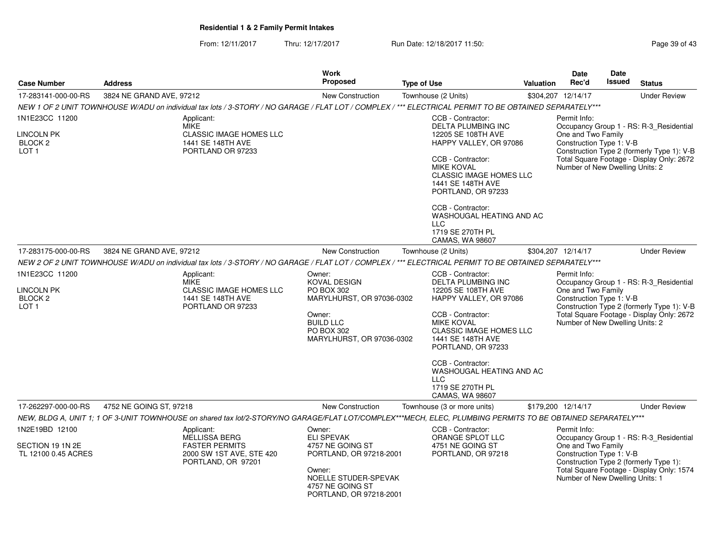From: 12/11/2017Thru: 12/17/2017 **Run Date: 12/18/2017 11:50: Page 39 of 43** 

| <b>Address</b> |                                                                          | <b>Work</b><br>Proposed                                                                                             |                                                                                  |                                                                                                                                                                      | Date<br>Rec'd                                                                                                                                                                                                                                                                                                                                                            | Date<br>Issued                                                                                                     | <b>Status</b>                                                                                                                                                                                                                                                                                                                                                                                                                                                                                                                                                                                                                                                                                                                                                               |  |
|----------------|--------------------------------------------------------------------------|---------------------------------------------------------------------------------------------------------------------|----------------------------------------------------------------------------------|----------------------------------------------------------------------------------------------------------------------------------------------------------------------|--------------------------------------------------------------------------------------------------------------------------------------------------------------------------------------------------------------------------------------------------------------------------------------------------------------------------------------------------------------------------|--------------------------------------------------------------------------------------------------------------------|-----------------------------------------------------------------------------------------------------------------------------------------------------------------------------------------------------------------------------------------------------------------------------------------------------------------------------------------------------------------------------------------------------------------------------------------------------------------------------------------------------------------------------------------------------------------------------------------------------------------------------------------------------------------------------------------------------------------------------------------------------------------------------|--|
|                |                                                                          |                                                                                                                     |                                                                                  |                                                                                                                                                                      |                                                                                                                                                                                                                                                                                                                                                                          |                                                                                                                    | <b>Under Review</b>                                                                                                                                                                                                                                                                                                                                                                                                                                                                                                                                                                                                                                                                                                                                                         |  |
|                |                                                                          |                                                                                                                     |                                                                                  |                                                                                                                                                                      |                                                                                                                                                                                                                                                                                                                                                                          |                                                                                                                    |                                                                                                                                                                                                                                                                                                                                                                                                                                                                                                                                                                                                                                                                                                                                                                             |  |
|                | Applicant:                                                               |                                                                                                                     | CCB - Contractor:                                                                |                                                                                                                                                                      |                                                                                                                                                                                                                                                                                                                                                                          |                                                                                                                    |                                                                                                                                                                                                                                                                                                                                                                                                                                                                                                                                                                                                                                                                                                                                                                             |  |
|                | <b>CLASSIC IMAGE HOMES LLC</b><br>1441 SE 148TH AVE<br>PORTLAND OR 97233 |                                                                                                                     | CCB - Contractor:<br><b>MIKE KOVAL</b><br>1441 SE 148TH AVE<br>CCB - Contractor: |                                                                                                                                                                      |                                                                                                                                                                                                                                                                                                                                                                          |                                                                                                                    |                                                                                                                                                                                                                                                                                                                                                                                                                                                                                                                                                                                                                                                                                                                                                                             |  |
|                |                                                                          |                                                                                                                     | 1719 SE 270TH PL<br>CAMAS, WA 98607                                              |                                                                                                                                                                      |                                                                                                                                                                                                                                                                                                                                                                          |                                                                                                                    |                                                                                                                                                                                                                                                                                                                                                                                                                                                                                                                                                                                                                                                                                                                                                                             |  |
|                |                                                                          | New Construction                                                                                                    | Townhouse (2 Units)                                                              |                                                                                                                                                                      |                                                                                                                                                                                                                                                                                                                                                                          |                                                                                                                    | <b>Under Review</b>                                                                                                                                                                                                                                                                                                                                                                                                                                                                                                                                                                                                                                                                                                                                                         |  |
|                |                                                                          |                                                                                                                     |                                                                                  |                                                                                                                                                                      |                                                                                                                                                                                                                                                                                                                                                                          |                                                                                                                    |                                                                                                                                                                                                                                                                                                                                                                                                                                                                                                                                                                                                                                                                                                                                                                             |  |
|                | Applicant:<br><b>MIKE</b>                                                | Owner:<br><b>KOVAL DESIGN</b>                                                                                       | CCB - Contractor:                                                                |                                                                                                                                                                      | Permit Info:<br>Occupancy Group 1 - RS: R-3 Residential                                                                                                                                                                                                                                                                                                                  |                                                                                                                    |                                                                                                                                                                                                                                                                                                                                                                                                                                                                                                                                                                                                                                                                                                                                                                             |  |
|                | <b>CLASSIC IMAGE HOMES LLC</b><br>1441 SE 148TH AVE                      | PO BOX 302                                                                                                          |                                                                                  |                                                                                                                                                                      | One and Two Family<br>Construction Type 1: V-B<br>Construction Type 2 (formerly Type 1): V-B<br>Total Square Footage - Display Only: 2672<br>Number of New Dwelling Units: 2                                                                                                                                                                                             |                                                                                                                    |                                                                                                                                                                                                                                                                                                                                                                                                                                                                                                                                                                                                                                                                                                                                                                             |  |
|                |                                                                          | Owner:<br><b>BUILD LLC</b><br>PO BOX 302                                                                            | CCB - Contractor:<br><b>MIKE KOVAL</b><br>1441 SE 148TH AVE                      |                                                                                                                                                                      |                                                                                                                                                                                                                                                                                                                                                                          |                                                                                                                    |                                                                                                                                                                                                                                                                                                                                                                                                                                                                                                                                                                                                                                                                                                                                                                             |  |
|                |                                                                          |                                                                                                                     | CCB - Contractor:<br><b>LLC</b><br>1719 SE 270TH PL<br>CAMAS, WA 98607           |                                                                                                                                                                      |                                                                                                                                                                                                                                                                                                                                                                          |                                                                                                                    |                                                                                                                                                                                                                                                                                                                                                                                                                                                                                                                                                                                                                                                                                                                                                                             |  |
|                |                                                                          | New Construction                                                                                                    | Townhouse (3 or more units)                                                      |                                                                                                                                                                      |                                                                                                                                                                                                                                                                                                                                                                          |                                                                                                                    | <b>Under Review</b>                                                                                                                                                                                                                                                                                                                                                                                                                                                                                                                                                                                                                                                                                                                                                         |  |
|                |                                                                          |                                                                                                                     |                                                                                  |                                                                                                                                                                      |                                                                                                                                                                                                                                                                                                                                                                          |                                                                                                                    |                                                                                                                                                                                                                                                                                                                                                                                                                                                                                                                                                                                                                                                                                                                                                                             |  |
|                | Applicant:<br><b>MELLISSA BERG</b>                                       | Owner:<br><b>ELI SPEVAK</b>                                                                                         | CCB - Contractor:                                                                |                                                                                                                                                                      |                                                                                                                                                                                                                                                                                                                                                                          |                                                                                                                    |                                                                                                                                                                                                                                                                                                                                                                                                                                                                                                                                                                                                                                                                                                                                                                             |  |
|                | <b>FASTER PERMITS</b><br>2000 SW 1ST AVE, STE 420<br>PORTLAND, OR 97201  | 4757 NE GOING ST<br>Owner:<br>4757 NE GOING ST                                                                      | 4751 NE GOING ST                                                                 |                                                                                                                                                                      | Construction Type 1: V-B<br>Construction Type 2 (formerly Type 1):<br>Total Square Footage - Display Only: 1574<br>Number of New Dwelling Units: 1                                                                                                                                                                                                                       |                                                                                                                    |                                                                                                                                                                                                                                                                                                                                                                                                                                                                                                                                                                                                                                                                                                                                                                             |  |
|                |                                                                          | 3824 NE GRAND AVE, 97212<br><b>MIKE</b><br>3824 NE GRAND AVE, 97212<br>PORTLAND OR 97233<br>4752 NE GOING ST, 97218 | New Construction                                                                 | <b>Type of Use</b><br>Townhouse (2 Units)<br><b>LLC</b><br>MARYLHURST, OR 97036-0302<br>MARYLHURST, OR 97036-0302<br>PORTLAND, OR 97218-2001<br>NOELLE STUDER-SPEVAK | <b>DELTA PLUMBING INC</b><br>12205 SE 108TH AVE<br>HAPPY VALLEY, OR 97086<br><b>CLASSIC IMAGE HOMES LLC</b><br>PORTLAND, OR 97233<br>WASHOUGAL HEATING AND AC<br><b>DELTA PLUMBING INC</b><br>12205 SE 108TH AVE<br>HAPPY VALLEY, OR 97086<br><b>CLASSIC IMAGE HOMES LLC</b><br>PORTLAND, OR 97233<br>WASHOUGAL HEATING AND AC<br>ORANGE SPLOT LLC<br>PORTLAND, OR 97218 | <b>Valuation</b><br>\$304,207 12/14/17<br>Permit Info:<br>\$304,207 12/14/17<br>\$179,200 12/14/17<br>Permit Info: | NEW 1 OF 2 UNIT TOWNHOUSE W/ADU on individual tax lots / 3-STORY / NO GARAGE / FLAT LOT / COMPLEX / *** ELECTRICAL PERMIT TO BE OBTAINED SEPARATELY***<br>Occupancy Group 1 - RS: R-3_Residential<br>One and Two Family<br>Construction Type 1: V-B<br>Construction Type 2 (formerly Type 1): V-B<br>Total Square Footage - Display Only: 2672<br>Number of New Dwelling Units: 2<br>NEW 2 OF 2 UNIT TOWNHOUSE W/ADU on individual tax lots / 3-STORY / NO GARAGE / FLAT LOT / COMPLEX / *** ELECTRICAL PERMIT TO BE OBTAINED SEPARATELY***<br>NEW. BLDG A. UNIT 1: 1 OF 3-UNIT TOWNHOUSE on shared tax lot/2-STORY/NO GARAGE/FLAT LOT/COMPLEX***MECH. ELEC. PLUMBING PERMITS TO BE OBTAINED SEPARATELY***<br>Occupancy Group 1 - RS: R-3_Residential<br>One and Two Family |  |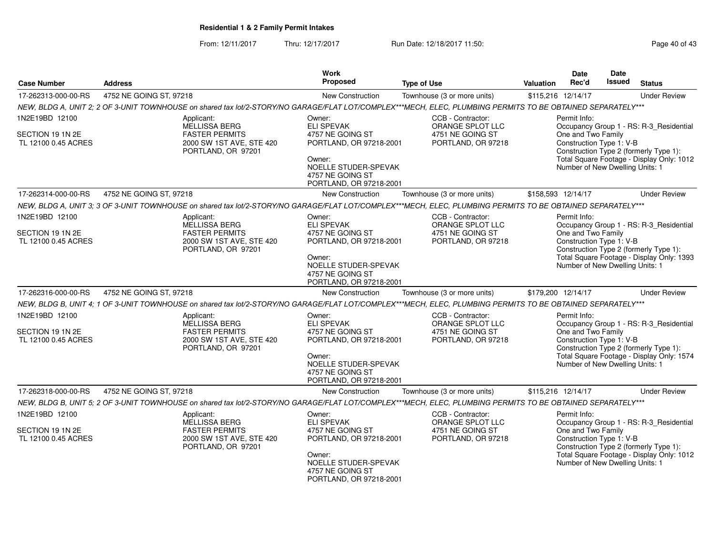From: 12/11/2017Thru: 12/17/2017 **Run Date: 12/18/2017 11:50: Page 40 of 43** 

|                                                           |                                                                                                                                                             | <b>Work</b>                                                                                                                                                 |                                                                                 | Date                               | Date                                                                                                                                                                                          |
|-----------------------------------------------------------|-------------------------------------------------------------------------------------------------------------------------------------------------------------|-------------------------------------------------------------------------------------------------------------------------------------------------------------|---------------------------------------------------------------------------------|------------------------------------|-----------------------------------------------------------------------------------------------------------------------------------------------------------------------------------------------|
| <b>Case Number</b>                                        | <b>Address</b>                                                                                                                                              | <b>Proposed</b>                                                                                                                                             | <b>Type of Use</b>                                                              | Rec'd<br><b>Valuation</b>          | <b>Issued</b><br><b>Status</b>                                                                                                                                                                |
| 17-262313-000-00-RS                                       | 4752 NE GOING ST, 97218                                                                                                                                     | New Construction                                                                                                                                            | Townhouse (3 or more units)                                                     | \$115,216 12/14/17                 | <b>Under Review</b>                                                                                                                                                                           |
|                                                           | NEW, BLDG A, UNIT 2; 2 OF 3-UNIT TOWNHOUSE on shared tax lot/2-STORY/NO GARAGE/FLAT LOT/COMPLEX***MECH, ELEC, PLUMBING PERMITS TO BE OBTAINED SEPARATELY*** |                                                                                                                                                             |                                                                                 |                                    |                                                                                                                                                                                               |
| 1N2E19BD 12100                                            | Applicant:<br><b>MELLISSA BERG</b>                                                                                                                          | Owner:<br><b>ELI SPEVAK</b>                                                                                                                                 | CCB - Contractor:<br>ORANGE SPLOT LLC                                           | Permit Info:                       | Occupancy Group 1 - RS: R-3_Residential                                                                                                                                                       |
| SECTION 19 1N 2E<br>TL 12100 0.45 ACRES                   | <b>FASTER PERMITS</b><br>2000 SW 1ST AVE, STE 420<br>PORTLAND, OR 97201                                                                                     | 4757 NE GOING ST<br>PORTLAND, OR 97218-2001<br>Owner:<br>NOELLE STUDER-SPEVAK<br>4757 NE GOING ST<br>PORTLAND, OR 97218-2001                                | 4751 NE GOING ST<br>PORTLAND, OR 97218                                          | One and Two Family                 | Construction Type 1: V-B<br>Construction Type 2 (formerly Type 1):<br>Total Square Footage - Display Only: 1012<br>Number of New Dwelling Units: 1                                            |
| 17-262314-000-00-RS                                       | 4752 NE GOING ST, 97218                                                                                                                                     | <b>New Construction</b>                                                                                                                                     | Townhouse (3 or more units)                                                     | \$158,593 12/14/17                 | <b>Under Review</b>                                                                                                                                                                           |
|                                                           | NEW, BLDG A, UNIT 3; 3 OF 3-UNIT TOWNHOUSE on shared tax lot/2-STORY/NO GARAGE/FLAT LOT/COMPLEX***MECH, ELEC, PLUMBING PERMITS TO BE OBTAINED SEPARATELY*** |                                                                                                                                                             |                                                                                 |                                    |                                                                                                                                                                                               |
| 1N2E19BD 12100                                            | Applicant:                                                                                                                                                  | Owner:                                                                                                                                                      | CCB - Contractor:                                                               | Permit Info:                       |                                                                                                                                                                                               |
| SECTION 19 1N 2E<br>TL 12100 0.45 ACRES                   | MELLISSA BERG<br><b>FASTER PERMITS</b><br>2000 SW 1ST AVE, STE 420<br>PORTLAND, OR 97201                                                                    | <b>ELI SPEVAK</b><br>4757 NE GOING ST<br>PORTLAND, OR 97218-2001<br>Owner:<br>NOELLE STUDER-SPEVAK<br>4757 NE GOING ST<br>PORTLAND, OR 97218-2001           | ORANGE SPLOT LLC<br>4751 NE GOING ST<br>PORTLAND, OR 97218                      | One and Two Family                 | Occupancy Group 1 - RS: R-3_Residential<br>Construction Type 1: V-B<br>Construction Type 2 (formerly Type 1):<br>Total Square Footage - Display Only: 1393<br>Number of New Dwelling Units: 1 |
| 17-262316-000-00-RS                                       | 4752 NE GOING ST, 97218                                                                                                                                     | New Construction                                                                                                                                            | Townhouse (3 or more units)                                                     | \$179,200 12/14/17                 | <b>Under Review</b>                                                                                                                                                                           |
|                                                           | NEW, BLDG B, UNIT 4; 1 OF 3-UNIT TOWNHOUSE on shared tax lot/2-STORY/NO GARAGE/FLAT LOT/COMPLEX***MECH, ELEC, PLUMBING PERMITS TO BE OBTAINED SEPARATELY*** |                                                                                                                                                             |                                                                                 |                                    |                                                                                                                                                                                               |
| 1N2E19BD 12100<br>SECTION 19 1N 2E<br>TL 12100 0.45 ACRES | Applicant:<br>MELLISSA BERG<br><b>FASTER PERMITS</b><br>2000 SW 1ST AVE, STE 420<br>PORTLAND, OR 97201                                                      | Owner:<br><b>ELI SPEVAK</b><br>4757 NE GOING ST<br>PORTLAND, OR 97218-2001<br>Owner:<br>NOELLE STUDER-SPEVAK<br>4757 NE GOING ST<br>PORTLAND, OR 97218-2001 | CCB - Contractor:<br>ORANGE SPLOT LLC<br>4751 NE GOING ST<br>PORTLAND, OR 97218 | Permit Info:<br>One and Two Family | Occupancy Group 1 - RS: R-3_Residential<br>Construction Type 1: V-B<br>Construction Type 2 (formerly Type 1):<br>Total Square Footage - Display Only: 1574<br>Number of New Dwelling Units: 1 |
| 17-262318-000-00-RS                                       | 4752 NE GOING ST, 97218                                                                                                                                     | New Construction                                                                                                                                            | Townhouse (3 or more units)                                                     | \$115,216 12/14/17                 | <b>Under Review</b>                                                                                                                                                                           |
|                                                           | NEW, BLDG B, UNIT 5; 2 OF 3-UNIT TOWNHOUSE on shared tax lot/2-STORY/NO GARAGE/FLAT LOT/COMPLEX***MECH, ELEC, PLUMBING PERMITS TO BE OBTAINED SEPARATELY*** |                                                                                                                                                             |                                                                                 |                                    |                                                                                                                                                                                               |
| 1N2E19BD 12100                                            | Applicant:<br>MELLISSA BERG                                                                                                                                 | Owner:<br><b>ELI SPEVAK</b>                                                                                                                                 | CCB - Contractor:<br>ORANGE SPLOT LLC                                           | Permit Info:                       | Occupancy Group 1 - RS: R-3_Residential                                                                                                                                                       |
| SECTION 19 1N 2E<br>TL 12100 0.45 ACRES                   | <b>FASTER PERMITS</b><br>2000 SW 1ST AVE, STE 420<br>PORTLAND, OR 97201                                                                                     | 4757 NE GOING ST<br>PORTLAND, OR 97218-2001<br>Owner:<br>NOELLE STUDER-SPEVAK<br>4757 NE GOING ST<br>PORTLAND, OR 97218-2001                                | 4751 NE GOING ST<br>PORTLAND, OR 97218                                          | One and Two Family                 | Construction Type 1: V-B<br>Construction Type 2 (formerly Type 1):<br>Total Square Footage - Display Only: 1012<br>Number of New Dwelling Units: 1                                            |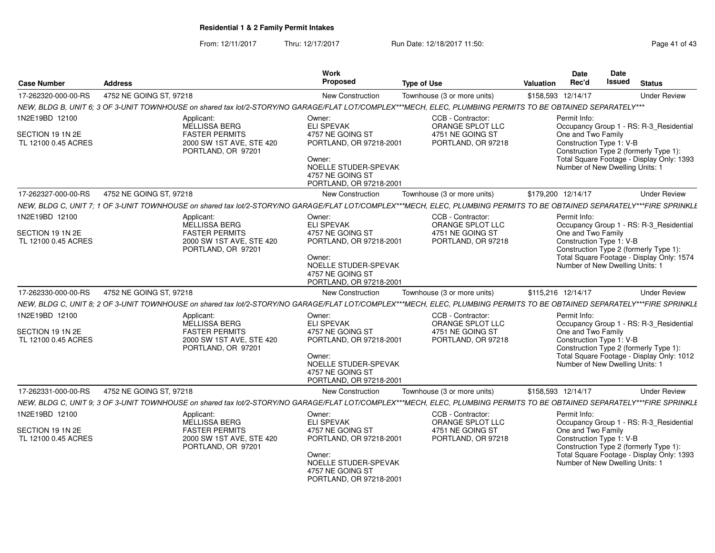From: 12/11/2017Thru: 12/17/2017 **Run Date: 12/18/2017 11:50: Page 41 of 43** 

| <b>Case Number</b>                                        | <b>Address</b>                                                                                                                                                           | Work<br>Proposed                                                                                                                                            | <b>Type of Use</b>                                                              | Valuation          | <b>Date</b><br>Rec'd                                                                              | Date<br><b>Issued</b> | <b>Status</b>                                                                                                                  |
|-----------------------------------------------------------|--------------------------------------------------------------------------------------------------------------------------------------------------------------------------|-------------------------------------------------------------------------------------------------------------------------------------------------------------|---------------------------------------------------------------------------------|--------------------|---------------------------------------------------------------------------------------------------|-----------------------|--------------------------------------------------------------------------------------------------------------------------------|
| 17-262320-000-00-RS                                       | 4752 NE GOING ST, 97218                                                                                                                                                  | New Construction                                                                                                                                            | Townhouse (3 or more units)                                                     | \$158,593 12/14/17 |                                                                                                   |                       | <b>Under Review</b>                                                                                                            |
|                                                           | NEW, BLDG B, UNIT 6; 3 OF 3-UNIT TOWNHOUSE on shared tax lot/2-STORY/NO GARAGE/FLAT LOT/COMPLEX***MECH, ELEC, PLUMBING PERMITS TO BE OBTAINED SEPARATELY***              |                                                                                                                                                             |                                                                                 |                    |                                                                                                   |                       |                                                                                                                                |
| 1N2E19BD 12100                                            | Applicant:                                                                                                                                                               | Owner:                                                                                                                                                      | CCB - Contractor:                                                               |                    | Permit Info:                                                                                      |                       |                                                                                                                                |
| SECTION 19 1N 2E<br>TL 12100 0.45 ACRES                   | MELLISSA BERG<br><b>FASTER PERMITS</b><br>2000 SW 1ST AVE, STE 420<br>PORTLAND, OR 97201                                                                                 | <b>ELI SPEVAK</b><br>4757 NE GOING ST<br>PORTLAND, OR 97218-2001<br>Owner:<br>NOELLE STUDER-SPEVAK<br>4757 NE GOING ST<br>PORTLAND, OR 97218-2001           | ORANGE SPLOT LLC<br>4751 NE GOING ST<br>PORTLAND, OR 97218                      |                    | One and Two Family<br>Construction Type 1: V-B<br>Number of New Dwelling Units: 1                 |                       | Occupancy Group 1 - RS: R-3_Residential<br>Construction Type 2 (formerly Type 1):<br>Total Square Footage - Display Only: 1393 |
| 17-262327-000-00-RS                                       | 4752 NE GOING ST, 97218                                                                                                                                                  | <b>New Construction</b>                                                                                                                                     | Townhouse (3 or more units)                                                     | \$179,200 12/14/17 |                                                                                                   |                       | <b>Under Review</b>                                                                                                            |
|                                                           | NEW, BLDG C, UNIT 7; 1 OF 3-UNIT TOWNHOUSE on shared tax lot/2-STORY/NO GARAGE/FLAT LOT/COMPLEX***MECH, ELEC, PLUMBING PERMITS TO BE OBTAINED SEPARATELY***FIRE SPRINKLI |                                                                                                                                                             |                                                                                 |                    |                                                                                                   |                       |                                                                                                                                |
| 1N2E19BD 12100<br>SECTION 19 1N 2E<br>TL 12100 0.45 ACRES | Applicant:<br>MELLISSA BERG<br><b>FASTER PERMITS</b><br>2000 SW 1ST AVE, STE 420<br>PORTLAND, OR 97201                                                                   | Owner:<br><b>ELI SPEVAK</b><br>4757 NE GOING ST<br>PORTLAND, OR 97218-2001<br>Owner:<br>NOELLE STUDER-SPEVAK<br>4757 NE GOING ST<br>PORTLAND, OR 97218-2001 | CCB - Contractor:<br>ORANGE SPLOT LLC<br>4751 NE GOING ST<br>PORTLAND, OR 97218 |                    | Permit Info:<br>One and Two Family<br>Construction Type 1: V-B<br>Number of New Dwelling Units: 1 |                       | Occupancy Group 1 - RS: R-3_Residential<br>Construction Type 2 (formerly Type 1):<br>Total Square Footage - Display Only: 1574 |
| 17-262330-000-00-RS                                       | 4752 NE GOING ST, 97218                                                                                                                                                  | New Construction                                                                                                                                            | Townhouse (3 or more units)                                                     | \$115.216 12/14/17 |                                                                                                   |                       | <b>Under Review</b>                                                                                                            |
|                                                           | NEW, BLDG C, UNIT 8; 2 OF 3-UNIT TOWNHOUSE on shared tax lot/2-STORY/NO GARAGE/FLAT LOT/COMPLEX***MECH, ELEC, PLUMBING PERMITS TO BE OBTAINED SEPARATELY***FIRE SPRINKLI |                                                                                                                                                             |                                                                                 |                    |                                                                                                   |                       |                                                                                                                                |
| 1N2E19BD 12100<br>SECTION 19 1N 2E<br>TL 12100 0.45 ACRES | Applicant:<br><b>MELLISSA BERG</b><br><b>FASTER PERMITS</b><br>2000 SW 1ST AVE, STE 420<br>PORTLAND, OR 97201                                                            | Owner:<br><b>ELI SPEVAK</b><br>4757 NE GOING ST<br>PORTLAND, OR 97218-2001<br>Owner:<br>NOELLE STUDER-SPEVAK<br>4757 NE GOING ST<br>PORTLAND, OR 97218-2001 | CCB - Contractor:<br>ORANGE SPLOT LLC<br>4751 NE GOING ST<br>PORTLAND, OR 97218 |                    | Permit Info:<br>One and Two Family<br>Construction Type 1: V-B<br>Number of New Dwelling Units: 1 |                       | Occupancy Group 1 - RS: R-3_Residential<br>Construction Type 2 (formerly Type 1):<br>Total Square Footage - Display Only: 1012 |
| 17-262331-000-00-RS                                       | 4752 NE GOING ST, 97218                                                                                                                                                  | <b>New Construction</b>                                                                                                                                     | Townhouse (3 or more units)                                                     | \$158,593 12/14/17 |                                                                                                   |                       | <b>Under Review</b>                                                                                                            |
|                                                           | NEW, BLDG C, UNIT 9; 3 OF 3-UNIT TOWNHOUSE on shared tax lot/2-STORY/NO GARAGE/FLAT LOT/COMPLEX***MECH, ELEC, PLUMBING PERMITS TO BE OBTAINED SEPARATELY***FIRE SPRINKLI |                                                                                                                                                             |                                                                                 |                    |                                                                                                   |                       |                                                                                                                                |
| 1N2E19BD 12100<br>SECTION 19 1N 2E<br>TL 12100 0.45 ACRES | Applicant:<br>MELLISSA BERG<br><b>FASTER PERMITS</b><br>2000 SW 1ST AVE, STE 420<br>PORTLAND, OR 97201                                                                   | Owner:<br><b>ELI SPEVAK</b><br>4757 NE GOING ST<br>PORTLAND, OR 97218-2001<br>Owner:<br>NOELLE STUDER-SPEVAK                                                | CCB - Contractor:<br>ORANGE SPLOT LLC<br>4751 NE GOING ST<br>PORTLAND, OR 97218 |                    | Permit Info:<br>One and Two Family<br>Construction Type 1: V-B<br>Number of New Dwelling Units: 1 |                       | Occupancy Group 1 - RS: R-3_Residential<br>Construction Type 2 (formerly Type 1):<br>Total Square Footage - Display Only: 1393 |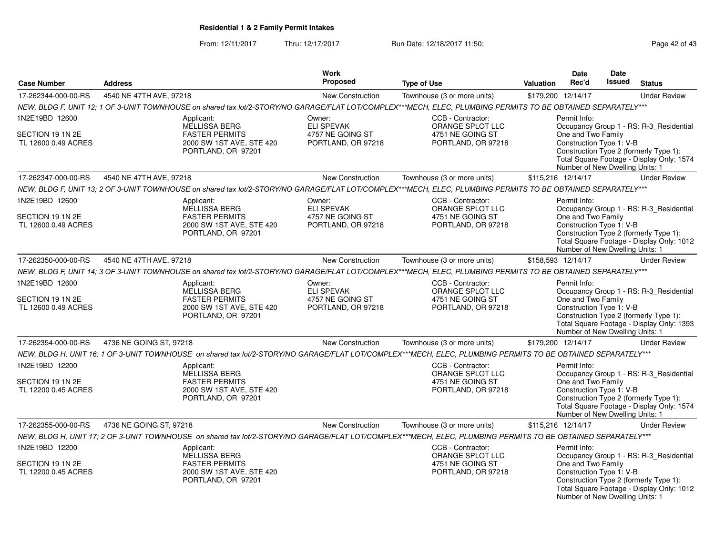From: 12/11/2017Thru: 12/17/2017 **Run Date: 12/18/2017 11:50: Page 42 of 43** 

|                                                           |                                                                                                                                                              | Work<br>Proposed                       |                                                                                 | Date<br><b>Date</b><br><b>Issued</b>                                                                                                                                                                                                |
|-----------------------------------------------------------|--------------------------------------------------------------------------------------------------------------------------------------------------------------|----------------------------------------|---------------------------------------------------------------------------------|-------------------------------------------------------------------------------------------------------------------------------------------------------------------------------------------------------------------------------------|
| <b>Case Number</b>                                        | <b>Address</b>                                                                                                                                               |                                        | <b>Type of Use</b>                                                              | Rec'd<br><b>Status</b><br>Valuation                                                                                                                                                                                                 |
| 17-262344-000-00-RS                                       | 4540 NE 47TH AVE, 97218                                                                                                                                      | New Construction                       | Townhouse (3 or more units)                                                     | \$179,200 12/14/17<br><b>Under Review</b>                                                                                                                                                                                           |
|                                                           | NEW, BLDG F, UNIT 12; 1 OF 3-UNIT TOWNHOUSE on shared tax lot/2-STORY/NO GARAGE/FLAT LOT/COMPLEX***MECH, ELEC, PLUMBING PERMITS TO BE OBTAINED SEPARATELY*** |                                        |                                                                                 |                                                                                                                                                                                                                                     |
| 1N2E19BD 12600                                            | Applicant:<br><b>MELLISSA BERG</b>                                                                                                                           | Owner:<br><b>ELI SPEVAK</b>            | CCB - Contractor:<br>ORANGE SPLOT LLC                                           | Permit Info:<br>Occupancy Group 1 - RS: R-3 Residential                                                                                                                                                                             |
| SECTION 19 1N 2E<br>TL 12600 0.49 ACRES                   | <b>FASTER PERMITS</b><br>2000 SW 1ST AVE, STE 420<br>PORTLAND, OR 97201                                                                                      | 4757 NE GOING ST<br>PORTLAND, OR 97218 | 4751 NE GOING ST<br>PORTLAND, OR 97218                                          | One and Two Family<br>Construction Type 1: V-B<br>Construction Type 2 (formerly Type 1):<br>Total Square Footage - Display Only: 1574<br>Number of New Dwelling Units: 1                                                            |
| 17-262347-000-00-RS                                       | 4540 NE 47TH AVE, 97218                                                                                                                                      | New Construction                       | Townhouse (3 or more units)                                                     | \$115,216 12/14/17<br><b>Under Review</b>                                                                                                                                                                                           |
|                                                           | NEW, BLDG F, UNIT 13; 2 OF 3-UNIT TOWNHOUSE on shared tax lot/2-STORY/NO GARAGE/FLAT LOT/COMPLEX***MECH, ELEC, PLUMBING PERMITS TO BE OBTAINED SEPARATELY*** |                                        |                                                                                 |                                                                                                                                                                                                                                     |
| 1N2E19BD 12600                                            | Applicant:<br>MELLISSA BERG                                                                                                                                  | Owner:<br><b>ELI SPEVAK</b>            | CCB - Contractor:<br>ORANGE SPLOT LLC                                           | Permit Info:<br>Occupancy Group 1 - RS: R-3_Residential                                                                                                                                                                             |
| SECTION 19 1N 2E<br>TL 12600 0.49 ACRES                   | <b>FASTER PERMITS</b><br>2000 SW 1ST AVE, STE 420<br>PORTLAND, OR 97201                                                                                      | 4757 NE GOING ST<br>PORTLAND, OR 97218 | 4751 NE GOING ST<br>PORTLAND, OR 97218                                          | One and Two Family<br>Construction Type 1: V-B<br>Construction Type 2 (formerly Type 1):<br>Total Square Footage - Display Only: 1012<br>Number of New Dwelling Units: 1                                                            |
| 17-262350-000-00-RS                                       | 4540 NE 47TH AVE, 97218                                                                                                                                      | <b>New Construction</b>                | Townhouse (3 or more units)                                                     | \$158,593 12/14/17<br><b>Under Review</b>                                                                                                                                                                                           |
|                                                           | NEW, BLDG F, UNIT 14; 3 OF 3-UNIT TOWNHOUSE on shared tax lot/2-STORY/NO GARAGE/FLAT LOT/COMPLEX***MECH, ELEC, PLUMBING PERMITS TO BE OBTAINED SEPARATELY*** |                                        |                                                                                 |                                                                                                                                                                                                                                     |
| 1N2E19BD 12600                                            | Applicant:<br>MELLISSA BERG                                                                                                                                  | Owner:<br><b>ELI SPEVAK</b>            | CCB - Contractor:<br>ORANGE SPLOT LLC                                           | Permit Info:<br>Occupancy Group 1 - RS: R-3_Residential                                                                                                                                                                             |
| SECTION 19 1N 2E<br>TL 12600 0.49 ACRES                   | <b>FASTER PERMITS</b><br>2000 SW 1ST AVE, STE 420<br>PORTLAND, OR 97201                                                                                      | 4757 NE GOING ST<br>PORTLAND, OR 97218 | 4751 NE GOING ST<br>PORTLAND, OR 97218                                          | One and Two Family<br>Construction Type 1: V-B<br>Construction Type 2 (formerly Type 1):<br>Total Square Footage - Display Only: 1393<br>Number of New Dwelling Units: 1                                                            |
| 17-262354-000-00-RS                                       | 4736 NE GOING ST, 97218                                                                                                                                      | <b>New Construction</b>                | Townhouse (3 or more units)                                                     | \$179,200 12/14/17<br><b>Under Review</b>                                                                                                                                                                                           |
|                                                           | NEW, BLDG H, UNIT 16; 1 OF 3-UNIT TOWNHOUSE on shared tax lot/2-STORY/NO GARAGE/FLAT LOT/COMPLEX***MECH, ELEC, PLUMBING PERMITS TO BE OBTAINED SEPARATELY*** |                                        |                                                                                 |                                                                                                                                                                                                                                     |
| 1N2E19BD 12200<br>SECTION 19 1N 2E<br>TL 12200 0.45 ACRES | Applicant:<br>MELLISSA BERG<br><b>FASTER PERMITS</b><br>2000 SW 1ST AVE, STE 420<br>PORTLAND, OR 97201                                                       |                                        | CCB - Contractor:<br>ORANGE SPLOT LLC<br>4751 NE GOING ST<br>PORTLAND, OR 97218 | Permit Info:<br>Occupancy Group 1 - RS: R-3_Residential<br>One and Two Family<br>Construction Type 1: V-B<br>Construction Type 2 (formerly Type 1):<br>Total Square Footage - Display Only: 1574<br>Number of New Dwelling Units: 1 |
| 17-262355-000-00-RS                                       | 4736 NE GOING ST, 97218                                                                                                                                      | <b>New Construction</b>                | Townhouse (3 or more units)                                                     | \$115,216 12/14/17<br><b>Under Review</b>                                                                                                                                                                                           |
|                                                           | NEW, BLDG H, UNIT 17; 2 OF 3-UNIT TOWNHOUSE on shared tax lot/2-STORY/NO GARAGE/FLAT LOT/COMPLEX***MECH, ELEC, PLUMBING PERMITS TO BE OBTAINED SEPARATELY*** |                                        |                                                                                 |                                                                                                                                                                                                                                     |
| 1N2E19BD 12200                                            | Applicant:<br>MELLISSA BERG                                                                                                                                  |                                        | CCB - Contractor:<br>ORANGE SPLOT LLC                                           | Permit Info:<br>Occupancy Group 1 - RS: R-3_Residential                                                                                                                                                                             |
| SECTION 19 1N 2E<br>TL 12200 0.45 ACRES                   | <b>FASTER PERMITS</b><br>2000 SW 1ST AVE, STE 420<br>PORTLAND, OR 97201                                                                                      |                                        | 4751 NE GOING ST<br>PORTLAND, OR 97218                                          | One and Two Family<br>Construction Type 1: V-B<br>Construction Type 2 (formerly Type 1):<br>Total Square Footage - Display Only: 1012<br>Number of New Dwelling Units: 1                                                            |